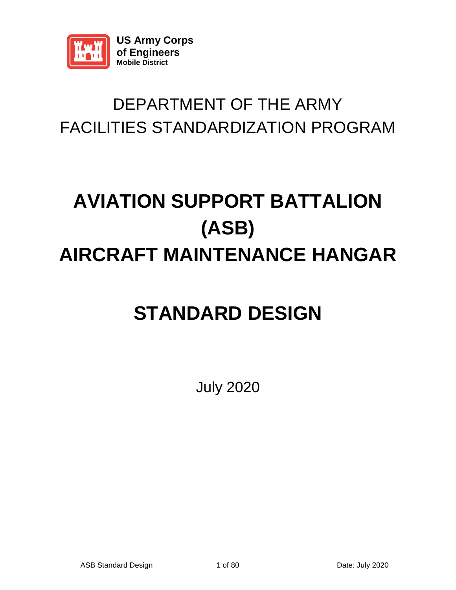

### DEPARTMENT OF THE ARMY FACILITIES STANDARDIZATION PROGRAM

## **AVIATION SUPPORT BATTALION (ASB) AIRCRAFT MAINTENANCE HANGAR**

### **STANDARD DESIGN**

July 2020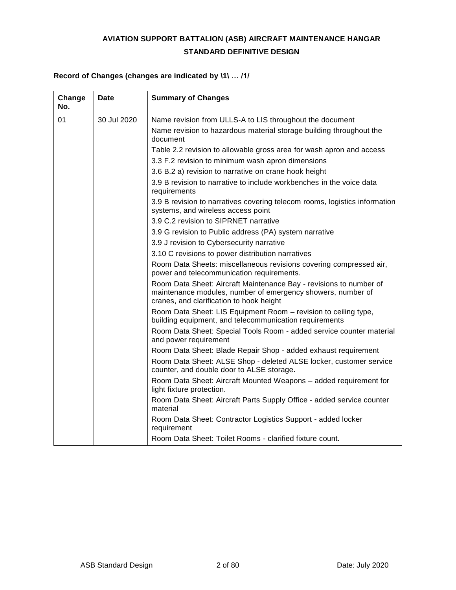#### **AVIATION SUPPORT BATTALION (ASB) AIRCRAFT MAINTENANCE HANGAR STANDARD DEFINITIVE DESIGN**

#### **Record of Changes (changes are indicated by \1\ … /1/**

| Change<br>No. | <b>Date</b> | <b>Summary of Changes</b>                                                                                                                                                     |
|---------------|-------------|-------------------------------------------------------------------------------------------------------------------------------------------------------------------------------|
| 01            | 30 Jul 2020 | Name revision from ULLS-A to LIS throughout the document                                                                                                                      |
|               |             | Name revision to hazardous material storage building throughout the<br>document                                                                                               |
|               |             | Table 2.2 revision to allowable gross area for wash apron and access                                                                                                          |
|               |             | 3.3 F.2 revision to minimum wash apron dimensions                                                                                                                             |
|               |             | 3.6 B.2 a) revision to narrative on crane hook height                                                                                                                         |
|               |             | 3.9 B revision to narrative to include workbenches in the voice data<br>requirements                                                                                          |
|               |             | 3.9 B revision to narratives covering telecom rooms, logistics information<br>systems, and wireless access point                                                              |
|               |             | 3.9 C.2 revision to SIPRNET narrative                                                                                                                                         |
|               |             | 3.9 G revision to Public address (PA) system narrative                                                                                                                        |
|               |             | 3.9 J revision to Cybersecurity narrative                                                                                                                                     |
|               |             | 3.10 C revisions to power distribution narratives                                                                                                                             |
|               |             | Room Data Sheets: miscellaneous revisions covering compressed air,<br>power and telecommunication requirements.                                                               |
|               |             | Room Data Sheet: Aircraft Maintenance Bay - revisions to number of<br>maintenance modules, number of emergency showers, number of<br>cranes, and clarification to hook height |
|               |             | Room Data Sheet: LIS Equipment Room - revision to ceiling type,<br>building equipment, and telecommunication requirements                                                     |
|               |             | Room Data Sheet: Special Tools Room - added service counter material<br>and power requirement                                                                                 |
|               |             | Room Data Sheet: Blade Repair Shop - added exhaust requirement                                                                                                                |
|               |             | Room Data Sheet: ALSE Shop - deleted ALSE locker, customer service<br>counter, and double door to ALSE storage.                                                               |
|               |             | Room Data Sheet: Aircraft Mounted Weapons - added requirement for<br>light fixture protection.                                                                                |
|               |             | Room Data Sheet: Aircraft Parts Supply Office - added service counter<br>material                                                                                             |
|               |             | Room Data Sheet: Contractor Logistics Support - added locker<br>requirement                                                                                                   |
|               |             | Room Data Sheet: Toilet Rooms - clarified fixture count.                                                                                                                      |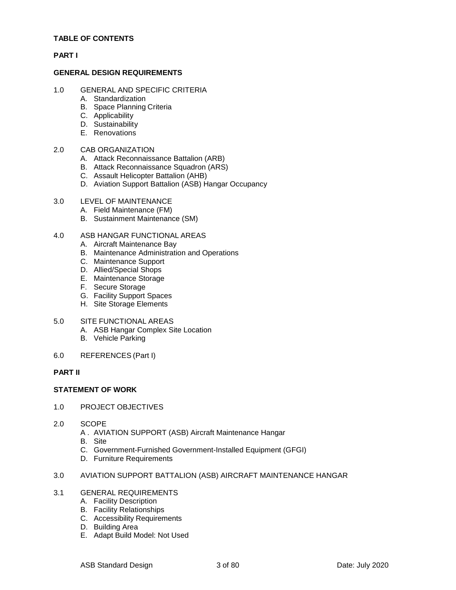#### **TABLE OF CONTENTS**

#### **PART I**

#### **GENERAL DESIGN REQUIREMENTS**

- 1.0 GENERAL AND SPECIFIC CRITERIA
	- A. Standardization
	- B. Space Planning Criteria
	- C. Applicability
	- D. Sustainability
	- E. Renovations

#### 2.0 CAB ORGANIZATION

- A. Attack Reconnaissance Battalion (ARB)
- B. Attack Reconnaissance Squadron (ARS)
- C. Assault Helicopter Battalion (AHB)
- D. Aviation Support Battalion (ASB) Hangar Occupancy

#### 3.0 LEVEL OF MAINTENANCE

- A. Field Maintenance (FM)
- B. Sustainment Maintenance (SM)

#### 4.0 ASB HANGAR FUNCTIONAL AREAS

- A. Aircraft Maintenance Bay
- B. Maintenance Administration and Operations
- C. Maintenance Support
- D. Allied/Special Shops
- E. Maintenance Storage
- F. Secure Storage
- G. Facility Support Spaces
- H. Site Storage Elements

#### 5.0 SITE FUNCTIONAL AREAS

- A. ASB Hangar Complex Site Location
- B. Vehicle Parking
- 6.0 REFERENCES (Part I)

#### **PART II**

#### **STATEMENT OF WORK**

- 1.0 PROJECT OBJECTIVES
- 2.0 SCOPE
	- A . AVIATION SUPPORT (ASB) Aircraft Maintenance Hangar
	- B. Site
	- C. Government-Furnished Government-Installed Equipment (GFGI)
	- D. Furniture Requirements
- 3.0 AVIATION SUPPORT BATTALION (ASB) AIRCRAFT MAINTENANCE HANGAR
- 3.1 GENERAL REQUIREMENTS
	- A. Facility Description
	- B. Facility Relationships
	- C. Accessibility Requirements
	- D. Building Area
	- E. Adapt Build Model: Not Used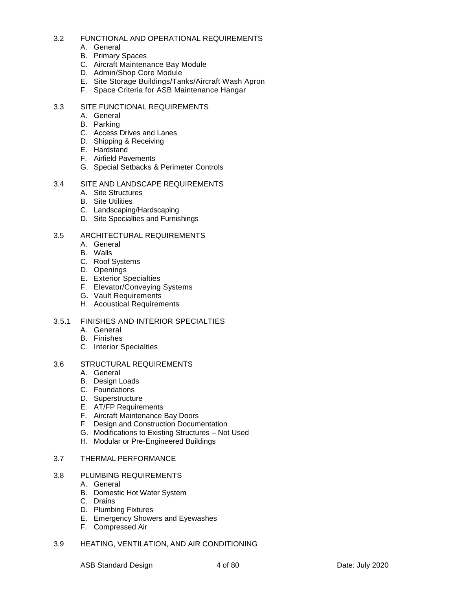#### 3.2 FUNCTIONAL AND OPERATIONAL REQUIREMENTS

- A. General
- B. Primary Spaces
- C. Aircraft Maintenance Bay Module
- D. Admin/Shop Core Module
- E. Site Storage Buildings/Tanks/Aircraft Wash Apron
- F. Space Criteria for ASB Maintenance Hangar

#### 3.3 SITE FUNCTIONAL REQUIREMENTS

- A. General
- B. Parking
- C. Access Drives and Lanes
- D. Shipping & Receiving
- E. Hardstand
- F. Airfield Pavements
- G. Special Setbacks & Perimeter Controls

#### 3.4 SITE AND LANDSCAPE REQUIREMENTS

- A. Site Structures
- B. Site Utilities
- C. Landscaping/Hardscaping
- D. Site Specialties and Furnishings

#### 3.5 ARCHITECTURAL REQUIREMENTS

- A. General
- B. Walls
- C. Roof Systems
- D. Openings
- E. Exterior Specialties
- F. Elevator/Conveying Systems
- G. Vault Requirements
- H. Acoustical Requirements

#### 3.5.1 FINISHES AND INTERIOR SPECIALTIES

- A. General
- B. Finishes
- C. Interior Specialties

#### 3.6 STRUCTURAL REQUIREMENTS

- A. General
- B. Design Loads
- C. Foundations
- D. Superstructure
- E. AT/FP Requirements
- F. Aircraft Maintenance Bay Doors
- F. Design and Construction Documentation
- G. Modifications to Existing Structures Not Used
- H. Modular or Pre-Engineered Buildings

#### 3.7 THERMAL PERFORMANCE

#### 3.8 PLUMBING REQUIREMENTS

- A. General
- B. Domestic Hot Water System
- C. Drains
- D. Plumbing Fixtures
- E. Emergency Showers and Eyewashes
- F. Compressed Air
- 3.9 HEATING, VENTILATION, AND AIR CONDITIONING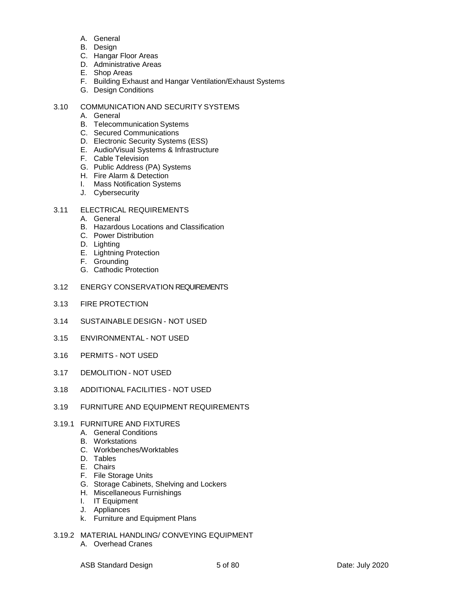- A. General
- B. Design
- C. Hangar Floor Areas
- D. Administrative Areas
- E. Shop Areas
- F. Building Exhaust and Hangar Ventilation/Exhaust Systems
- G. Design Conditions

#### 3.10 COMMUNICATION AND SECURITY SYSTEMS

- A. General
- B. Telecommunication Systems
- C. Secured Communications
- D. Electronic Security Systems (ESS)
- E. Audio/Visual Systems & Infrastructure
- F. Cable Television
- G. Public Address (PA) Systems
- H. Fire Alarm & Detection
- I. Mass Notification Systems
- J. Cybersecurity
- 3.11 ELECTRICAL REQUIREMENTS
	- A. General
	- B. Hazardous Locations and Classification
	- C. Power Distribution
	- D. Lighting
	- E. Lightning Protection
	- F. Grounding
	- G. Cathodic Protection
- 3.12 ENERGY CONSERVATION REQUIREMENTS
- 3.13 FIRE PROTECTION
- 3.14 SUSTAINABLE DESIGN NOT USED
- 3.15 ENVIRONMENTAL NOT USED
- 3.16 PERMITS NOT USED
- 3.17 DEMOLITION NOT USED
- 3.18 ADDITIONAL FACILITIES NOT USED
- 3.19 FURNITURE AND EQUIPMENT REQUIREMENTS
- 3.19.1 FURNITURE AND FIXTURES
	- A. General Conditions
	- B. Workstations
	- C. Workbenches/Worktables
	- D. Tables
	- E. Chairs
	- F. File Storage Units
	- G. Storage Cabinets, Shelving and Lockers
	- H. Miscellaneous Furnishings
	- I. IT Equipment
	- J. Appliances
	- k. Furniture and Equipment Plans
- 3.19.2 MATERIAL HANDLING/ CONVEYING EQUIPMENT
	- A. Overhead Cranes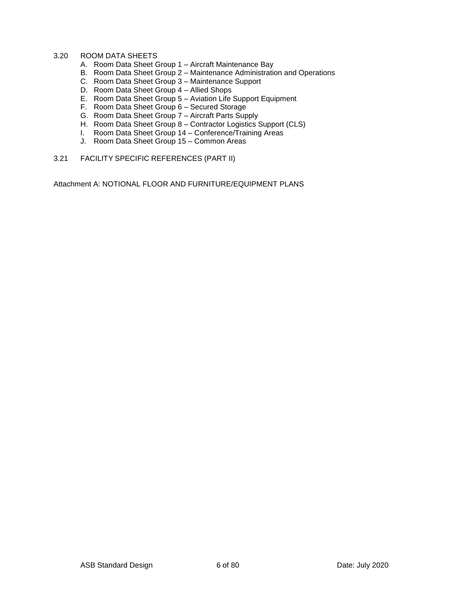#### 3.20 ROOM DATA SHEETS

- A. Room Data Sheet Group 1 Aircraft Maintenance Bay
- B. Room Data Sheet Group 2 Maintenance Administration and Operations
- C. Room Data Sheet Group 3 Maintenance Support
- D. Room Data Sheet Group 4 Allied Shops
- E. Room Data Sheet Group 5 Aviation Life Support Equipment
- F. Room Data Sheet Group 6 Secured Storage
- G. Room Data Sheet Group 7 Aircraft Parts Supply
- H. Room Data Sheet Group 8 Contractor Logistics Support (CLS)
- I. Room Data Sheet Group 14 Conference/Training Areas
- J. Room Data Sheet Group 15 Common Areas
- 3.21 FACILITY SPECIFIC REFERENCES (PART II)

Attachment A: NOTIONAL FLOOR AND FURNITURE/EQUIPMENT PLANS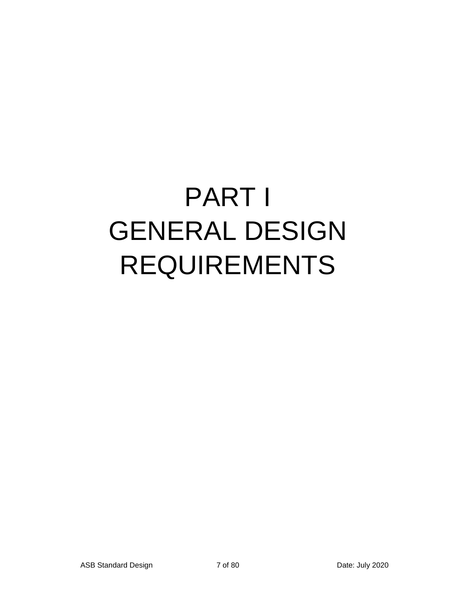# PART I GENERAL DESIGN REQUIREMENTS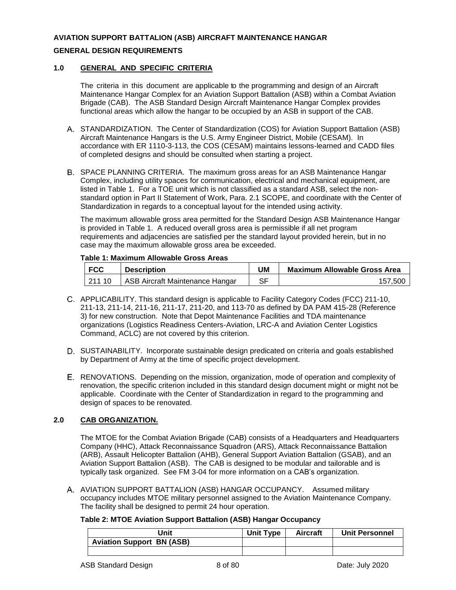#### **AVIATION SUPPORT BATTALION (ASB) AIRCRAFT MAINTENANCE HANGAR**

#### **GENERAL DESIGN REQUIREMENTS**

#### **1.0 GENERAL AND SPECIFIC CRITERIA**

The criteria in this document are applicable to the programming and design of an Aircraft Maintenance Hangar Complex for an Aviation Support Battalion (ASB) within a Combat Aviation Brigade (CAB). The ASB Standard Design Aircraft Maintenance Hangar Complex provides functional areas which allow the hangar to be occupied by an ASB in support of the CAB.

- A. STANDARDIZATION. The Center of Standardization (COS) for Aviation Support Battalion (ASB) Aircraft Maintenance Hangars is the U.S. Army Engineer District, Mobile (CESAM). In accordance with ER 1110-3-113, the COS (CESAM) maintains lessons-learned and CADD files of completed designs and should be consulted when starting a project.
- B. SPACE PLANNING CRITERIA. The maximum gross areas for an ASB Maintenance Hangar Complex, including utility spaces for communication, electrical and mechanical equipment, are listed in Table 1. For a TOE unit which is not classified as a standard ASB, select the nonstandard option in Part II Statement of Work, Para. 2.1 SCOPE, and coordinate with the Center of Standardization in regards to a conceptual layout for the intended using activity.

The maximum allowable gross area permitted for the Standard Design ASB Maintenance Hangar is provided in Table 1. A reduced overall gross area is permissible if all net program requirements and adjacencies are satisfied per the standard layout provided herein, but in no case may the maximum allowable gross area be exceeded.

#### **Table 1: Maximum Allowable Gross Areas**

| <b>FCC</b> | <b>Description</b>              | UM | <b>Maximum Allowable Gross Area</b> |
|------------|---------------------------------|----|-------------------------------------|
| 121110     | ASB Aircraft Maintenance Hangar | ੨⊏ | 157.500                             |

- APPLICABILITY. This standard design is applicable to Facility Category Codes (FCC) 211-10, 211-13, 211-14, 211-16, 211-17, 211-20, and 113-70 as defined by DA PAM 415-28 (Reference 3) for new construction. Note that Depot Maintenance Facilities and TDA maintenance organizations (Logistics Readiness Centers-Aviation, LRC-A and Aviation Center Logistics Command, ACLC) are not covered by this criterion.
- D. SUSTAINABILITY. Incorporate sustainable design predicated on criteria and goals established by Department of Army at the time of specific project development.
- RENOVATIONS. Depending on the mission, organization, mode of operation and complexity of renovation, the specific criterion included in this standard design document might or might not be applicable. Coordinate with the Center of Standardization in regard to the programming and design of spaces to be renovated.

#### **2.0 CAB ORGANIZATION.**

The MTOE for the Combat Aviation Brigade (CAB) consists of a Headquarters and Headquarters Company (HHC), Attack Reconnaissance Squadron (ARS), Attack Reconnaissance Battalion (ARB), Assault Helicopter Battalion (AHB), General Support Aviation Battalion (GSAB), and an Aviation Support Battalion (ASB). The CAB is designed to be modular and tailorable and is typically task organized. See FM 3-04 for more information on a CAB's organization.

A. AVIATION SUPPORT BATTALION (ASB) HANGAR OCCUPANCY. Assumed military occupancy includes MTOE military personnel assigned to the Aviation Maintenance Company. The facility shall be designed to permit 24 hour operation.

#### **Table 2: MTOE Aviation Support Battalion (ASB) Hangar Occupancy**

| Jnit                             | Unit Type | <b>Aircraft</b> | <b>Unit Personnel</b> |
|----------------------------------|-----------|-----------------|-----------------------|
| <b>Aviation Support BN (ASB)</b> |           |                 |                       |
|                                  |           |                 |                       |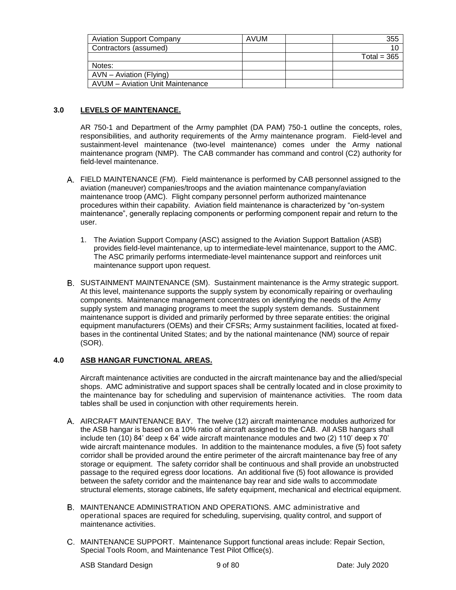| <b>Aviation Support Company</b>  | AVUM | 355           |
|----------------------------------|------|---------------|
| Contractors (assumed)            |      |               |
|                                  |      | Total = $365$ |
| Notes:                           |      |               |
| AVN - Aviation (Flying)          |      |               |
| AVUM - Aviation Unit Maintenance |      |               |

#### **3.0 LEVELS OF MAINTENANCE.**

AR 750-1 and Department of the Army pamphlet (DA PAM) 750-1 outline the concepts, roles, responsibilities, and authority requirements of the Army maintenance program. Field-level and sustainment-level maintenance (two-level maintenance) comes under the Army national maintenance program (NMP). The CAB commander has command and control (C2) authority for field-level maintenance.

- FIELD MAINTENANCE (FM). Field maintenance is performed by CAB personnel assigned to the aviation (maneuver) companies/troops and the aviation maintenance company/aviation maintenance troop (AMC). Flight company personnel perform authorized maintenance procedures within their capability. Aviation field maintenance is characterized by "on-system maintenance", generally replacing components or performing component repair and return to the user.
	- 1. The Aviation Support Company (ASC) assigned to the Aviation Support Battalion (ASB) provides field-level maintenance, up to intermediate-level maintenance, support to the AMC. The ASC primarily performs intermediate-level maintenance support and reinforces unit maintenance support upon request.
- B. SUSTAINMENT MAINTENANCE (SM). Sustainment maintenance is the Army strategic support. At this level, maintenance supports the supply system by economically repairing or overhauling components. Maintenance management concentrates on identifying the needs of the Army supply system and managing programs to meet the supply system demands. Sustainment maintenance support is divided and primarily performed by three separate entities: the original equipment manufacturers (OEMs) and their CFSRs; Army sustainment facilities, located at fixedbases in the continental United States; and by the national maintenance (NM) source of repair (SOR).

#### **4.0 ASB HANGAR FUNCTIONAL AREAS.**

Aircraft maintenance activities are conducted in the aircraft maintenance bay and the allied/special shops. AMC administrative and support spaces shall be centrally located and in close proximity to the maintenance bay for scheduling and supervision of maintenance activities. The room data tables shall be used in conjunction with other requirements herein.

- A. AIRCRAFT MAINTENANCE BAY. The twelve (12) aircraft maintenance modules authorized for the ASB hangar is based on a 10% ratio of aircraft assigned to the CAB. All ASB hangars shall include ten (10) 84' deep x 64' wide aircraft maintenance modules and two (2) 110' deep x 70' wide aircraft maintenance modules. In addition to the maintenance modules, a five (5) foot safety corridor shall be provided around the entire perimeter of the aircraft maintenance bay free of any storage or equipment. The safety corridor shall be continuous and shall provide an unobstructed passage to the required egress door locations. An additional five (5) foot allowance is provided between the safety corridor and the maintenance bay rear and side walls to accommodate structural elements, storage cabinets, life safety equipment, mechanical and electrical equipment.
- MAINTENANCE ADMINISTRATION AND OPERATIONS. AMC administrative and operational spaces are required for scheduling, supervising, quality control, and support of maintenance activities.
- MAINTENANCE SUPPORT. Maintenance Support functional areas include: Repair Section, Special Tools Room, and Maintenance Test Pilot Office(s).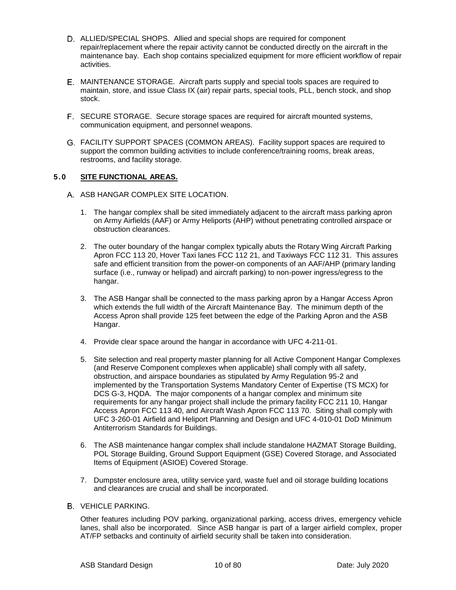- ALLIED/SPECIAL SHOPS. Allied and special shops are required for component repair/replacement where the repair activity cannot be conducted directly on the aircraft in the maintenance bay. Each shop contains specialized equipment for more efficient workflow of repair activities.
- MAINTENANCE STORAGE. Aircraft parts supply and special tools spaces are required to maintain, store, and issue Class IX (air) repair parts, special tools, PLL, bench stock, and shop stock.
- SECURE STORAGE. Secure storage spaces are required for aircraft mounted systems, communication equipment, and personnel weapons.
- FACILITY SUPPORT SPACES (COMMON AREAS). Facility support spaces are required to support the common building activities to include conference/training rooms, break areas, restrooms, and facility storage.

#### **5.0 SITE FUNCTIONAL AREAS.**

- A. ASB HANGAR COMPLEX SITE LOCATION.
	- 1. The hangar complex shall be sited immediately adjacent to the aircraft mass parking apron on Army Airfields (AAF) or Army Heliports (AHP) without penetrating controlled airspace or obstruction clearances.
	- 2. The outer boundary of the hangar complex typically abuts the Rotary Wing Aircraft Parking Apron FCC 113 20, Hover Taxi lanes FCC 112 21, and Taxiways FCC 112 31. This assures safe and efficient transition from the power-on components of an AAF/AHP (primary landing surface (i.e., runway or helipad) and aircraft parking) to non-power ingress/egress to the hangar.
	- 3. The ASB Hangar shall be connected to the mass parking apron by a Hangar Access Apron which extends the full width of the Aircraft Maintenance Bay. The minimum depth of the Access Apron shall provide 125 feet between the edge of the Parking Apron and the ASB Hangar.
	- 4. Provide clear space around the hangar in accordance with UFC 4-211-01.
	- 5. Site selection and real property master planning for all Active Component Hangar Complexes (and Reserve Component complexes when applicable) shall comply with all safety, obstruction, and airspace boundaries as stipulated by Army Regulation 95-2 and implemented by the Transportation Systems Mandatory Center of Expertise (TS MCX) for DCS G-3, HQDA. The major components of a hangar complex and minimum site requirements for any hangar project shall include the primary facility FCC 211 10, Hangar Access Apron FCC 113 40, and Aircraft Wash Apron FCC 113 70. Siting shall comply with UFC 3-260-01 Airfield and Heliport Planning and Design and UFC 4-010-01 DoD Minimum Antiterrorism Standards for Buildings.
	- 6. The ASB maintenance hangar complex shall include standalone HAZMAT Storage Building, POL Storage Building, Ground Support Equipment (GSE) Covered Storage, and Associated Items of Equipment (ASIOE) Covered Storage.
	- 7. Dumpster enclosure area, utility service yard, waste fuel and oil storage building locations and clearances are crucial and shall be incorporated.

#### **B** VEHICLE PARKING.

Other features including POV parking, organizational parking, access drives, emergency vehicle lanes, shall also be incorporated. Since ASB hangar is part of a larger airfield complex, proper AT/FP setbacks and continuity of airfield security shall be taken into consideration.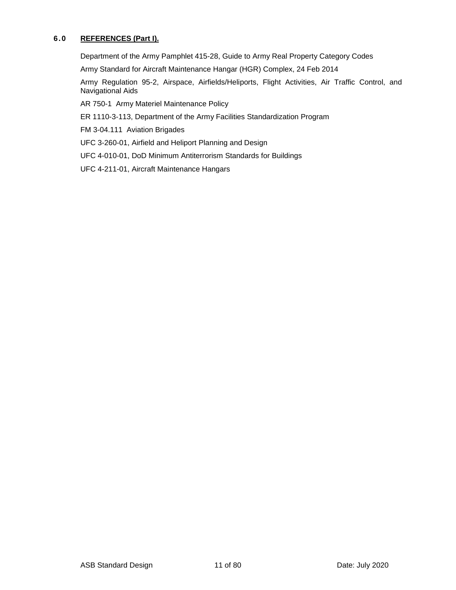#### **6.0 REFERENCES (Part I).**

Department of the Army Pamphlet 415-28, Guide to Army Real Property Category Codes

Army Standard for Aircraft Maintenance Hangar (HGR) Complex, 24 Feb 2014

Army Regulation 95-2, Airspace, Airfields/Heliports, Flight Activities, Air Traffic Control, and Navigational Aids

AR 750-1 Army Materiel Maintenance Policy

ER 1110-3-113, Department of the Army Facilities Standardization Program

FM 3-04.111 Aviation Brigades

UFC 3-260-01, Airfield and Heliport Planning and Design

UFC 4-010-01, DoD Minimum Antiterrorism Standards for Buildings

UFC 4-211-01, Aircraft Maintenance Hangars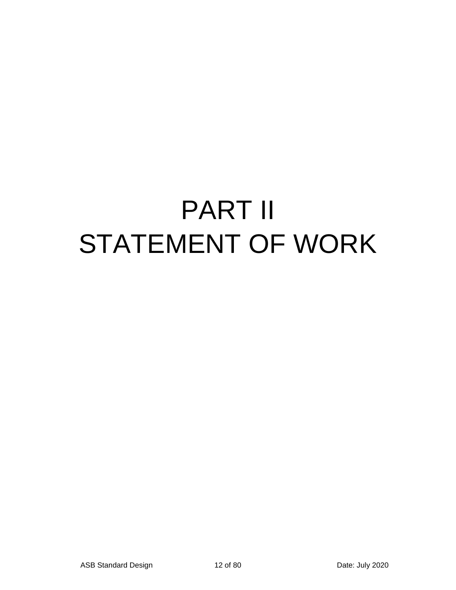## PART II STATEMENT OF WORK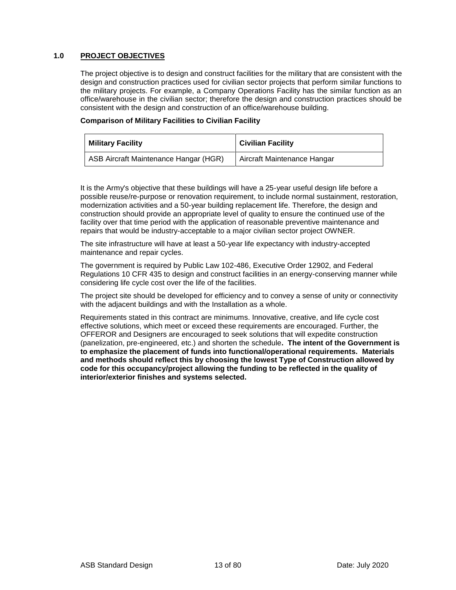#### **1.0 PROJECT OBJECTIVES**

The project objective is to design and construct facilities for the military that are consistent with the design and construction practices used for civilian sector projects that perform similar functions to the military projects. For example, a Company Operations Facility has the similar function as an office/warehouse in the civilian sector; therefore the design and construction practices should be consistent with the design and construction of an office/warehouse building.

#### **Comparison of Military Facilities to Civilian Facility**

| <b>Military Facility</b>              | <b>Civilian Facility</b>    |
|---------------------------------------|-----------------------------|
| ASB Aircraft Maintenance Hangar (HGR) | Aircraft Maintenance Hangar |

It is the Army's objective that these buildings will have a 25-year useful design life before a possible reuse/re-purpose or renovation requirement, to include normal sustainment, restoration, modernization activities and a 50-year building replacement life. Therefore, the design and construction should provide an appropriate level of quality to ensure the continued use of the facility over that time period with the application of reasonable preventive maintenance and repairs that would be industry-acceptable to a major civilian sector project OWNER.

The site infrastructure will have at least a 50-year life expectancy with industry-accepted maintenance and repair cycles.

The government is required by Public Law 102-486, Executive Order 12902, and Federal Regulations 10 CFR 435 to design and construct facilities in an energy-conserving manner while considering life cycle cost over the life of the facilities.

The project site should be developed for efficiency and to convey a sense of unity or connectivity with the adjacent buildings and with the Installation as a whole.

Requirements stated in this contract are minimums. Innovative, creative, and life cycle cost effective solutions, which meet or exceed these requirements are encouraged. Further, the OFFEROR and Designers are encouraged to seek solutions that will expedite construction (panelization, pre-engineered, etc.) and shorten the schedule**. The intent of the Government is to emphasize the placement of funds into functional/operational requirements. Materials and methods should reflect this by choosing the lowest Type of Construction allowed by code for this occupancy/project allowing the funding to be reflected in the quality of interior/exterior finishes and systems selected.**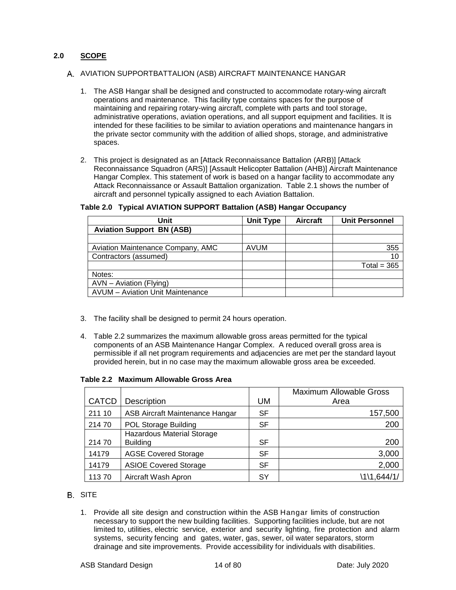#### **2.0 SCOPE**

#### A. AVIATION SUPPORTBATTALION (ASB) AIRCRAFT MAINTENANCE HANGAR

- 1. The ASB Hangar shall be designed and constructed to accommodate rotary-wing aircraft operations and maintenance. This facility type contains spaces for the purpose of maintaining and repairing rotary-wing aircraft, complete with parts and tool storage, administrative operations, aviation operations, and all support equipment and facilities. It is intended for these facilities to be similar to aviation operations and maintenance hangars in the private sector community with the addition of allied shops, storage, and administrative spaces.
- 2. This project is designated as an [Attack Reconnaissance Battalion (ARB)] [Attack Reconnaissance Squadron (ARS)] [Assault Helicopter Battalion (AHB)] Aircraft Maintenance Hangar Complex. This statement of work is based on a hangar facility to accommodate any Attack Reconnaissance or Assault Battalion organization. Table 2.1 shows the number of aircraft and personnel typically assigned to each Aviation Battalion.

| Unit                                    | <b>Unit Type</b> | <b>Aircraft</b> | <b>Unit Personnel</b> |
|-----------------------------------------|------------------|-----------------|-----------------------|
| <b>Aviation Support BN (ASB)</b>        |                  |                 |                       |
|                                         |                  |                 |                       |
| Aviation Maintenance Company, AMC       | <b>AVUM</b>      |                 | 355                   |
| Contractors (assumed)                   |                  |                 | 10                    |
|                                         |                  |                 | Total = $365$         |
| Notes:                                  |                  |                 |                       |
| AVN - Aviation (Flying)                 |                  |                 |                       |
| <b>AVUM</b> – Aviation Unit Maintenance |                  |                 |                       |

#### **Table 2.0 Typical AVIATION SUPPORT Battalion (ASB) Hangar Occupancy**

- 3. The facility shall be designed to permit 24 hours operation.
- 4. Table 2.2 summarizes the maximum allowable gross areas permitted for the typical components of an ASB Maintenance Hangar Complex. A reduced overall gross area is permissible if all net program requirements and adjacencies are met per the standard layout provided herein, but in no case may the maximum allowable gross area be exceeded.

#### **Table 2.2 Maximum Allowable Gross Area**

|              |                                        |           | <b>Maximum Allowable Gross</b> |
|--------------|----------------------------------------|-----------|--------------------------------|
| <b>CATCD</b> | Description                            | UM        | Area                           |
| 211 10       | <b>ASB Aircraft Maintenance Hangar</b> | <b>SF</b> | 157,500                        |
| 21470        | <b>POL Storage Building</b>            | SF        | 200                            |
|              | <b>Hazardous Material Storage</b>      |           |                                |
| 21470        | <b>Building</b>                        | <b>SF</b> | 200                            |
| 14179        | <b>AGSE Covered Storage</b>            | <b>SF</b> | 3,000                          |
| 14179        | <b>ASIOE Covered Storage</b>           | <b>SF</b> | 2,000                          |
| 11370        | Aircraft Wash Apron                    | SY        | \1\1,644/1/                    |

#### **B.** SITE

1. Provide all site design and construction within the ASB Hangar limits of construction necessary to support the new building facilities. Supporting facilities include, but are not limited to, utilities, electric service, exterior and security lighting, fire protection and alarm systems, security fencing and gates, water, gas, sewer, oil water separators, storm drainage and site improvements. Provide accessibility for individuals with disabilities.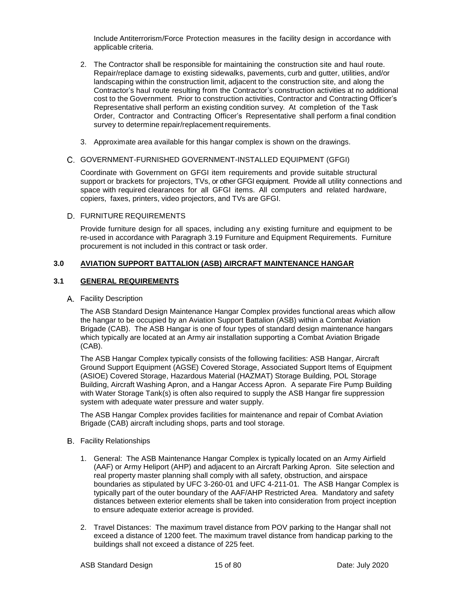Include Antiterrorism/Force Protection measures in the facility design in accordance with applicable criteria.

- 2. The Contractor shall be responsible for maintaining the construction site and haul route. Repair/replace damage to existing sidewalks, pavements, curb and gutter, utilities, and/or landscaping within the construction limit, adjacent to the construction site, and along the Contractor's haul route resulting from the Contractor's construction activities at no additional cost to the Government. Prior to construction activities, Contractor and Contracting Officer's Representative shall perform an existing condition survey. At completion of the Task Order, Contractor and Contracting Officer's Representative shall perform a final condition survey to determine repair/replacement requirements.
- 3. Approximate area available for this hangar complex is shown on the drawings.

#### GOVERNMENT-FURNISHED GOVERNMENT-INSTALLED EQUIPMENT (GFGI)

Coordinate with Government on GFGI item requirements and provide suitable structural support or brackets for projectors, TVs, or other GFGI equipment. Provide all utility connections and space with required clearances for all GFGI items. All computers and related hardware, copiers, faxes, printers, video projectors, and TVs are GFGI.

#### D. FURNITURE REQUIREMENTS

Provide furniture design for all spaces, including any existing furniture and equipment to be re-used in accordance with Paragraph 3.19 Furniture and Equipment Requirements. Furniture procurement is not included in this contract or task order.

#### **3.0 AVIATION SUPPORT BATTALION (ASB) AIRCRAFT MAINTENANCE HANGAR**

#### **3.1 GENERAL REQUIREMENTS**

#### Facility Description

The ASB Standard Design Maintenance Hangar Complex provides functional areas which allow the hangar to be occupied by an Aviation Support Battalion (ASB) within a Combat Aviation Brigade (CAB). The ASB Hangar is one of four types of standard design maintenance hangars which typically are located at an Army air installation supporting a Combat Aviation Brigade (CAB).

The ASB Hangar Complex typically consists of the following facilities: ASB Hangar, Aircraft Ground Support Equipment (AGSE) Covered Storage, Associated Support Items of Equipment (ASIOE) Covered Storage, Hazardous Material (HAZMAT) Storage Building, POL Storage Building, Aircraft Washing Apron, and a Hangar Access Apron. A separate Fire Pump Building with Water Storage Tank(s) is often also required to supply the ASB Hangar fire suppression system with adequate water pressure and water supply.

The ASB Hangar Complex provides facilities for maintenance and repair of Combat Aviation Brigade (CAB) aircraft including shops, parts and tool storage.

- **B.** Facility Relationships
	- 1. General: The ASB Maintenance Hangar Complex is typically located on an Army Airfield (AAF) or Army Heliport (AHP) and adjacent to an Aircraft Parking Apron. Site selection and real property master planning shall comply with all safety, obstruction, and airspace boundaries as stipulated by UFC 3-260-01 and UFC 4-211-01. The ASB Hangar Complex is typically part of the outer boundary of the AAF/AHP Restricted Area. Mandatory and safety distances between exterior elements shall be taken into consideration from project inception to ensure adequate exterior acreage is provided.
	- 2. Travel Distances: The maximum travel distance from POV parking to the Hangar shall not exceed a distance of 1200 feet. The maximum travel distance from handicap parking to the buildings shall not exceed a distance of 225 feet.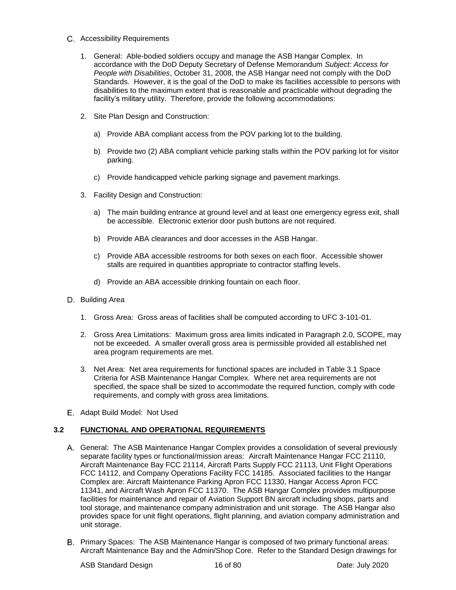- Accessibility Requirements
	- 1. General: Able-bodied soldiers occupy and manage the ASB Hangar Complex. In accordance with the DoD Deputy Secretary of Defense Memorandum *Subject: Access for People with Disabilities*, October 31, 2008, the ASB Hangar need not comply with the DoD Standards. However, it is the goal of the DoD to make its facilities accessible to persons with disabilities to the maximum extent that is reasonable and practicable without degrading the facility's military utility. Therefore, provide the following accommodations:
	- 2. Site Plan Design and Construction:
		- a) Provide ABA compliant access from the POV parking lot to the building.
		- b) Provide two (2) ABA compliant vehicle parking stalls within the POV parking lot for visitor parking.
		- c) Provide handicapped vehicle parking signage and pavement markings.
	- 3. Facility Design and Construction:
		- a) The main building entrance at ground level and at least one emergency egress exit, shall be accessible. Electronic exterior door push buttons are not required.
		- b) Provide ABA clearances and door accesses in the ASB Hangar.
		- c) Provide ABA accessible restrooms for both sexes on each floor. Accessible shower stalls are required in quantities appropriate to contractor staffing levels.
		- d) Provide an ABA accessible drinking fountain on each floor.
- D. Building Area
	- 1. Gross Area: Gross areas of facilities shall be computed according to UFC 3-101-01.
	- 2. Gross Area Limitations: Maximum gross area limits indicated in Paragraph 2.0, SCOPE, may not be exceeded. A smaller overall gross area is permissible provided all established net area program requirements are met.
	- 3. Net Area: Net area requirements for functional spaces are included in Table 3.1 Space Criteria for ASB Maintenance Hangar Complex. Where net area requirements are not specified, the space shall be sized to accommodate the required function, comply with code requirements, and comply with gross area limitations.
- E. Adapt Build Model: Not Used

#### **3.2 FUNCTIONAL AND OPERATIONAL REQUIREMENTS**

- General: The ASB Maintenance Hangar Complex provides a consolidation of several previously separate facility types or functional/mission areas: Aircraft Maintenance Hangar FCC 21110, Aircraft Maintenance Bay FCC 21114, Aircraft Parts Supply FCC 21113, Unit Flight Operations FCC 14112, and Company Operations Facility FCC 14185. Associated facilities to the Hangar Complex are: Aircraft Maintenance Parking Apron FCC 11330, Hangar Access Apron FCC 11341, and Aircraft Wash Apron FCC 11370. The ASB Hangar Complex provides multipurpose facilities for maintenance and repair of Aviation Support BN aircraft including shops, parts and tool storage, and maintenance company administration and unit storage. The ASB Hangar also provides space for unit flight operations, flight planning, and aviation company administration and unit storage.
- Primary Spaces: The ASB Maintenance Hangar is composed of two primary functional areas: Aircraft Maintenance Bay and the Admin/Shop Core. Refer to the Standard Design drawings for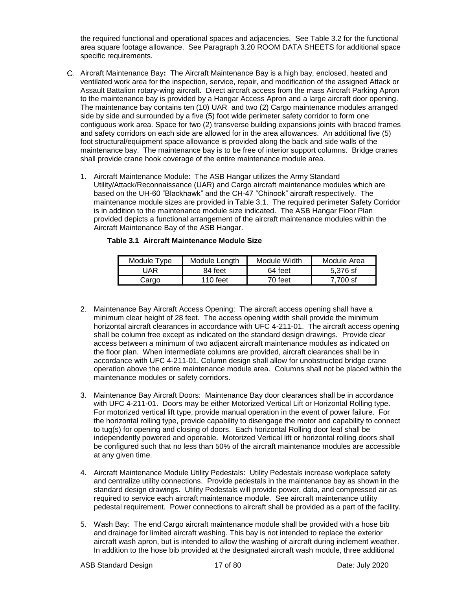the required functional and operational spaces and adjacencies. See Table 3.2 for the functional area square footage allowance. See Paragraph 3.20 ROOM DATA SHEETS for additional space specific requirements.

- Aircraft Maintenance Bay**:** The Aircraft Maintenance Bay is a high bay, enclosed, heated and ventilated work area for the inspection, service, repair, and modification of the assigned Attack or Assault Battalion rotary-wing aircraft. Direct aircraft access from the mass Aircraft Parking Apron to the maintenance bay is provided by a Hangar Access Apron and a large aircraft door opening. The maintenance bay contains ten (10) UAR and two (2) Cargo maintenance modules arranged side by side and surrounded by a five (5) foot wide perimeter safety corridor to form one contiguous work area. Space for two (2) transverse building expansions joints with braced frames and safety corridors on each side are allowed for in the area allowances. An additional five (5) foot structural/equipment space allowance is provided along the back and side walls of the maintenance bay. The maintenance bay is to be free of interior support columns. Bridge cranes shall provide crane hook coverage of the entire maintenance module area.
	- 1. Aircraft Maintenance Module: The ASB Hangar utilizes the Army Standard Utility/Attack/Reconnaissance (UAR) and Cargo aircraft maintenance modules which are based on the UH-60 "Blackhawk" and the CH-47 "Chinook" aircraft respectively. The maintenance module sizes are provided in Table 3.1. The required perimeter Safety Corridor is in addition to the maintenance module size indicated. The ASB Hangar Floor Plan provided depicts a functional arrangement of the aircraft maintenance modules within the Aircraft Maintenance Bay of the ASB Hangar.

| Module Type | Module Lenath | Module Width | Module Area |
|-------------|---------------|--------------|-------------|
| UAR         | 84 feet       | 64 feet      | 5.376 sf    |
| Cargo       | 110 feet      | 70 feet      | 7.700 sf    |

#### **Table 3.1 Aircraft Maintenance Module Size**

- 2. Maintenance Bay Aircraft Access Opening: The aircraft access opening shall have a minimum clear height of 28 feet. The access opening width shall provide the minimum horizontal aircraft clearances in accordance with UFC 4-211-01. The aircraft access opening shall be column free except as indicated on the standard design drawings. Provide clear access between a minimum of two adjacent aircraft maintenance modules as indicated on the floor plan. When intermediate columns are provided, aircraft clearances shall be in accordance with UFC 4-211-01. Column design shall allow for unobstructed bridge crane operation above the entire maintenance module area. Columns shall not be placed within the maintenance modules or safety corridors.
- 3. Maintenance Bay Aircraft Doors: Maintenance Bay door clearances shall be in accordance with UFC 4-211-01. Doors may be either Motorized Vertical Lift or Horizontal Rolling type. For motorized vertical lift type, provide manual operation in the event of power failure. For the horizontal rolling type, provide capability to disengage the motor and capability to connect to tug(s) for opening and closing of doors. Each horizontal Rolling door leaf shall be independently powered and operable. Motorized Vertical lift or horizontal rolling doors shall be configured such that no less than 50% of the aircraft maintenance modules are accessible at any given time.
- 4. Aircraft Maintenance Module Utility Pedestals:Utility Pedestals increase workplace safety and centralize utility connections. Provide pedestals in the maintenance bay as shown in the standard design drawings. Utility Pedestals will provide power, data, and compressed air as required to service each aircraft maintenance module. See aircraft maintenance utility pedestal requirement. Power connections to aircraft shall be provided as a part of the facility.
- 5. Wash Bay:The end Cargo aircraft maintenance module shall be provided with a hose bib and drainage for limited aircraft washing. This bay is not intended to replace the exterior aircraft wash apron, but is intended to allow the washing of aircraft during inclement weather. In addition to the hose bib provided at the designated aircraft wash module, three additional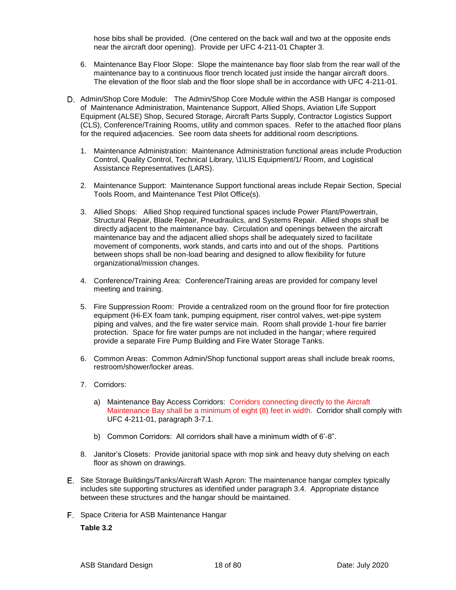hose bibs shall be provided. (One centered on the back wall and two at the opposite ends near the aircraft door opening). Provide per UFC 4-211-01 Chapter 3.

- 6. Maintenance Bay Floor Slope: Slope the maintenance bay floor slab from the rear wall of the maintenance bay to a continuous floor trench located just inside the hangar aircraft doors. The elevation of the floor slab and the floor slope shall be in accordance with UFC 4-211-01.
- D. Admin/Shop Core Module: The Admin/Shop Core Module within the ASB Hangar is composed of Maintenance Administration, Maintenance Support, Allied Shops, Aviation Life Support Equipment (ALSE) Shop, Secured Storage, Aircraft Parts Supply, Contractor Logistics Support (CLS), Conference/Training Rooms, utility and common spaces. Refer to the attached floor plans for the required adjacencies. See room data sheets for additional room descriptions.
	- 1. Maintenance Administration: Maintenance Administration functional areas include Production Control, Quality Control, Technical Library, \1\LIS Equipment/1/ Room, and Logistical Assistance Representatives (LARS).
	- 2. Maintenance Support: Maintenance Support functional areas include Repair Section, Special Tools Room, and Maintenance Test Pilot Office(s).
	- 3. Allied Shops: Allied Shop required functional spaces include Power Plant/Powertrain, Structural Repair, Blade Repair, Pneudraulics, and Systems Repair. Allied shops shall be directly adjacent to the maintenance bay. Circulation and openings between the aircraft maintenance bay and the adjacent allied shops shall be adequately sized to facilitate movement of components, work stands, and carts into and out of the shops. Partitions between shops shall be non-load bearing and designed to allow flexibility for future organizational/mission changes.
	- 4. Conference/Training Area: Conference/Training areas are provided for company level meeting and training.
	- 5. Fire Suppression Room: Provide a centralized room on the ground floor for fire protection equipment (Hi-EX foam tank, pumping equipment, riser control valves, wet-pipe system piping and valves, and the fire water service main. Room shall provide 1-hour fire barrier protection. Space for fire water pumps are not included in the hangar; where required provide a separate Fire Pump Building and Fire Water Storage Tanks.
	- 6. Common Areas: Common Admin/Shop functional support areas shall include break rooms, restroom/shower/locker areas.
	- 7. Corridors:
		- a) Maintenance Bay Access Corridors: Corridors connecting directly to the Aircraft Maintenance Bay shall be a minimum of eight (8) feet in width. Corridor shall comply with UFC 4-211-01, paragraph 3-7.1.
		- b) Common Corridors: All corridors shall have a minimum width of 6'-8".
	- 8. Janitor's Closets: Provide janitorial space with mop sink and heavy duty shelving on each floor as shown on drawings.
- Site Storage Buildings/Tanks/Aircraft Wash Apron: The maintenance hangar complex typically includes site supporting structures as identified under paragraph 3.4. Appropriate distance between these structures and the hangar should be maintained.
- F. Space Criteria for ASB Maintenance Hangar

**Table 3.2**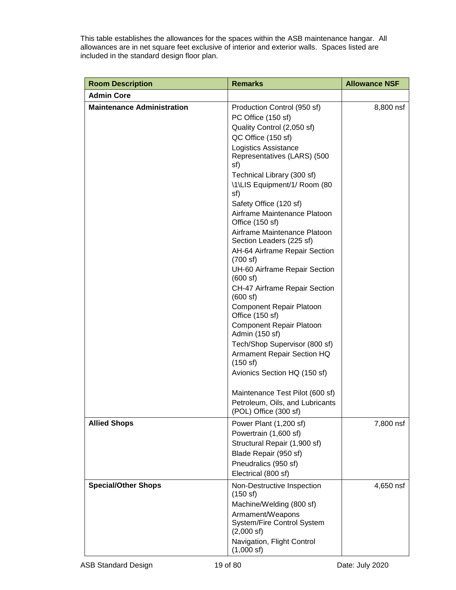This table establishes the allowances for the spaces within the ASB maintenance hangar. All allowances are in net square feet exclusive of interior and exterior walls. Spaces listed are included in the standard design floor plan.

| <b>Room Description</b>           | <b>Remarks</b>                                                         | <b>Allowance NSF</b> |
|-----------------------------------|------------------------------------------------------------------------|----------------------|
| <b>Admin Core</b>                 |                                                                        |                      |
| <b>Maintenance Administration</b> | Production Control (950 sf)                                            | 8,800 nsf            |
|                                   | PC Office (150 sf)                                                     |                      |
|                                   | Quality Control (2,050 sf)                                             |                      |
|                                   | QC Office (150 sf)                                                     |                      |
|                                   | <b>Logistics Assistance</b><br>Representatives (LARS) (500<br>sf)      |                      |
|                                   | Technical Library (300 sf)                                             |                      |
|                                   | \1\LIS Equipment/1/ Room (80<br>sf)                                    |                      |
|                                   | Safety Office (120 sf)                                                 |                      |
|                                   | Airframe Maintenance Platoon<br>Office (150 sf)                        |                      |
|                                   | Airframe Maintenance Platoon<br>Section Leaders (225 sf)               |                      |
|                                   | AH-64 Airframe Repair Section<br>(700 sf)                              |                      |
|                                   | UH-60 Airframe Repair Section<br>(600 s f)                             |                      |
|                                   | CH-47 Airframe Repair Section<br>(600 s f)                             |                      |
|                                   | <b>Component Repair Platoon</b><br>Office (150 sf)                     |                      |
|                                   | <b>Component Repair Platoon</b><br>Admin (150 sf)                      |                      |
|                                   | Tech/Shop Supervisor (800 sf)                                          |                      |
|                                   | Armament Repair Section HQ<br>(150 s f)                                |                      |
|                                   | Avionics Section HQ (150 sf)                                           |                      |
|                                   | Maintenance Test Pilot (600 sf)                                        |                      |
|                                   | Petroleum, Oils, and Lubricants<br>(POL) Office (300 sf)               |                      |
| <b>Allied Shops</b>               | Power Plant (1,200 sf)                                                 | 7,800 nsf            |
|                                   | Powertrain (1,600 sf)                                                  |                      |
|                                   | Structural Repair (1,900 sf)                                           |                      |
|                                   | Blade Repair (950 sf)                                                  |                      |
|                                   | Pneudralics (950 sf)                                                   |                      |
|                                   | Electrical (800 sf)                                                    |                      |
| <b>Special/Other Shops</b>        | Non-Destructive Inspection<br>(150 s)                                  | 4,650 nsf            |
|                                   | Machine/Welding (800 sf)                                               |                      |
|                                   | Armament/Weapons<br>System/Fire Control System<br>$(2,000 \text{ sf})$ |                      |
|                                   | Navigation, Flight Control<br>$(1,000 \text{ sf})$                     |                      |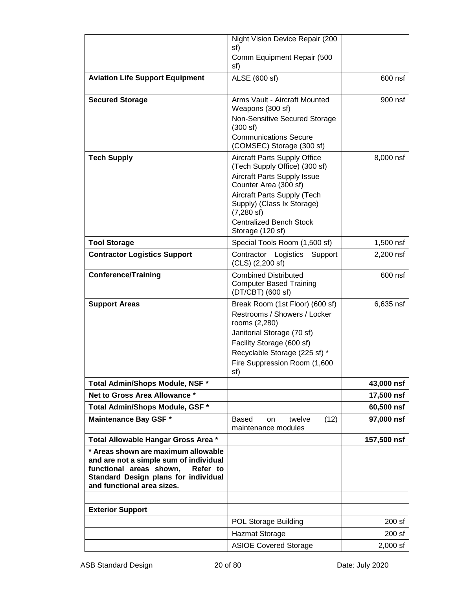|                                                                                                                                                                                            | Night Vision Device Repair (200                                                                                                                                                                              |                          |
|--------------------------------------------------------------------------------------------------------------------------------------------------------------------------------------------|--------------------------------------------------------------------------------------------------------------------------------------------------------------------------------------------------------------|--------------------------|
|                                                                                                                                                                                            | sf)<br>Comm Equipment Repair (500                                                                                                                                                                            |                          |
|                                                                                                                                                                                            | sf)                                                                                                                                                                                                          |                          |
| <b>Aviation Life Support Equipment</b>                                                                                                                                                     | ALSE (600 sf)                                                                                                                                                                                                | 600 nsf                  |
| <b>Secured Storage</b>                                                                                                                                                                     | Arms Vault - Aircraft Mounted<br>Weapons (300 sf)                                                                                                                                                            | 900 nsf                  |
|                                                                                                                                                                                            | Non-Sensitive Secured Storage<br>(300 s f)                                                                                                                                                                   |                          |
|                                                                                                                                                                                            | <b>Communications Secure</b><br>(COMSEC) Storage (300 sf)                                                                                                                                                    |                          |
| <b>Tech Supply</b>                                                                                                                                                                         | <b>Aircraft Parts Supply Office</b><br>(Tech Supply Office) (300 sf)                                                                                                                                         | 8,000 nsf                |
|                                                                                                                                                                                            | <b>Aircraft Parts Supply Issue</b><br>Counter Area (300 sf)                                                                                                                                                  |                          |
|                                                                                                                                                                                            | Aircraft Parts Supply (Tech                                                                                                                                                                                  |                          |
|                                                                                                                                                                                            | Supply) (Class Ix Storage)<br>$(7,280 \text{ sf})$                                                                                                                                                           |                          |
|                                                                                                                                                                                            | <b>Centralized Bench Stock</b><br>Storage (120 sf)                                                                                                                                                           |                          |
| <b>Tool Storage</b>                                                                                                                                                                        | Special Tools Room (1,500 sf)                                                                                                                                                                                | 1,500 nsf                |
| <b>Contractor Logistics Support</b>                                                                                                                                                        | Contractor Logistics Support<br>(CLS) (2,200 sf)                                                                                                                                                             | 2,200 nsf                |
| <b>Conference/Training</b>                                                                                                                                                                 | <b>Combined Distributed</b><br><b>Computer Based Training</b><br>(DT/CBT) (600 sf)                                                                                                                           | 600 nsf                  |
| <b>Support Areas</b>                                                                                                                                                                       | Break Room (1st Floor) (600 sf)<br>Restrooms / Showers / Locker<br>rooms (2,280)<br>Janitorial Storage (70 sf)<br>Facility Storage (600 sf)<br>Recyclable Storage (225 sf) *<br>Fire Suppression Room (1,600 | 6,635 nsf                |
|                                                                                                                                                                                            | sf)                                                                                                                                                                                                          |                          |
| Total Admin/Shops Module, NSF *<br>Net to Gross Area Allowance *                                                                                                                           |                                                                                                                                                                                                              | 43,000 nsf<br>17,500 nsf |
| Total Admin/Shops Module, GSF *                                                                                                                                                            |                                                                                                                                                                                                              | 60,500 nsf               |
| <b>Maintenance Bay GSF *</b>                                                                                                                                                               | Based<br>twelve<br>(12)<br>on<br>maintenance modules                                                                                                                                                         | 97,000 nsf               |
| Total Allowable Hangar Gross Area *                                                                                                                                                        |                                                                                                                                                                                                              | 157,500 nsf              |
| * Areas shown are maximum allowable<br>and are not a simple sum of individual<br>functional areas shown,<br>Refer to<br>Standard Design plans for individual<br>and functional area sizes. |                                                                                                                                                                                                              |                          |
|                                                                                                                                                                                            |                                                                                                                                                                                                              |                          |
| <b>Exterior Support</b>                                                                                                                                                                    |                                                                                                                                                                                                              |                          |
|                                                                                                                                                                                            | <b>POL Storage Building</b>                                                                                                                                                                                  | 200 sf                   |
|                                                                                                                                                                                            | <b>Hazmat Storage</b>                                                                                                                                                                                        | 200 sf                   |
|                                                                                                                                                                                            | <b>ASIOE Covered Storage</b>                                                                                                                                                                                 | 2,000 sf                 |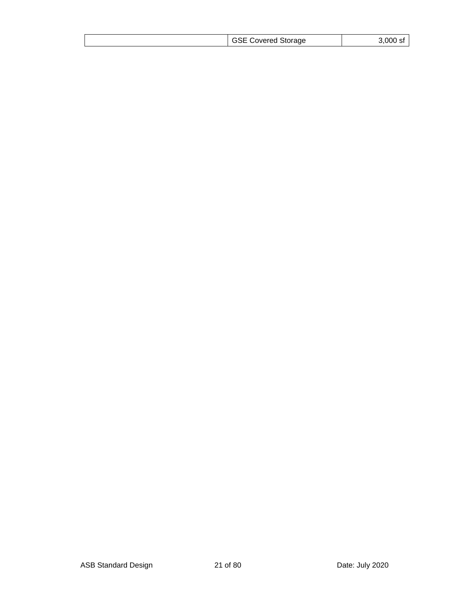|  |  | <b>GSE Covered Storage</b> | 3,000 sf |
|--|--|----------------------------|----------|
|--|--|----------------------------|----------|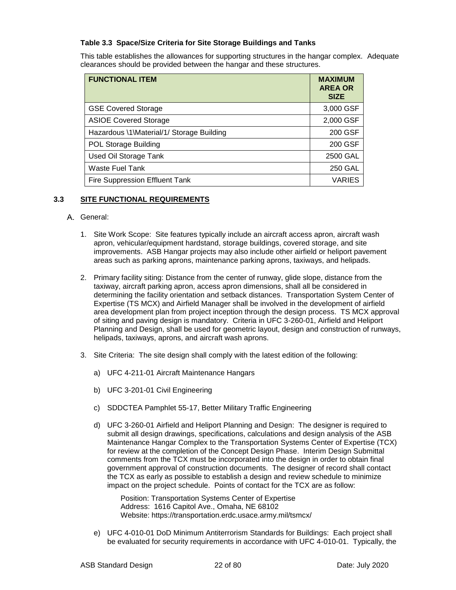#### **Table 3.3 Space/Size Criteria for Site Storage Buildings and Tanks**

This table establishes the allowances for supporting structures in the hangar complex. Adequate clearances should be provided between the hangar and these structures.

| <b>FUNCTIONAL ITEM</b>                    | <b>MAXIMUM</b><br><b>AREA OR</b><br><b>SIZE</b> |
|-------------------------------------------|-------------------------------------------------|
| <b>GSE Covered Storage</b>                | 3,000 GSF                                       |
| <b>ASIOE Covered Storage</b>              | 2,000 GSF                                       |
| Hazardous \1\Material/1/ Storage Building | 200 GSF                                         |
| <b>POL Storage Building</b>               | 200 GSF                                         |
| Used Oil Storage Tank                     | 2500 GAL                                        |
| <b>Waste Fuel Tank</b>                    | <b>250 GAL</b>                                  |
| Fire Suppression Effluent Tank            | <b>VARIES</b>                                   |

#### **3.3 SITE FUNCTIONAL REQUIREMENTS**

#### A. General:

- 1. Site Work Scope: Site features typically include an aircraft access apron, aircraft wash apron, vehicular/equipment hardstand, storage buildings, covered storage, and site improvements. ASB Hangar projects may also include other airfield or heliport pavement areas such as parking aprons, maintenance parking aprons, taxiways, and helipads.
- 2. Primary facility siting: Distance from the center of runway, glide slope, distance from the taxiway, aircraft parking apron, access apron dimensions, shall all be considered in determining the facility orientation and setback distances. Transportation System Center of Expertise (TS MCX) and Airfield Manager shall be involved in the development of airfield area development plan from project inception through the design process. TS MCX approval of siting and paving design is mandatory. Criteria in UFC 3-260-01, Airfield and Heliport Planning and Design, shall be used for geometric layout, design and construction of runways, helipads, taxiways, aprons, and aircraft wash aprons.
- 3. Site Criteria: The site design shall comply with the latest edition of the following:
	- a) UFC 4-211-01 Aircraft Maintenance Hangars
	- b) UFC 3-201-01 Civil Engineering
	- c) SDDCTEA Pamphlet 55-17, Better Military Traffic Engineering
	- d) UFC 3-260-01 Airfield and Heliport Planning and Design: The designer is required to submit all design drawings, specifications, calculations and design analysis of the ASB Maintenance Hangar Complex to the Transportation Systems Center of Expertise (TCX) for review at the completion of the Concept Design Phase. Interim Design Submittal comments from the TCX must be incorporated into the design in order to obtain final government approval of construction documents. The designer of record shall contact the TCX as early as possible to establish a design and review schedule to minimize impact on the project schedule. Points of contact for the TCX are as follow:

Position: Transportation Systems Center of Expertise Address: 1616 Capitol Ave., Omaha, NE 68102 Website: https://transportation.erdc.usace.army.mil/tsmcx/

e) UFC 4-010-01 DoD Minimum Antiterrorism Standards for Buildings: Each project shall be evaluated for security requirements in accordance with UFC 4-010-01. Typically, the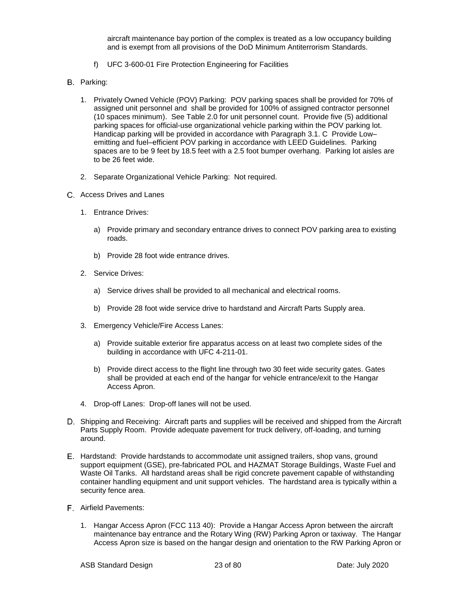aircraft maintenance bay portion of the complex is treated as a low occupancy building and is exempt from all provisions of the DoD Minimum Antiterrorism Standards.

- f) UFC 3-600-01 Fire Protection Engineering for Facilities
- **B.** Parking:
	- 1. Privately Owned Vehicle (POV) Parking: POV parking spaces shall be provided for 70% of assigned unit personnel and shall be provided for 100% of assigned contractor personnel (10 spaces minimum). See Table 2.0 for unit personnel count. Provide five (5) additional parking spaces for official-use organizational vehicle parking within the POV parking lot. Handicap parking will be provided in accordance with Paragraph 3.1. C Provide Low– emitting and fuel–efficient POV parking in accordance with LEED Guidelines. Parking spaces are to be 9 feet by 18.5 feet with a 2.5 foot bumper overhang. Parking lot aisles are to be 26 feet wide.
	- 2. Separate Organizational Vehicle Parking: Not required.
- Access Drives and Lanes
	- 1. Entrance Drives:
		- a) Provide primary and secondary entrance drives to connect POV parking area to existing roads.
		- b) Provide 28 foot wide entrance drives.
	- 2. Service Drives:
		- a) Service drives shall be provided to all mechanical and electrical rooms.
		- b) Provide 28 foot wide service drive to hardstand and Aircraft Parts Supply area.
	- 3. Emergency Vehicle/Fire Access Lanes:
		- a) Provide suitable exterior fire apparatus access on at least two complete sides of the building in accordance with UFC 4-211-01.
		- b) Provide direct access to the flight line through two 30 feet wide security gates. Gates shall be provided at each end of the hangar for vehicle entrance/exit to the Hangar Access Apron.
	- 4. Drop-off Lanes: Drop-off lanes will not be used.
- D. Shipping and Receiving: Aircraft parts and supplies will be received and shipped from the Aircraft Parts Supply Room. Provide adequate pavement for truck delivery, off-loading, and turning around.
- Hardstand: Provide hardstands to accommodate unit assigned trailers, shop vans, ground support equipment (GSE), pre-fabricated POL and HAZMAT Storage Buildings, Waste Fuel and Waste Oil Tanks. All hardstand areas shall be rigid concrete pavement capable of withstanding container handling equipment and unit support vehicles. The hardstand area is typically within a security fence area.
- Airfield Pavements:
	- 1. Hangar Access Apron (FCC 113 40): Provide a Hangar Access Apron between the aircraft maintenance bay entrance and the Rotary Wing (RW) Parking Apron or taxiway. The Hangar Access Apron size is based on the hangar design and orientation to the RW Parking Apron or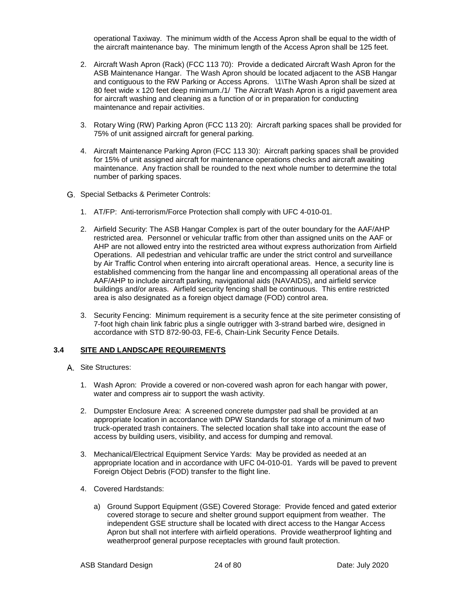operational Taxiway. The minimum width of the Access Apron shall be equal to the width of the aircraft maintenance bay. The minimum length of the Access Apron shall be 125 feet.

- 2. Aircraft Wash Apron (Rack) (FCC 113 70): Provide a dedicated Aircraft Wash Apron for the ASB Maintenance Hangar. The Wash Apron should be located adjacent to the ASB Hangar and contiguous to the RW Parking or Access Aprons. \1\The Wash Apron shall be sized at 80 feet wide x 120 feet deep minimum./1/ The Aircraft Wash Apron is a rigid pavement area for aircraft washing and cleaning as a function of or in preparation for conducting maintenance and repair activities.
- 3. Rotary Wing (RW) Parking Apron (FCC 113 20): Aircraft parking spaces shall be provided for 75% of unit assigned aircraft for general parking.
- 4. Aircraft Maintenance Parking Apron (FCC 113 30): Aircraft parking spaces shall be provided for 15% of unit assigned aircraft for maintenance operations checks and aircraft awaiting maintenance. Any fraction shall be rounded to the next whole number to determine the total number of parking spaces.
- G. Special Setbacks & Perimeter Controls:
	- 1. AT/FP:Anti-terrorism/Force Protection shall comply with UFC 4-010-01.
	- 2. Airfield Security: The ASB Hangar Complex is part of the outer boundary for the AAF/AHP restricted area. Personnel or vehicular traffic from other than assigned units on the AAF or AHP are not allowed entry into the restricted area without express authorization from Airfield Operations. All pedestrian and vehicular traffic are under the strict control and surveillance by Air Traffic Control when entering into aircraft operational areas. Hence, a security line is established commencing from the hangar line and encompassing all operational areas of the AAF/AHP to include aircraft parking, navigational aids (NAVAIDS), and airfield service buildings and/or areas. Airfield security fencing shall be continuous. This entire restricted area is also designated as a foreign object damage (FOD) control area.
	- 3. Security Fencing: Minimum requirement is a security fence at the site perimeter consisting of 7-foot high chain link fabric plus a single outrigger with 3-strand barbed wire, designed in accordance with STD 872-90-03, FE-6, Chain-Link Security Fence Details.

#### **3.4 SITE AND LANDSCAPE REQUIREMENTS**

- A. Site Structures:
	- 1. Wash Apron: Provide a covered or non-covered wash apron for each hangar with power, water and compress air to support the wash activity.
	- 2. Dumpster Enclosure Area: A screened concrete dumpster pad shall be provided at an appropriate location in accordance with DPW Standards for storage of a minimum of two truck-operated trash containers. The selected location shall take into account the ease of access by building users, visibility, and access for dumping and removal.
	- 3. Mechanical/Electrical Equipment Service Yards: May be provided as needed at an appropriate location and in accordance with UFC 04-010-01. Yards will be paved to prevent Foreign Object Debris (FOD) transfer to the flight line.
	- 4. Covered Hardstands:
		- a) Ground Support Equipment (GSE) Covered Storage: Provide fenced and gated exterior covered storage to secure and shelter ground support equipment from weather. The independent GSE structure shall be located with direct access to the Hangar Access Apron but shall not interfere with airfield operations. Provide weatherproof lighting and weatherproof general purpose receptacles with ground fault protection.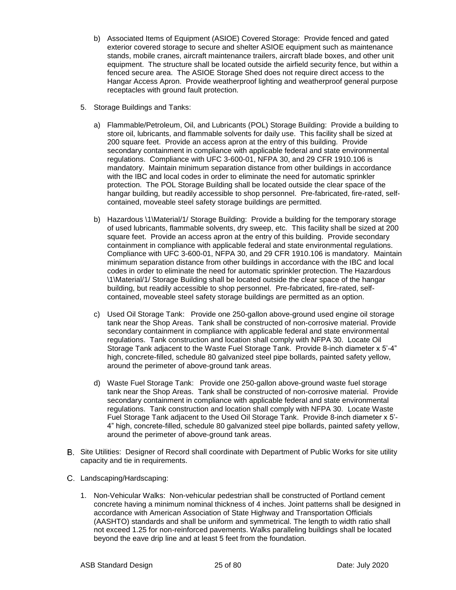- b) Associated Items of Equipment (ASIOE) Covered Storage: Provide fenced and gated exterior covered storage to secure and shelter ASIOE equipment such as maintenance stands, mobile cranes, aircraft maintenance trailers, aircraft blade boxes, and other unit equipment. The structure shall be located outside the airfield security fence, but within a fenced secure area. The ASIOE Storage Shed does not require direct access to the Hangar Access Apron. Provide weatherproof lighting and weatherproof general purpose receptacles with ground fault protection.
- 5. Storage Buildings and Tanks:
	- a) Flammable/Petroleum, Oil, and Lubricants (POL) Storage Building: Provide a building to store oil, lubricants, and flammable solvents for daily use. This facility shall be sized at 200 square feet. Provide an access apron at the entry of this building. Provide secondary containment in compliance with applicable federal and state environmental regulations. Compliance with UFC 3-600-01, NFPA 30, and 29 CFR 1910.106 is mandatory. Maintain minimum separation distance from other buildings in accordance with the IBC and local codes in order to eliminate the need for automatic sprinkler protection. The POL Storage Building shall be located outside the clear space of the hangar building, but readily accessible to shop personnel. Pre-fabricated, fire-rated, selfcontained, moveable steel safety storage buildings are permitted.
	- b) Hazardous \1\Material/1/ Storage Building: Provide a building for the temporary storage of used lubricants, flammable solvents, dry sweep, etc. This facility shall be sized at 200 square feet. Provide an access apron at the entry of this building. Provide secondary containment in compliance with applicable federal and state environmental regulations. Compliance with UFC 3-600-01, NFPA 30, and 29 CFR 1910.106 is mandatory. Maintain minimum separation distance from other buildings in accordance with the IBC and local codes in order to eliminate the need for automatic sprinkler protection. The Hazardous \1\Material/1/ Storage Building shall be located outside the clear space of the hangar building, but readily accessible to shop personnel. Pre-fabricated, fire-rated, selfcontained, moveable steel safety storage buildings are permitted as an option.
	- c) Used Oil Storage Tank: Provide one 250-gallon above-ground used engine oil storage tank near the Shop Areas. Tank shall be constructed of non-corrosive material. Provide secondary containment in compliance with applicable federal and state environmental regulations. Tank construction and location shall comply with NFPA 30. Locate Oil Storage Tank adjacent to the Waste Fuel Storage Tank. Provide 8-inch diameter x 5'-4" high, concrete-filled, schedule 80 galvanized steel pipe bollards, painted safety yellow, around the perimeter of above-ground tank areas.
	- d) Waste Fuel Storage Tank: Provide one 250-gallon above-ground waste fuel storage tank near the Shop Areas. Tank shall be constructed of non-corrosive material. Provide secondary containment in compliance with applicable federal and state environmental regulations. Tank construction and location shall comply with NFPA 30. Locate Waste Fuel Storage Tank adjacent to the Used Oil Storage Tank. Provide 8-inch diameter x 5'- 4" high, concrete-filled, schedule 80 galvanized steel pipe bollards, painted safety yellow, around the perimeter of above-ground tank areas.
- Site Utilities: Designer of Record shall coordinate with Department of Public Works for site utility capacity and tie in requirements.
- Landscaping/Hardscaping:
	- 1. Non-Vehicular Walks:Non-vehicular pedestrian shall be constructed of Portland cement concrete having a minimum nominal thickness of 4 inches. Joint patterns shall be designed in accordance with American Association of State Highway and Transportation Officials (AASHTO) standards and shall be uniform and symmetrical. The length to width ratio shall not exceed 1.25 for non-reinforced pavements. Walks paralleling buildings shall be located beyond the eave drip line and at least 5 feet from the foundation.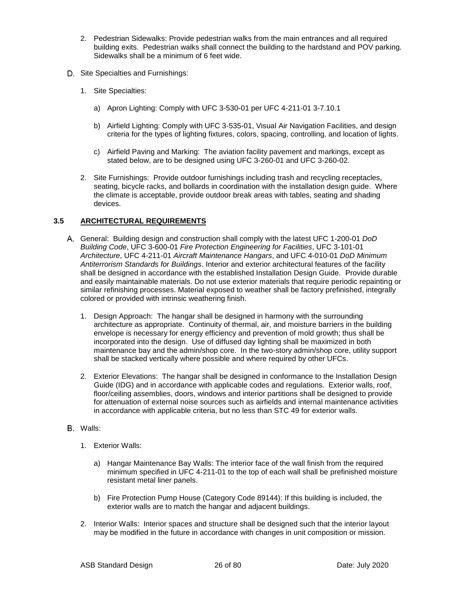- 2. Pedestrian Sidewalks: Provide pedestrian walks from the main entrances and all required building exits. Pedestrian walks shall connect the building to the hardstand and POV parking. Sidewalks shall be a minimum of 6 feet wide.
- D. Site Specialties and Furnishings:
	- 1. Site Specialties:
		- a) Apron Lighting: Comply with UFC 3-530-01 per UFC 4-211-01 3-7.10.1
		- b) Airfield Lighting: Comply with UFC 3-535-01, Visual Air Navigation Facilities, and design criteria for the types of lighting fixtures, colors, spacing, controlling, and location of lights.
		- c) Airfield Paving and Marking: The aviation facility pavement and markings, except as stated below, are to be designed using UFC 3-260-01 and UFC 3-260-02.
	- 2. Site Furnishings: Provide outdoor furnishings including trash and recycling receptacles, seating, bicycle racks, and bollards in coordination with the installation design guide. Where the climate is acceptable, provide outdoor break areas with tables, seating and shading devices.

#### **3.5 ARCHITECTURAL REQUIREMENTS**

- General: Building design and construction shall comply with the latest UFC 1-200-01 *DoD Building Code*, UFC 3-600-01 *Fire Protection Engineering for Facilities*, UFC 3-101-01 *Architecture*, UFC 4-211-01 *Aircraft Maintenance Hangars*, and UFC 4-010-01 *DoD Minimum Antiterrorism Standards for Buildings*. Interior and exterior architectural features of the facility shall be designed in accordance with the established Installation Design Guide. Provide durable and easily maintainable materials. Do not use exterior materials that require periodic repainting or similar refinishing processes. Material exposed to weather shall be factory prefinished, integrally colored or provided with intrinsic weathering finish.
	- 1. Design Approach: The hangar shall be designed in harmony with the surrounding architecture as appropriate. Continuity of thermal, air, and moisture barriers in the building envelope is necessary for energy efficiency and prevention of mold growth; thus shall be incorporated into the design. Use of diffused day lighting shall be maximized in both maintenance bay and the admin/shop core. In the two-story admin/shop core, utility support shall be stacked vertically where possible and where required by other UFCs.
	- 2. Exterior Elevations:The hangar shall be designed in conformance to the Installation Design Guide (IDG) and in accordance with applicable codes and regulations. Exterior walls, roof, floor/ceiling assemblies, doors, windows and interior partitions shall be designed to provide for attenuation of external noise sources such as airfields and internal maintenance activities in accordance with applicable criteria, but no less than STC 49 for exterior walls.
- B. Walls:
	- 1. Exterior Walls:
		- a) Hangar Maintenance Bay Walls: The interior face of the wall finish from the required minimum specified in UFC 4-211-01 to the top of each wall shall be prefinished moisture resistant metal liner panels.
		- b) Fire Protection Pump House (Category Code 89144): If this building is included, the exterior walls are to match the hangar and adjacent buildings.
	- 2. Interior Walls: Interior spaces and structure shall be designed such that the interior layout may be modified in the future in accordance with changes in unit composition or mission.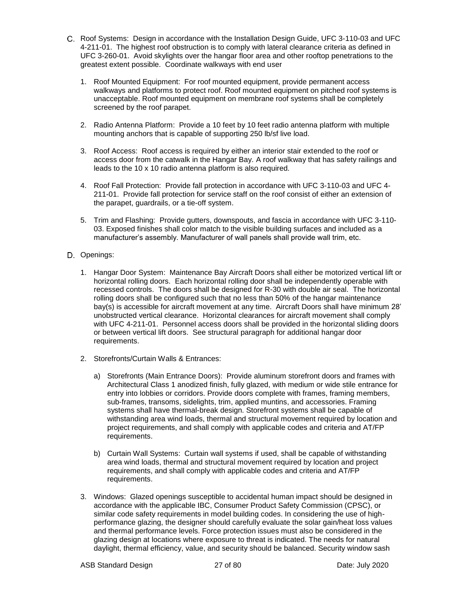- Roof Systems:Design in accordance with the Installation Design Guide, UFC 3-110-03 and UFC 4-211-01. The highest roof obstruction is to comply with lateral clearance criteria as defined in UFC 3-260-01. Avoid skylights over the hangar floor area and other rooftop penetrations to the greatest extent possible. Coordinate walkways with end user
	- 1. Roof Mounted Equipment: For roof mounted equipment, provide permanent access walkways and platforms to protect roof. Roof mounted equipment on pitched roof systems is unacceptable. Roof mounted equipment on membrane roof systems shall be completely screened by the roof parapet.
	- 2. Radio Antenna Platform: Provide a 10 feet by 10 feet radio antenna platform with multiple mounting anchors that is capable of supporting 250 lb/sf live load.
	- 3. Roof Access: Roof access is required by either an interior stair extended to the roof or access door from the catwalk in the Hangar Bay. A roof walkway that has safety railings and leads to the 10 x 10 radio antenna platform is also required.
	- 4. Roof Fall Protection: Provide fall protection in accordance with UFC 3-110-03 and UFC 4- 211-01. Provide fall protection for service staff on the roof consist of either an extension of the parapet, guardrails, or a tie-off system.
	- 5. Trim and Flashing: Provide gutters, downspouts, and fascia in accordance with UFC 3-110- 03. Exposed finishes shall color match to the visible building surfaces and included as a manufacturer's assembly. Manufacturer of wall panels shall provide wall trim, etc.
- D. Openings:
	- 1. Hangar Door System: Maintenance Bay Aircraft Doors shall either be motorized vertical lift or horizontal rolling doors. Each horizontal rolling door shall be independently operable with recessed controls. The doors shall be designed for R-30 with double air seal. The horizontal rolling doors shall be configured such that no less than 50% of the hangar maintenance bay(s) is accessible for aircraft movement at any time. Aircraft Doors shall have minimum 28' unobstructed vertical clearance. Horizontal clearances for aircraft movement shall comply with UFC 4-211-01. Personnel access doors shall be provided in the horizontal sliding doors or between vertical lift doors. See structural paragraph for additional hangar door requirements.
	- 2. Storefronts/Curtain Walls & Entrances:
		- a) Storefronts (Main Entrance Doors): Provide aluminum storefront doors and frames with Architectural Class 1 anodized finish, fully glazed, with medium or wide stile entrance for entry into lobbies or corridors. Provide doors complete with frames, framing members, sub-frames, transoms, sidelights, trim, applied muntins, and accessories. Framing systems shall have thermal-break design. Storefront systems shall be capable of withstanding area wind loads, thermal and structural movement required by location and project requirements, and shall comply with applicable codes and criteria and AT/FP requirements.
		- b) Curtain Wall Systems: Curtain wall systems if used, shall be capable of withstanding area wind loads, thermal and structural movement required by location and project requirements, and shall comply with applicable codes and criteria and AT/FP requirements.
	- 3. Windows: Glazed openings susceptible to accidental human impact should be designed in accordance with the applicable IBC, Consumer Product Safety Commission (CPSC), or similar code safety requirements in model building codes. In considering the use of highperformance glazing, the designer should carefully evaluate the solar gain/heat loss values and thermal performance levels. Force protection issues must also be considered in the glazing design at locations where exposure to threat is indicated. The needs for natural daylight, thermal efficiency, value, and security should be balanced. Security window sash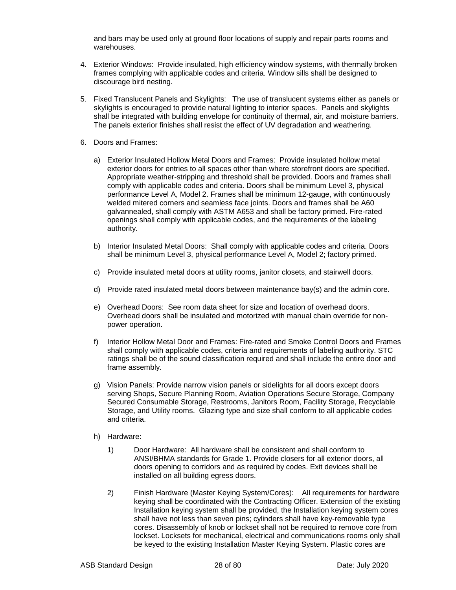and bars may be used only at ground floor locations of supply and repair parts rooms and warehouses.

- 4. Exterior Windows:Provide insulated, high efficiency window systems, with thermally broken frames complying with applicable codes and criteria. Window sills shall be designed to discourage bird nesting.
- 5. Fixed Translucent Panels and Skylights:The use of translucent systems either as panels or skylights is encouraged to provide natural lighting to interior spaces. Panels and skylights shall be integrated with building envelope for continuity of thermal, air, and moisture barriers. The panels exterior finishes shall resist the effect of UV degradation and weathering.
- 6. Doors and Frames:
	- a) Exterior Insulated Hollow Metal Doors and Frames: Provide insulated hollow metal exterior doors for entries to all spaces other than where storefront doors are specified. Appropriate weather-stripping and threshold shall be provided. Doors and frames shall comply with applicable codes and criteria. Doors shall be minimum Level 3, physical performance Level A, Model 2. Frames shall be minimum 12-gauge, with continuously welded mitered corners and seamless face joints. Doors and frames shall be A60 galvannealed, shall comply with ASTM A653 and shall be factory primed. Fire-rated openings shall comply with applicable codes, and the requirements of the labeling authority.
	- b) Interior Insulated Metal Doors: Shall comply with applicable codes and criteria. Doors shall be minimum Level 3, physical performance Level A, Model 2; factory primed.
	- c) Provide insulated metal doors at utility rooms, janitor closets, and stairwell doors.
	- d) Provide rated insulated metal doors between maintenance bay(s) and the admin core.
	- e) Overhead Doors: See room data sheet for size and location of overhead doors. Overhead doors shall be insulated and motorized with manual chain override for nonpower operation.
	- f) Interior Hollow Metal Door and Frames: Fire-rated and Smoke Control Doors and Frames shall comply with applicable codes, criteria and requirements of labeling authority. STC ratings shall be of the sound classification required and shall include the entire door and frame assembly.
	- g) Vision Panels: Provide narrow vision panels or sidelights for all doors except doors serving Shops, Secure Planning Room, Aviation Operations Secure Storage, Company Secured Consumable Storage, Restrooms, Janitors Room, Facility Storage, Recyclable Storage, and Utility rooms. Glazing type and size shall conform to all applicable codes and criteria.
	- h) Hardware:
		- 1) Door Hardware: All hardware shall be consistent and shall conform to ANSI/BHMA standards for Grade 1. Provide closers for all exterior doors, all doors opening to corridors and as required by codes. Exit devices shall be installed on all building egress doors.
		- 2) Finish Hardware (Master Keying System/Cores): All requirements for hardware keying shall be coordinated with the Contracting Officer. Extension of the existing Installation keying system shall be provided, the Installation keying system cores shall have not less than seven pins; cylinders shall have key-removable type cores. Disassembly of knob or lockset shall not be required to remove core from lockset. Locksets for mechanical, electrical and communications rooms only shall be keyed to the existing Installation Master Keying System. Plastic cores are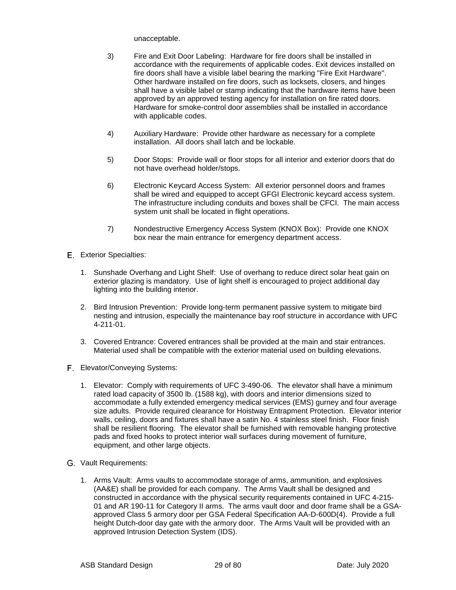unacceptable.

- 3) Fire and Exit Door Labeling: Hardware for fire doors shall be installed in accordance with the requirements of applicable codes. Exit devices installed on fire doors shall have a visible label bearing the marking "Fire Exit Hardware". Other hardware installed on fire doors, such as locksets, closers, and hinges shall have a visible label or stamp indicating that the hardware items have been approved by an approved testing agency for installation on fire rated doors. Hardware for smoke-control door assemblies shall be installed in accordance with applicable codes.
- 4) Auxiliary Hardware: Provide other hardware as necessary for a complete installation. All doors shall latch and be lockable.
- 5) Door Stops: Provide wall or floor stops for all interior and exterior doors that do not have overhead holder/stops.
- 6) Electronic Keycard Access System: All exterior personnel doors and frames shall be wired and equipped to accept GFGI Electronic keycard access system. The infrastructure including conduits and boxes shall be CFCI. The main access system unit shall be located in flight operations.
- 7) Nondestructive Emergency Access System (KNOX Box): Provide one KNOX box near the main entrance for emergency department access.
- Exterior Specialties:
	- 1. Sunshade Overhang and Light Shelf: Use of overhang to reduce direct solar heat gain on exterior glazing is mandatory. Use of light shelf is encouraged to project additional day lighting into the building interior.
	- 2. Bird Intrusion Prevention: Provide long-term permanent passive system to mitigate bird nesting and intrusion, especially the maintenance bay roof structure in accordance with UFC 4-211-01.
	- 3. Covered Entrance: Covered entrances shall be provided at the main and stair entrances. Material used shall be compatible with the exterior material used on building elevations.
- Elevator/Conveying Systems:
	- 1. Elevator: Comply with requirements of UFC 3-490-06. The elevator shall have a minimum rated load capacity of 3500 lb. (1588 kg), with doors and interior dimensions sized to accommodate a fully extended emergency medical services (EMS) gurney and four average size adults. Provide required clearance for Hoistway Entrapment Protection. Elevator interior walls, ceiling, doors and fixtures shall have a satin No. 4 stainless steel finish. Floor finish shall be resilient flooring. The elevator shall be furnished with removable hanging protective pads and fixed hooks to protect interior wall surfaces during movement of furniture, equipment, and other large objects.
- Vault Requirements:
	- 1. Arms Vault: Arms vaults to accommodate storage of arms, ammunition, and explosives (AA&E) shall be provided for each company. The Arms Vault shall be designed and constructed in accordance with the physical security requirements contained in UFC 4-215- 01 and AR 190-11 for Category II arms. The arms vault door and door frame shall be a GSAapproved Class 5 armory door per GSA Federal Specification AA-D-600D(4). Provide a full height Dutch-door day gate with the armory door. The Arms Vault will be provided with an approved Intrusion Detection System (IDS).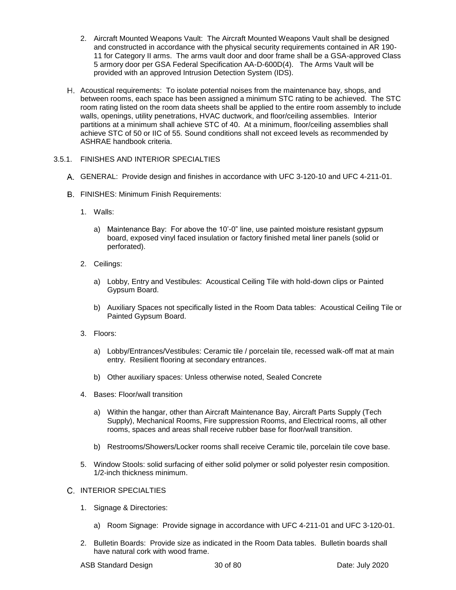- 2. Aircraft Mounted Weapons Vault: The Aircraft Mounted Weapons Vault shall be designed and constructed in accordance with the physical security requirements contained in AR 190- 11 for Category II arms. The arms vault door and door frame shall be a GSA-approved Class 5 armory door per GSA Federal Specification AA-D-600D(4). The Arms Vault will be provided with an approved Intrusion Detection System (IDS).
- Acoustical requirements: To isolate potential noises from the maintenance bay, shops, and between rooms, each space has been assigned a minimum STC rating to be achieved. The STC room rating listed on the room data sheets shall be applied to the entire room assembly to include walls, openings, utility penetrations, HVAC ductwork, and floor/ceiling assemblies. Interior partitions at a minimum shall achieve STC of 40. At a minimum, floor/ceiling assemblies shall achieve STC of 50 or IIC of 55. Sound conditions shall not exceed levels as recommended by ASHRAE handbook criteria.

#### 3.5.1. FINISHES AND INTERIOR SPECIALTIES

- GENERAL: Provide design and finishes in accordance with UFC 3-120-10 and UFC 4-211-01.
- FINISHES: Minimum Finish Requirements:
	- 1. Walls:
		- a) Maintenance Bay: For above the 10'-0" line, use painted moisture resistant gypsum board, exposed vinyl faced insulation or factory finished metal liner panels (solid or perforated).
	- 2. Ceilings:
		- a) Lobby, Entry and Vestibules: Acoustical Ceiling Tile with hold-down clips or Painted Gypsum Board.
		- b) Auxiliary Spaces not specifically listed in the Room Data tables: Acoustical Ceiling Tile or Painted Gypsum Board.
	- 3. Floors:
		- a) Lobby/Entrances/Vestibules: Ceramic tile / porcelain tile, recessed walk-off mat at main entry. Resilient flooring at secondary entrances.
		- b) Other auxiliary spaces: Unless otherwise noted, Sealed Concrete
	- 4. Bases: Floor/wall transition
		- a) Within the hangar, other than Aircraft Maintenance Bay, Aircraft Parts Supply (Tech Supply), Mechanical Rooms, Fire suppression Rooms, and Electrical rooms, all other rooms, spaces and areas shall receive rubber base for floor/wall transition.
		- b) Restrooms/Showers/Locker rooms shall receive Ceramic tile, porcelain tile cove base.
	- 5. Window Stools: solid surfacing of either solid polymer or solid polyester resin composition. 1/2-inch thickness minimum.
- C. INTERIOR SPECIALTIES
	- 1. Signage & Directories:
		- a) Room Signage: Provide signage in accordance with UFC 4-211-01 and UFC 3-120-01.
	- 2. Bulletin Boards: Provide size as indicated in the Room Data tables. Bulletin boards shall have natural cork with wood frame.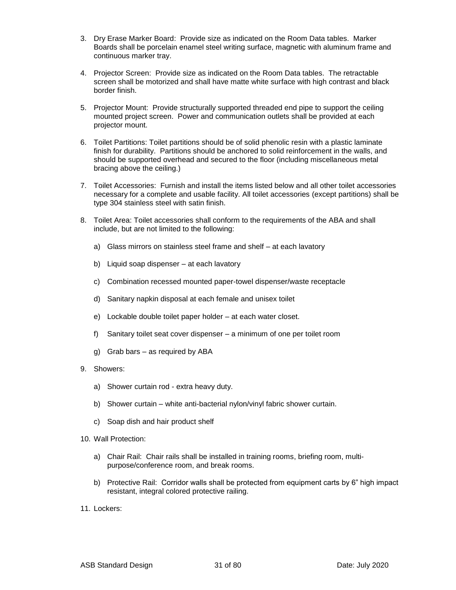- 3. Dry Erase Marker Board: Provide size as indicated on the Room Data tables. Marker Boards shall be porcelain enamel steel writing surface, magnetic with aluminum frame and continuous marker tray.
- 4. Projector Screen: Provide size as indicated on the Room Data tables. The retractable screen shall be motorized and shall have matte white surface with high contrast and black border finish.
- 5. Projector Mount: Provide structurally supported threaded end pipe to support the ceiling mounted project screen. Power and communication outlets shall be provided at each projector mount.
- 6. Toilet Partitions: Toilet partitions should be of solid phenolic resin with a plastic laminate finish for durability. Partitions should be anchored to solid reinforcement in the walls, and should be supported overhead and secured to the floor (including miscellaneous metal bracing above the ceiling.)
- 7. Toilet Accessories: Furnish and install the items listed below and all other toilet accessories necessary for a complete and usable facility. All toilet accessories (except partitions) shall be type 304 stainless steel with satin finish.
- 8. Toilet Area: Toilet accessories shall conform to the requirements of the ABA and shall include, but are not limited to the following:
	- a) Glass mirrors on stainless steel frame and shelf at each lavatory
	- b) Liquid soap dispenser at each lavatory
	- c) Combination recessed mounted paper-towel dispenser/waste receptacle
	- d) Sanitary napkin disposal at each female and unisex toilet
	- e) Lockable double toilet paper holder at each water closet.
	- f) Sanitary toilet seat cover dispenser a minimum of one per toilet room
	- g) Grab bars as required by ABA
- 9. Showers:
	- a) Shower curtain rod extra heavy duty.
	- b) Shower curtain white anti-bacterial nylon/vinyl fabric shower curtain.
	- c) Soap dish and hair product shelf
- 10. Wall Protection:
	- a) Chair Rail: Chair rails shall be installed in training rooms, briefing room, multipurpose/conference room, and break rooms.
	- b) Protective Rail: Corridor walls shall be protected from equipment carts by 6" high impact resistant, integral colored protective railing.
- 11. Lockers: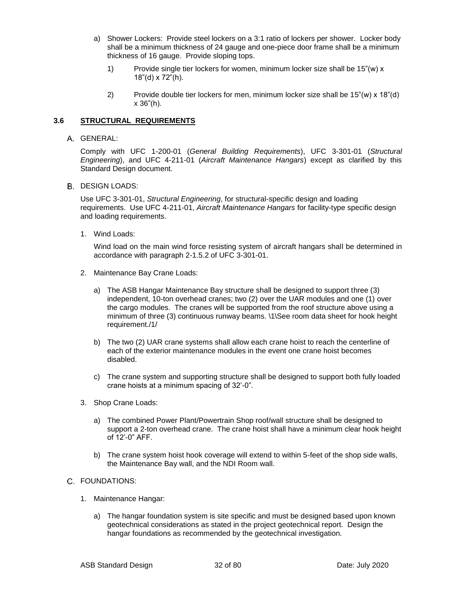- a) Shower Lockers:Provide steel lockers on a 3:1 ratio of lockers per shower. Locker body shall be a minimum thickness of 24 gauge and one-piece door frame shall be a minimum thickness of 16 gauge. Provide sloping tops.
	- 1) Provide single tier lockers for women, minimum locker size shall be 15"(w) x 18"(d) x 72"(h).
	- 2) Provide double tier lockers for men, minimum locker size shall be 15"(w) x 18"(d) x 36"(h).

#### **3.6 STRUCTURAL REQUIREMENTS**

GENERAL:

Comply with UFC 1-200-01 (*General Building Requirements*), UFC 3-301-01 (*Structural Engineering*), and UFC 4-211-01 (*Aircraft Maintenance Hangars*) except as clarified by this Standard Design document.

**B. DESIGN LOADS:** 

Use UFC 3-301-01, *Structural Engineering*, for structural-specific design and loading requirements. Use UFC 4-211-01, *Aircraft Maintenance Hangars* for facility-type specific design and loading requirements.

1. Wind Loads:

Wind load on the main wind force resisting system of aircraft hangars shall be determined in accordance with paragraph 2-1.5.2 of UFC 3-301-01.

- 2. Maintenance Bay Crane Loads:
	- a) The ASB Hangar Maintenance Bay structure shall be designed to support three (3) independent, 10-ton overhead cranes; two (2) over the UAR modules and one (1) over the cargo modules. The cranes will be supported from the roof structure above using a minimum of three (3) continuous runway beams. \1\See room data sheet for hook height requirement./1/
	- b) The two (2) UAR crane systems shall allow each crane hoist to reach the centerline of each of the exterior maintenance modules in the event one crane hoist becomes disabled.
	- c) The crane system and supporting structure shall be designed to support both fully loaded crane hoists at a minimum spacing of 32'-0".
- 3. Shop Crane Loads:
	- a) The combined Power Plant/Powertrain Shop roof/wall structure shall be designed to support a 2-ton overhead crane. The crane hoist shall have a minimum clear hook height of 12'-0" AFF.
	- b) The crane system hoist hook coverage will extend to within 5-feet of the shop side walls, the Maintenance Bay wall, and the NDI Room wall.

#### FOUNDATIONS:

- 1. Maintenance Hangar:
	- a) The hangar foundation system is site specific and must be designed based upon known geotechnical considerations as stated in the project geotechnical report. Design the hangar foundations as recommended by the geotechnical investigation.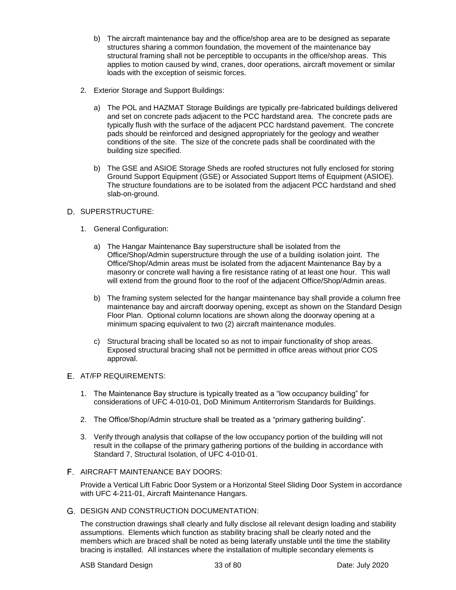- b) The aircraft maintenance bay and the office/shop area are to be designed as separate structures sharing a common foundation, the movement of the maintenance bay structural framing shall not be perceptible to occupants in the office/shop areas. This applies to motion caused by wind, cranes, door operations, aircraft movement or similar loads with the exception of seismic forces.
- 2. Exterior Storage and Support Buildings:
	- a) The POL and HAZMAT Storage Buildings are typically pre-fabricated buildings delivered and set on concrete pads adjacent to the PCC hardstand area. The concrete pads are typically flush with the surface of the adjacent PCC hardstand pavement. The concrete pads should be reinforced and designed appropriately for the geology and weather conditions of the site. The size of the concrete pads shall be coordinated with the building size specified.
	- b) The GSE and ASIOE Storage Sheds are roofed structures not fully enclosed for storing Ground Support Equipment (GSE) or Associated Support Items of Equipment (ASIOE). The structure foundations are to be isolated from the adjacent PCC hardstand and shed slab-on-ground.

#### D. SUPERSTRUCTURE:

- 1. General Configuration:
	- a) The Hangar Maintenance Bay superstructure shall be isolated from the Office/Shop/Admin superstructure through the use of a building isolation joint. The Office/Shop/Admin areas must be isolated from the adjacent Maintenance Bay by a masonry or concrete wall having a fire resistance rating of at least one hour. This wall will extend from the ground floor to the roof of the adjacent Office/Shop/Admin areas.
	- b) The framing system selected for the hangar maintenance bay shall provide a column free maintenance bay and aircraft doorway opening, except as shown on the Standard Design Floor Plan. Optional column locations are shown along the doorway opening at a minimum spacing equivalent to two (2) aircraft maintenance modules.
	- c) Structural bracing shall be located so as not to impair functionality of shop areas. Exposed structural bracing shall not be permitted in office areas without prior COS approval.

#### AT/FP REQUIREMENTS:

- 1. The Maintenance Bay structure is typically treated as a "low occupancy building" for considerations of UFC 4-010-01, DoD Minimum Antiterrorism Standards for Buildings.
- 2. The Office/Shop/Admin structure shall be treated as a "primary gathering building".
- 3. Verify through analysis that collapse of the low occupancy portion of the building will not result in the collapse of the primary gathering portions of the building in accordance with Standard 7, Structural Isolation, of UFC 4-010-01.
- AIRCRAFT MAINTENANCE BAY DOORS:

Provide a Vertical Lift Fabric Door System or a Horizontal Steel Sliding Door System in accordance with UFC 4-211-01, Aircraft Maintenance Hangars.

G. DESIGN AND CONSTRUCTION DOCUMENTATION:

The construction drawings shall clearly and fully disclose all relevant design loading and stability assumptions. Elements which function as stability bracing shall be clearly noted and the members which are braced shall be noted as being laterally unstable until the time the stability bracing is installed. All instances where the installation of multiple secondary elements is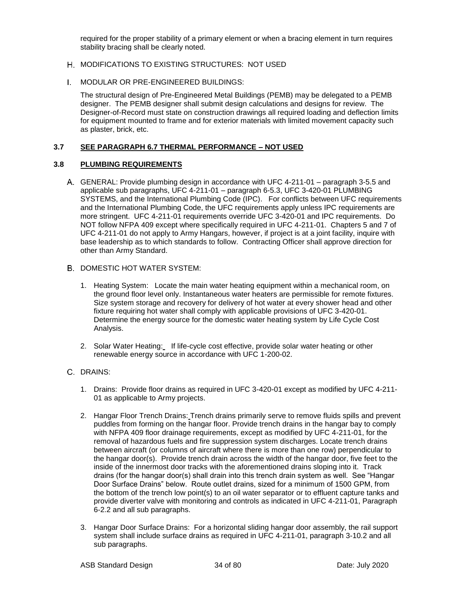required for the proper stability of a primary element or when a bracing element in turn requires stability bracing shall be clearly noted.

- H. MODIFICATIONS TO EXISTING STRUCTURES: NOT USED
- MODULAR OR PRE-ENGINEERED BUILDINGS:

The structural design of Pre-Engineered Metal Buildings (PEMB) may be delegated to a PEMB designer. The PEMB designer shall submit design calculations and designs for review. The Designer-of-Record must state on construction drawings all required loading and deflection limits for equipment mounted to frame and for exterior materials with limited movement capacity such as plaster, brick, etc.

#### **3.7 SEE PARAGRAPH 6.7 THERMAL PERFORMANCE – NOT USED**

#### **3.8 PLUMBING REQUIREMENTS**

- GENERAL: Provide plumbing design in accordance with UFC 4-211-01 paragraph 3-5.5 and applicable sub paragraphs, UFC 4-211-01 – paragraph 6-5.3, UFC 3-420-01 PLUMBING SYSTEMS, and the International Plumbing Code (IPC). For conflicts between UFC requirements and the International Plumbing Code, the UFC requirements apply unless IPC requirements are more stringent. UFC 4-211-01 requirements override UFC 3-420-01 and IPC requirements. Do NOT follow NFPA 409 except where specifically required in UFC 4-211-01. Chapters 5 and 7 of UFC 4-211-01 do not apply to Army Hangars, however, if project is at a joint facility, inquire with base leadership as to which standards to follow. Contracting Officer shall approve direction for other than Army Standard.
- B. DOMESTIC HOT WATER SYSTEM:
	- 1. Heating System: Locate the main water heating equipment within a mechanical room, on the ground floor level only. Instantaneous water heaters are permissible for remote fixtures. Size system storage and recovery for delivery of hot water at every shower head and other fixture requiring hot water shall comply with applicable provisions of UFC 3-420-01. Determine the energy source for the domestic water heating system by Life Cycle Cost Analysis.
	- 2. Solar Water Heating: If life-cycle cost effective, provide solar water heating or other renewable energy source in accordance with UFC 1-200-02.
- C. DRAINS:
	- 1. Drains: Provide floor drains as required in UFC 3-420-01 except as modified by UFC 4-211- 01 as applicable to Army projects.
	- 2. Hangar Floor Trench Drains: Trench drains primarily serve to remove fluids spills and prevent puddles from forming on the hangar floor. Provide trench drains in the hangar bay to comply with NFPA 409 floor drainage requirements, except as modified by UFC 4-211-01, for the removal of hazardous fuels and fire suppression system discharges. Locate trench drains between aircraft (or columns of aircraft where there is more than one row) perpendicular to the hangar door(s). Provide trench drain across the width of the hangar door, five feet to the inside of the innermost door tracks with the aforementioned drains sloping into it. Track drains (for the hangar door(s) shall drain into this trench drain system as well. See "Hangar Door Surface Drains" below. Route outlet drains, sized for a minimum of 1500 GPM, from the bottom of the trench low point(s) to an oil water separator or to effluent capture tanks and provide diverter valve with monitoring and controls as indicated in UFC 4-211-01, Paragraph 6-2.2 and all sub paragraphs.
	- 3. Hangar Door Surface Drains:For a horizontal sliding hangar door assembly, the rail support system shall include surface drains as required in UFC 4-211-01, paragraph 3-10.2 and all sub paragraphs.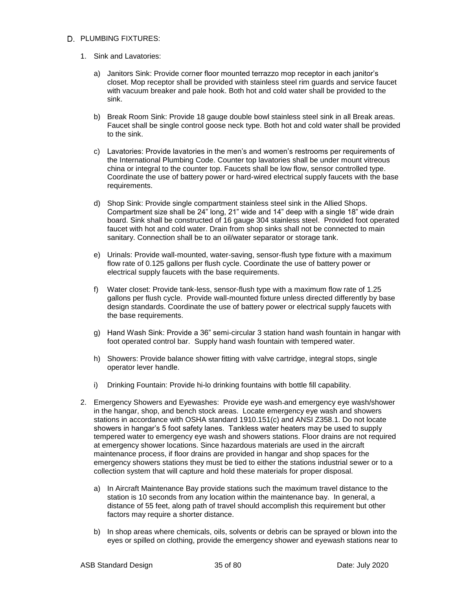#### D. PLUMBING FIXTURES:

- 1. Sink and Lavatories:
	- a) Janitors Sink: Provide corner floor mounted terrazzo mop receptor in each janitor's closet. Mop receptor shall be provided with stainless steel rim guards and service faucet with vacuum breaker and pale hook. Both hot and cold water shall be provided to the sink.
	- b) Break Room Sink: Provide 18 gauge double bowl stainless steel sink in all Break areas. Faucet shall be single control goose neck type. Both hot and cold water shall be provided to the sink.
	- c) Lavatories: Provide lavatories in the men's and women's restrooms per requirements of the International Plumbing Code. Counter top lavatories shall be under mount vitreous china or integral to the counter top. Faucets shall be low flow, sensor controlled type. Coordinate the use of battery power or hard-wired electrical supply faucets with the base requirements.
	- d) Shop Sink: Provide single compartment stainless steel sink in the Allied Shops. Compartment size shall be 24" long, 21" wide and 14" deep with a single 18" wide drain board. Sink shall be constructed of 16 gauge 304 stainless steel. Provided foot operated faucet with hot and cold water. Drain from shop sinks shall not be connected to main sanitary. Connection shall be to an oil/water separator or storage tank.
	- e) Urinals: Provide wall-mounted, water-saving, sensor-flush type fixture with a maximum flow rate of 0.125 gallons per flush cycle. Coordinate the use of battery power or electrical supply faucets with the base requirements.
	- f) Water closet: Provide tank-less, sensor-flush type with a maximum flow rate of 1.25 gallons per flush cycle. Provide wall-mounted fixture unless directed differently by base design standards. Coordinate the use of battery power or electrical supply faucets with the base requirements.
	- g) Hand Wash Sink: Provide a 36" semi-circular 3 station hand wash fountain in hangar with foot operated control bar. Supply hand wash fountain with tempered water.
	- h) Showers: Provide balance shower fitting with valve cartridge, integral stops, single operator lever handle.
	- i) Drinking Fountain: Provide hi-lo drinking fountains with bottle fill capability.
- 2. Emergency Showers and Eyewashes: Provide eye wash and emergency eye wash/shower in the hangar, shop, and bench stock areas. Locate emergency eye wash and showers stations in accordance with OSHA standard 1910.151(c) and ANSI Z358.1. Do not locate showers in hangar's 5 foot safety lanes. Tankless water heaters may be used to supply tempered water to emergency eye wash and showers stations. Floor drains are not required at emergency shower locations. Since hazardous materials are used in the aircraft maintenance process, if floor drains are provided in hangar and shop spaces for the emergency showers stations they must be tied to either the stations industrial sewer or to a collection system that will capture and hold these materials for proper disposal.
	- a) In Aircraft Maintenance Bay provide stations such the maximum travel distance to the station is 10 seconds from any location within the maintenance bay. In general, a distance of 55 feet, along path of travel should accomplish this requirement but other factors may require a shorter distance.
	- b) In shop areas where chemicals, oils, solvents or debris can be sprayed or blown into the eyes or spilled on clothing, provide the emergency shower and eyewash stations near to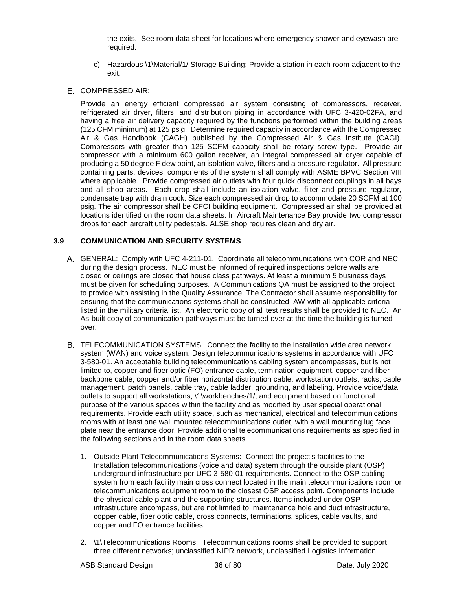the exits. See room data sheet for locations where emergency shower and eyewash are required.

- c) Hazardous \1\Material/1/ Storage Building: Provide a station in each room adjacent to the exit.
- E. COMPRESSED AIR:

Provide an energy efficient compressed air system consisting of compressors, receiver, refrigerated air dryer, filters, and distribution piping in accordance with UFC 3-420-02FA, and having a free air delivery capacity required by the functions performed within the building areas (125 CFM minimum) at 125 psig. Determine required capacity in accordance with the Compressed Air & Gas Handbook (CAGH) published by the Compressed Air & Gas Institute (CAGI). Compressors with greater than 125 SCFM capacity shall be rotary screw type. Provide air compressor with a minimum 600 gallon receiver, an integral compressed air dryer capable of producing a 50 degree F dew point, an isolation valve, filters and a pressure regulator. All pressure containing parts, devices, components of the system shall comply with ASME BPVC Section VIII where applicable. Provide compressed air outlets with four quick disconnect couplings in all bays and all shop areas. Each drop shall include an isolation valve, filter and pressure regulator, condensate trap with drain cock. Size each compressed air drop to accommodate 20 SCFM at 100 psig. The air compressor shall be CFCI building equipment. Compressed air shall be provided at locations identified on the room data sheets. In Aircraft Maintenance Bay provide two compressor drops for each aircraft utility pedestals. ALSE shop requires clean and dry air.

#### **3.9 COMMUNICATION AND SECURITY SYSTEMS**

- GENERAL: Comply with UFC 4-211-01. Coordinate all telecommunications with COR and NEC during the design process. NEC must be informed of required inspections before walls are closed or ceilings are closed that house class pathways. At least a minimum 5 business days must be given for scheduling purposes. A Communications QA must be assigned to the project to provide with assisting in the Quality Assurance. The Contractor shall assume responsibility for ensuring that the communications systems shall be constructed IAW with all applicable criteria listed in the military criteria list. An electronic copy of all test results shall be provided to NEC. An As-built copy of communication pathways must be turned over at the time the building is turned over.
- TELECOMMUNICATION SYSTEMS: Connect the facility to the Installation wide area network system (WAN) and voice system. Design telecommunications systems in accordance with UFC 3-580-01. An acceptable building telecommunications cabling system encompasses, but is not limited to, copper and fiber optic (FO) entrance cable, termination equipment, copper and fiber backbone cable, copper and/or fiber horizontal distribution cable, workstation outlets, racks, cable management, patch panels, cable tray, cable ladder, grounding, and labeling. Provide voice/data outlets to support all workstations, \1\workbenches/1/, and equipment based on functional purpose of the various spaces within the facility and as modified by user special operational requirements. Provide each utility space, such as mechanical, electrical and telecommunications rooms with at least one wall mounted telecommunications outlet, with a wall mounting lug face plate near the entrance door. Provide additional telecommunications requirements as specified in the following sections and in the room data sheets.
	- 1. Outside Plant Telecommunications Systems: Connect the project's facilities to the Installation telecommunications (voice and data) system through the outside plant (OSP) underground infrastructure per UFC 3-580-01 requirements. Connect to the OSP cabling system from each facility main cross connect located in the main telecommunications room or telecommunications equipment room to the closest OSP access point. Components include the physical cable plant and the supporting structures. Items included under OSP infrastructure encompass, but are not limited to, maintenance hole and duct infrastructure, copper cable, fiber optic cable, cross connects, terminations, splices, cable vaults, and copper and FO entrance facilities.
	- 2. \1\Telecommunications Rooms: Telecommunications rooms shall be provided to support three different networks; unclassified NIPR network, unclassified Logistics Information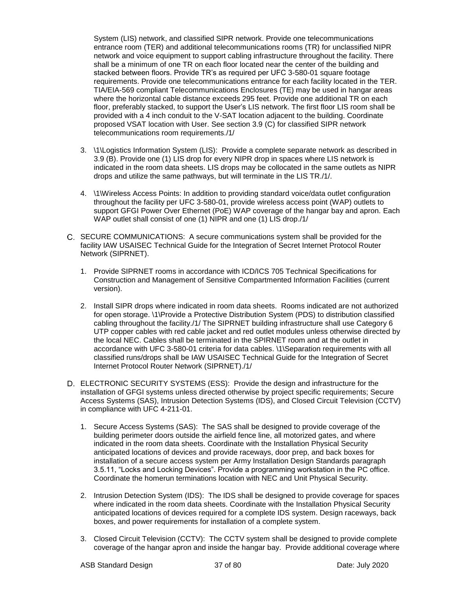System (LIS) network, and classified SIPR network. Provide one telecommunications entrance room (TER) and additional telecommunications rooms (TR) for unclassified NIPR network and voice equipment to support cabling infrastructure throughout the facility. There shall be a minimum of one TR on each floor located near the center of the building and stacked between floors. Provide TR's as required per UFC 3-580-01 square footage requirements. Provide one telecommunications entrance for each facility located in the TER. TIA/EIA-569 compliant Telecommunications Enclosures (TE) may be used in hangar areas where the horizontal cable distance exceeds 295 feet. Provide one additional TR on each floor, preferably stacked, to support the User's LIS network. The first floor LIS room shall be provided with a 4 inch conduit to the V-SAT location adjacent to the building. Coordinate proposed VSAT location with User. See section 3.9 (C) for classified SIPR network telecommunications room requirements./1/

- 3. \1\Logistics Information System (LIS): Provide a complete separate network as described in 3.9 (B). Provide one (1) LIS drop for every NIPR drop in spaces where LIS network is indicated in the room data sheets. LIS drops may be collocated in the same outlets as NIPR drops and utilize the same pathways, but will terminate in the LIS TR./1/.
- 4. \1\Wireless Access Points: In addition to providing standard voice/data outlet configuration throughout the facility per UFC 3-580-01, provide wireless access point (WAP) outlets to support GFGI Power Over Ethernet (PoE) WAP coverage of the hangar bay and apron. Each WAP outlet shall consist of one (1) NIPR and one (1) LIS drop./1/
- C. SECURE COMMUNICATIONS: A secure communications system shall be provided for the facility IAW USAISEC Technical Guide for the Integration of Secret Internet Protocol Router Network (SIPRNET).
	- 1. Provide SIPRNET rooms in accordance with ICD/ICS 705 Technical Specifications for Construction and Management of Sensitive Compartmented Information Facilities (current version).
	- 2. Install SIPR drops where indicated in room data sheets. Rooms indicated are not authorized for open storage. \1\Provide a Protective Distribution System (PDS) to distribution classified cabling throughout the facility./1/ The SIPRNET building infrastructure shall use Category 6 UTP copper cables with red cable jacket and red outlet modules unless otherwise directed by the local NEC. Cables shall be terminated in the SPIRNET room and at the outlet in accordance with UFC 3-580-01 criteria for data cables. \1\Separation requirements with all classified runs/drops shall be IAW USAISEC Technical Guide for the Integration of Secret Internet Protocol Router Network (SIPRNET)./1/
- ELECTRONIC SECURITY SYSTEMS (ESS): Provide the design and infrastructure for the installation of GFGI systems unless directed otherwise by project specific requirements; Secure Access Systems (SAS), Intrusion Detection Systems (IDS), and Closed Circuit Television (CCTV) in compliance with UFC 4-211-01.
	- 1. Secure Access Systems (SAS): The SAS shall be designed to provide coverage of the building perimeter doors outside the airfield fence line, all motorized gates, and where indicated in the room data sheets. Coordinate with the Installation Physical Security anticipated locations of devices and provide raceways, door prep, and back boxes for installation of a secure access system per Army Installation Design Standards paragraph 3.5.11, "Locks and Locking Devices". Provide a programming workstation in the PC office. Coordinate the homerun terminations location with NEC and Unit Physical Security.
	- 2. Intrusion Detection System (IDS): The IDS shall be designed to provide coverage for spaces where indicated in the room data sheets. Coordinate with the Installation Physical Security anticipated locations of devices required for a complete IDS system. Design raceways, back boxes, and power requirements for installation of a complete system.
	- 3. Closed Circuit Television (CCTV): The CCTV system shall be designed to provide complete coverage of the hangar apron and inside the hangar bay. Provide additional coverage where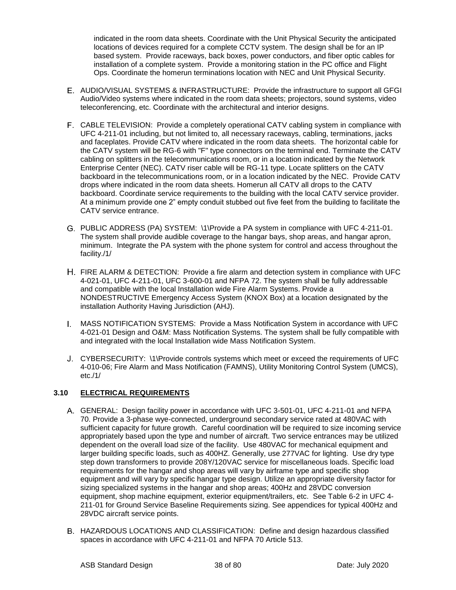indicated in the room data sheets. Coordinate with the Unit Physical Security the anticipated locations of devices required for a complete CCTV system. The design shall be for an IP based system. Provide raceways, back boxes, power conductors, and fiber optic cables for installation of a complete system. Provide a monitoring station in the PC office and Flight Ops. Coordinate the homerun terminations location with NEC and Unit Physical Security.

- AUDIO/VISUAL SYSTEMS & INFRASTRUCTURE: Provide the infrastructure to support all GFGI Audio/Video systems where indicated in the room data sheets; projectors, sound systems, video teleconferencing, etc. Coordinate with the architectural and interior designs.
- CABLE TELEVISION: Provide a completely operational CATV cabling system in compliance with UFC 4-211-01 including, but not limited to, all necessary raceways, cabling, terminations, jacks and faceplates. Provide CATV where indicated in the room data sheets. The horizontal cable for the CATV system will be RG-6 with "F" type connectors on the terminal end. Terminate the CATV cabling on splitters in the telecommunications room, or in a location indicated by the Network Enterprise Center (NEC). CATV riser cable will be RG-11 type. Locate splitters on the CATV backboard in the telecommunications room, or in a location indicated by the NEC. Provide CATV drops where indicated in the room data sheets. Homerun all CATV all drops to the CATV backboard. Coordinate service requirements to the building with the local CATV service provider. At a minimum provide one 2" empty conduit stubbed out five feet from the building to facilitate the CATV service entrance.
- PUBLIC ADDRESS (PA) SYSTEM: \1\Provide a PA system in compliance with UFC 4-211-01. The system shall provide audible coverage to the hangar bays, shop areas, and hangar apron, minimum. Integrate the PA system with the phone system for control and access throughout the facility./1/
- FIRE ALARM & DETECTION: Provide a fire alarm and detection system in compliance with UFC 4-021-01, UFC 4-211-01, UFC 3-600-01 and NFPA 72. The system shall be fully addressable and compatible with the local Installation wide Fire Alarm Systems. Provide a NONDESTRUCTIVE Emergency Access System (KNOX Box) at a location designated by the installation Authority Having Jurisdiction (AHJ).
- MASS NOTIFICATION SYSTEMS: Provide a Mass Notification System in accordance with UFC 4-021-01 Design and O&M: Mass Notification Systems. The system shall be fully compatible with and integrated with the local Installation wide Mass Notification System.
- CYBERSECURITY: \1\Provide controls systems which meet or exceed the requirements of UFC 4-010-06; Fire Alarm and Mass Notification (FAMNS), Utility Monitoring Control System (UMCS), etc./1/

## **3.10 ELECTRICAL REQUIREMENTS**

- GENERAL: Design facility power in accordance with UFC 3-501-01, UFC 4-211-01 and NFPA 70. Provide a 3-phase wye-connected, underground secondary service rated at 480VAC with sufficient capacity for future growth. Careful coordination will be required to size incoming service appropriately based upon the type and number of aircraft. Two service entrances may be utilized dependent on the overall load size of the facility. Use 480VAC for mechanical equipment and larger building specific loads, such as 400HZ. Generally, use 277VAC for lighting. Use dry type step down transformers to provide 208Y/120VAC service for miscellaneous loads. Specific load requirements for the hangar and shop areas will vary by airframe type and specific shop equipment and will vary by specific hangar type design. Utilize an appropriate diversity factor for sizing specialized systems in the hangar and shop areas; 400Hz and 28VDC conversion equipment, shop machine equipment, exterior equipment/trailers, etc. See Table 6-2 in UFC 4- 211-01 for Ground Service Baseline Requirements sizing. See appendices for typical 400Hz and 28VDC aircraft service points.
- HAZARDOUS LOCATIONS AND CLASSIFICATION: Define and design hazardous classified spaces in accordance with UFC 4-211-01 and NFPA 70 Article 513.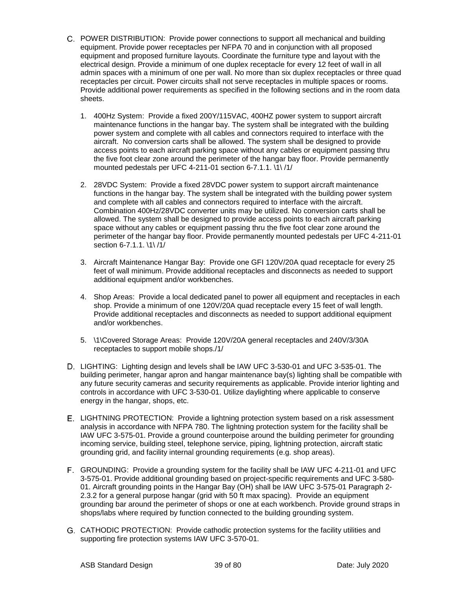- POWER DISTRIBUTION: Provide power connections to support all mechanical and building equipment. Provide power receptacles per NFPA 70 and in conjunction with all proposed equipment and proposed furniture layouts. Coordinate the furniture type and layout with the electrical design. Provide a minimum of one duplex receptacle for every 12 feet of wall in all admin spaces with a minimum of one per wall. No more than six duplex receptacles or three quad receptacles per circuit. Power circuits shall not serve receptacles in multiple spaces or rooms. Provide additional power requirements as specified in the following sections and in the room data sheets.
	- 1. 400Hz System: Provide a fixed 200Y/115VAC, 400HZ power system to support aircraft maintenance functions in the hangar bay. The system shall be integrated with the building power system and complete with all cables and connectors required to interface with the aircraft. No conversion carts shall be allowed. The system shall be designed to provide access points to each aircraft parking space without any cables or equipment passing thru the five foot clear zone around the perimeter of the hangar bay floor. Provide permanently mounted pedestals per UFC 4-211-01 section 6-7.1.1. \1\ /1/
	- 2. 28VDC System: Provide a fixed 28VDC power system to support aircraft maintenance functions in the hangar bay. The system shall be integrated with the building power system and complete with all cables and connectors required to interface with the aircraft. Combination 400Hz/28VDC converter units may be utilized. No conversion carts shall be allowed. The system shall be designed to provide access points to each aircraft parking space without any cables or equipment passing thru the five foot clear zone around the perimeter of the hangar bay floor. Provide permanently mounted pedestals per UFC 4-211-01 section 6-7.1.1. \1\ /1/
	- 3. Aircraft Maintenance Hangar Bay: Provide one GFI 120V/20A quad receptacle for every 25 feet of wall minimum. Provide additional receptacles and disconnects as needed to support additional equipment and/or workbenches.
	- 4. Shop Areas: Provide a local dedicated panel to power all equipment and receptacles in each shop. Provide a minimum of one 120V/20A quad receptacle every 15 feet of wall length. Provide additional receptacles and disconnects as needed to support additional equipment and/or workbenches.
	- 5. \1\Covered Storage Areas: Provide 120V/20A general receptacles and 240V/3/30A receptacles to support mobile shops./1/
- LIGHTING: Lighting design and levels shall be IAW UFC 3-530-01 and UFC 3-535-01. The building perimeter, hangar apron and hangar maintenance bay(s) lighting shall be compatible with any future security cameras and security requirements as applicable. Provide interior lighting and controls in accordance with UFC 3-530-01. Utilize daylighting where applicable to conserve energy in the hangar, shops, etc.
- E. LIGHTNING PROTECTION: Provide a lightning protection system based on a risk assessment analysis in accordance with NFPA 780. The lightning protection system for the facility shall be IAW UFC 3-575-01. Provide a ground counterpoise around the building perimeter for grounding incoming service, building steel, telephone service, piping, lightning protection, aircraft static grounding grid, and facility internal grounding requirements (e.g. shop areas).
- GROUNDING: Provide a grounding system for the facility shall be IAW UFC 4-211-01 and UFC 3-575-01. Provide additional grounding based on project-specific requirements and UFC 3-580- 01. Aircraft grounding points in the Hangar Bay (OH) shall be IAW UFC 3-575-01 Paragraph 2- 2.3.2 for a general purpose hangar (grid with 50 ft max spacing). Provide an equipment grounding bar around the perimeter of shops or one at each workbench. Provide ground straps in shops/labs where required by function connected to the building grounding system.
- CATHODIC PROTECTION: Provide cathodic protection systems for the facility utilities and supporting fire protection systems IAW UFC 3-570-01.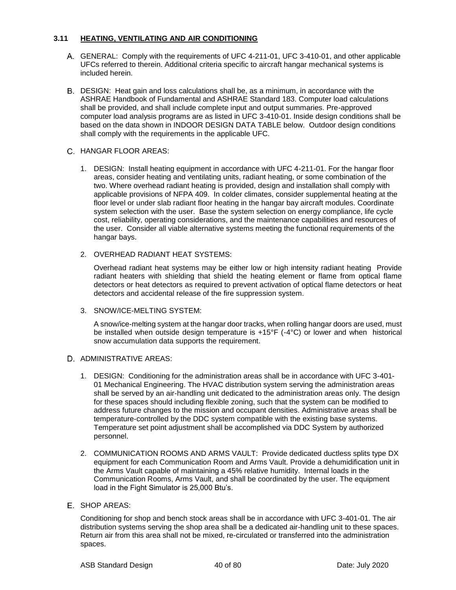#### **3.11 HEATING, VENTILATING AND AIR CONDITIONING**

- GENERAL: Comply with the requirements of UFC 4-211-01, UFC 3-410-01, and other applicable UFCs referred to therein. Additional criteria specific to aircraft hangar mechanical systems is included herein.
- DESIGN: Heat gain and loss calculations shall be, as a minimum, in accordance with the ASHRAE Handbook of Fundamental and ASHRAE Standard 183. Computer load calculations shall be provided, and shall include complete input and output summaries. Pre-approved computer load analysis programs are as listed in UFC 3-410-01. Inside design conditions shall be based on the data shown in INDOOR DESIGN DATA TABLE below. Outdoor design conditions shall comply with the requirements in the applicable UFC.

## C. HANGAR FLOOR AREAS:

- 1. DESIGN: Install heating equipment in accordance with UFC 4-211-01. For the hangar floor areas, consider heating and ventilating units, radiant heating, or some combination of the two. Where overhead radiant heating is provided, design and installation shall comply with applicable provisions of NFPA 409. In colder climates, consider supplemental heating at the floor level or under slab radiant floor heating in the hangar bay aircraft modules. Coordinate system selection with the user. Base the system selection on energy compliance, life cycle cost, reliability, operating considerations, and the maintenance capabilities and resources of the user. Consider all viable alternative systems meeting the functional requirements of the hangar bays.
- 2. OVERHEAD RADIANT HEAT SYSTEMS:

Overhead radiant heat systems may be either low or high intensity radiant heating Provide radiant heaters with shielding that shield the heating element or flame from optical flame detectors or heat detectors as required to prevent activation of optical flame detectors or heat detectors and accidental release of the fire suppression system.

3. SNOW/ICE-MELTING SYSTEM:

A snow/ice-melting system at the hangar door tracks, when rolling hangar doors are used, must be installed when outside design temperature is +15°F (-4°C) or lower and when historical snow accumulation data supports the requirement.

## D ADMINISTRATIVE AREAS:

- 1. DESIGN: Conditioning for the administration areas shall be in accordance with UFC 3-401- 01 Mechanical Engineering. The HVAC distribution system serving the administration areas shall be served by an air-handling unit dedicated to the administration areas only. The design for these spaces should including flexible zoning, such that the system can be modified to address future changes to the mission and occupant densities. Administrative areas shall be temperature-controlled by the DDC system compatible with the existing base systems. Temperature set point adjustment shall be accomplished via DDC System by authorized personnel.
- 2. COMMUNICATION ROOMS AND ARMS VAULT: Provide dedicated ductless splits type DX equipment for each Communication Room and Arms Vault. Provide a dehumidification unit in the Arms Vault capable of maintaining a 45% relative humidity. Internal loads in the Communication Rooms, Arms Vault, and shall be coordinated by the user. The equipment load in the Fight Simulator is 25,000 Btu's.

#### E. SHOP AREAS:

Conditioning for shop and bench stock areas shall be in accordance with UFC 3-401-01. The air distribution systems serving the shop area shall be a dedicated air-handling unit to these spaces. Return air from this area shall not be mixed, re-circulated or transferred into the administration spaces.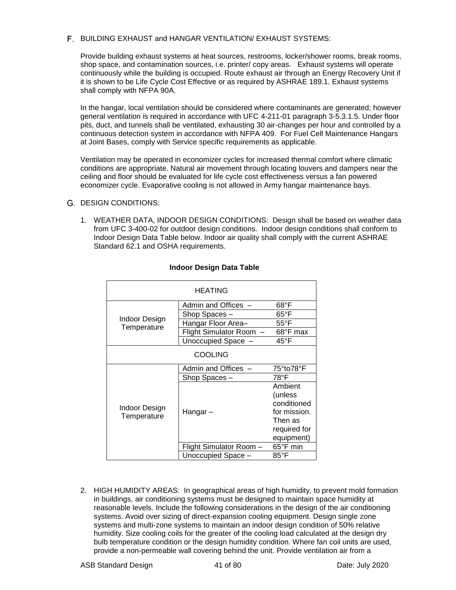### F. BUILDING EXHAUST and HANGAR VENTILATION/ EXHAUST SYSTEMS:

Provide building exhaust systems at heat sources, restrooms, locker/shower rooms, break rooms, shop space, and contamination sources, i.e. printer/ copy areas. Exhaust systems will operate continuously while the building is occupied. Route exhaust air through an Energy Recovery Unit if it is shown to be Life Cycle Cost Effective or as required by ASHRAE 189.1. Exhaust systems shall comply with NFPA 90A.

In the hangar, local ventilation should be considered where contaminants are generated; however general ventilation is required in accordance with UFC 4-211-01 paragraph 3-5.3.1.5. Under floor pits, duct, and tunnels shall be ventilated, exhausting 30 air-changes per hour and controlled by a continuous detection system in accordance with NFPA 409. For Fuel Cell Maintenance Hangars at Joint Bases, comply with Service specific requirements as applicable.

Ventilation may be operated in economizer cycles for increased thermal comfort where climatic conditions are appropriate. Natural air movement through locating louvers and dampers near the ceiling and floor should be evaluated for life cycle cost effectiveness versus a fan powered economizer cycle. Evaporative cooling is not allowed in Army hangar maintenance bays.

#### G. DESIGN CONDITIONS:

1. WEATHER DATA, INDOOR DESIGN CONDITIONS: Design shall be based on weather data from UFC 3-400-02 for outdoor design conditions. Indoor design conditions shall conform to Indoor Design Data Table below. Indoor air quality shall comply with the current ASHRAE Standard 62.1 and OSHA requirements.

| <b>HEATING</b>               |                              |                |  |
|------------------------------|------------------------------|----------------|--|
|                              | Admin and Offices -          | $68^{\circ}$ F |  |
|                              | Shop Spaces-                 | $65^{\circ}$ F |  |
| Indoor Design<br>Temperature | Hangar Floor Area-           | $55^{\circ}$ F |  |
|                              | <b>Flight Simulator Room</b> | 68°F max       |  |
|                              | Unoccupied Space -           | 45°F           |  |
| <b>COOLING</b>               |                              |                |  |
|                              | Admin and Offices            | 75°to78°F      |  |
|                              | Shop Spaces -                | 78°F           |  |
|                              |                              | Ambient        |  |
|                              |                              | (unless        |  |
| Indoor Design                |                              | conditioned    |  |
| Temperature                  | Hangar –                     | for mission.   |  |
|                              |                              | Then as        |  |
|                              |                              | required for   |  |
|                              |                              | equipment)     |  |
|                              | Flight Simulator Room -      | 65°F min       |  |
|                              | Unoccupied Space -           | 85°F           |  |

#### **Indoor Design Data Table**

2. HIGH HUMIDITY AREAS: In geographical areas of high humidity, to prevent mold formation in buildings, air conditioning systems must be designed to maintain space humidity at reasonable levels. Include the following considerations in the design of the air conditioning systems. Avoid over sizing of direct-expansion cooling equipment. Design single zone systems and multi-zone systems to maintain an indoor design condition of 50% relative humidity. Size cooling coils for the greater of the cooling load calculated at the design dry bulb temperature condition or the design humidity condition. Where fan coil units are used, provide a non-permeable wall covering behind the unit. Provide ventilation air from a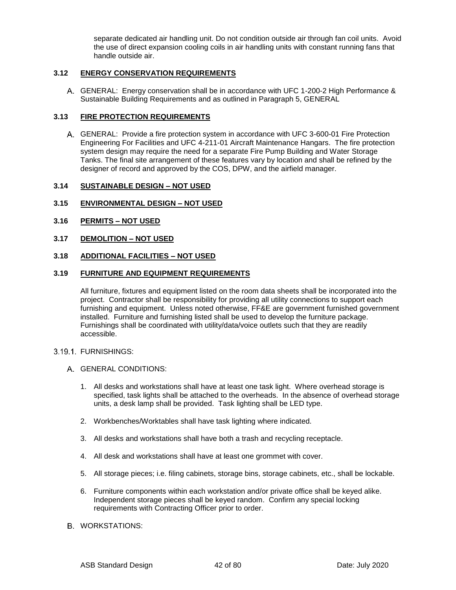separate dedicated air handling unit. Do not condition outside air through fan coil units. Avoid the use of direct expansion cooling coils in air handling units with constant running fans that handle outside air.

#### **3.12 ENERGY CONSERVATION REQUIREMENTS**

GENERAL: Energy conservation shall be in accordance with UFC 1-200-2 High Performance & Sustainable Building Requirements and as outlined in Paragraph 5, GENERAL

#### **3.13 FIRE PROTECTION REQUIREMENTS**

GENERAL:Provide a fire protection system in accordance with UFC 3-600-01 Fire Protection Engineering For Facilities and UFC 4-211-01 Aircraft Maintenance Hangars. The fire protection system design may require the need for a separate Fire Pump Building and Water Storage Tanks. The final site arrangement of these features vary by location and shall be refined by the designer of record and approved by the COS, DPW, and the airfield manager.

#### **3.14 SUSTAINABLE DESIGN – NOT USED**

#### **3.15 ENVIRONMENTAL DESIGN – NOT USED**

- **3.16 PERMITS – NOT USED**
- **3.17 DEMOLITION – NOT USED**

#### **3.18 ADDITIONAL FACILITIES – NOT USED**

#### **3.19 FURNITURE AND EQUIPMENT REQUIREMENTS**

All furniture, fixtures and equipment listed on the room data sheets shall be incorporated into the project. Contractor shall be responsibility for providing all utility connections to support each furnishing and equipment. Unless noted otherwise, FF&E are government furnished government installed. Furniture and furnishing listed shall be used to develop the furniture package. Furnishings shall be coordinated with utility/data/voice outlets such that they are readily accessible.

#### 3.19.1. FURNISHINGS:

- GENERAL CONDITIONS:
	- 1. All desks and workstations shall have at least one task light. Where overhead storage is specified, task lights shall be attached to the overheads. In the absence of overhead storage units, a desk lamp shall be provided. Task lighting shall be LED type.
	- 2. Workbenches/Worktables shall have task lighting where indicated.
	- 3. All desks and workstations shall have both a trash and recycling receptacle.
	- 4. All desk and workstations shall have at least one grommet with cover.
	- 5. All storage pieces; i.e. filing cabinets, storage bins, storage cabinets, etc., shall be lockable.
	- 6. Furniture components within each workstation and/or private office shall be keyed alike. Independent storage pieces shall be keyed random. Confirm any special locking requirements with Contracting Officer prior to order.
- **B. WORKSTATIONS:**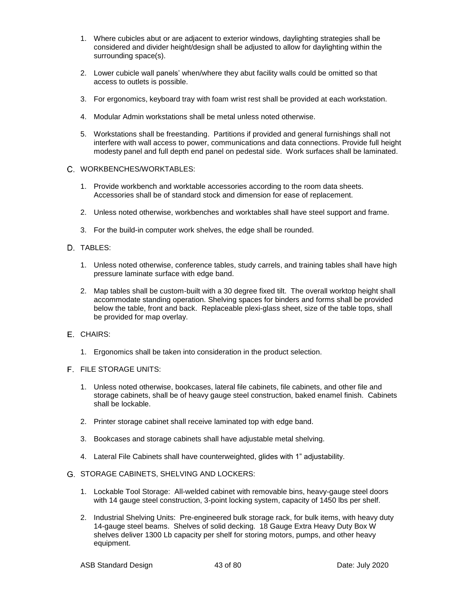- 1. Where cubicles abut or are adjacent to exterior windows, daylighting strategies shall be considered and divider height/design shall be adjusted to allow for daylighting within the surrounding space(s).
- 2. Lower cubicle wall panels' when/where they abut facility walls could be omitted so that access to outlets is possible.
- 3. For ergonomics, keyboard tray with foam wrist rest shall be provided at each workstation.
- 4. Modular Admin workstations shall be metal unless noted otherwise.
- 5. Workstations shall be freestanding. Partitions if provided and general furnishings shall not interfere with wall access to power, communications and data connections. Provide full height modesty panel and full depth end panel on pedestal side. Work surfaces shall be laminated.
- WORKBENCHES/WORKTABLES:
	- 1. Provide workbench and worktable accessories according to the room data sheets. Accessories shall be of standard stock and dimension for ease of replacement.
	- 2. Unless noted otherwise, workbenches and worktables shall have steel support and frame.
	- 3. For the build-in computer work shelves, the edge shall be rounded.
- D. TABLES:
	- 1. Unless noted otherwise, conference tables, study carrels, and training tables shall have high pressure laminate surface with edge band.
	- 2. Map tables shall be custom-built with a 30 degree fixed tilt. The overall worktop height shall accommodate standing operation. Shelving spaces for binders and forms shall be provided below the table, front and back. Replaceable plexi-glass sheet, size of the table tops, shall be provided for map overlay.
- E. CHAIRS:
	- 1. Ergonomics shall be taken into consideration in the product selection.
- F. FILE STORAGE UNITS:
	- 1. Unless noted otherwise, bookcases, lateral file cabinets, file cabinets, and other file and storage cabinets, shall be of heavy gauge steel construction, baked enamel finish. Cabinets shall be lockable.
	- 2. Printer storage cabinet shall receive laminated top with edge band.
	- 3. Bookcases and storage cabinets shall have adjustable metal shelving.
	- 4. Lateral File Cabinets shall have counterweighted, glides with 1" adjustability.
- STORAGE CABINETS, SHELVING AND LOCKERS:
	- 1. Lockable Tool Storage: All-welded cabinet with removable bins, heavy-gauge steel doors with 14 gauge steel construction, 3-point locking system, capacity of 1450 lbs per shelf.
	- 2. Industrial Shelving Units: Pre-engineered bulk storage rack, for bulk items, with heavy duty 14-gauge steel beams. Shelves of solid decking. 18 Gauge Extra Heavy Duty Box W shelves deliver 1300 Lb capacity per shelf for storing motors, pumps, and other heavy equipment.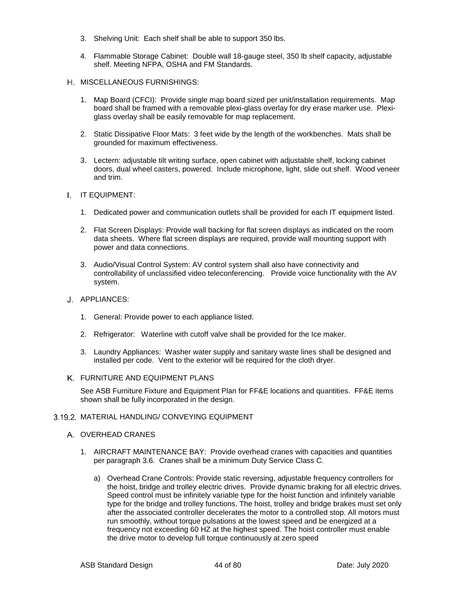- 3. Shelving Unit: Each shelf shall be able to support 350 lbs.
- 4. Flammable Storage Cabinet: Double wall 18-gauge steel, 350 lb shelf capacity, adjustable shelf. Meeting NFPA, OSHA and FM Standards.
- H. MISCELLANEOUS FURNISHINGS:
	- 1. Map Board (CFCI): Provide single map board sized per unit/installation requirements. Map board shall be framed with a removable plexi-glass overlay for dry erase marker use. Plexiglass overlay shall be easily removable for map replacement.
	- 2. Static Dissipative Floor Mats: 3 feet wide by the length of the workbenches. Mats shall be grounded for maximum effectiveness.
	- 3. Lectern: adjustable tilt writing surface, open cabinet with adjustable shelf, locking cabinet doors, dual wheel casters, powered. Include microphone, light, slide out shelf. Wood veneer and trim.
- I. IT EQUIPMENT:
	- 1. Dedicated power and communication outlets shall be provided for each IT equipment listed.
	- 2. Flat Screen Displays: Provide wall backing for flat screen displays as indicated on the room data sheets. Where flat screen displays are required, provide wall mounting support with power and data connections.
	- 3. Audio/Visual Control System: AV control system shall also have connectivity and controllability of unclassified video teleconferencing. Provide voice functionality with the AV system.
- J. APPLIANCES:
	- 1. General: Provide power to each appliance listed.
	- 2. Refrigerator: Waterline with cutoff valve shall be provided for the Ice maker.
	- 3. Laundry Appliances: Washer water supply and sanitary waste lines shall be designed and installed per code. Vent to the exterior will be required for the cloth dryer.
- FURNITURE AND EQUIPMENT PLANS

See ASB Furniture Fixture and Equipment Plan for FF&E locations and quantities. FF&E items shown shall be fully incorporated in the design.

#### 3.19.2. MATERIAL HANDLING/ CONVEYING EQUIPMENT

- A. OVERHEAD CRANES
	- 1. AIRCRAFT MAINTENANCE BAY: Provide overhead cranes with capacities and quantities per paragraph 3.6. Cranes shall be a minimum Duty Service Class C.
		- a) Overhead Crane Controls: Provide static reversing, adjustable frequency controllers for the hoist, bridge and trolley electric drives. Provide dynamic braking for all electric drives. Speed control must be infinitely variable type for the hoist function and infinitely variable type for the bridge and trolley functions. The hoist, trolley and bridge brakes must set only after the associated controller decelerates the motor to a controlled stop. All motors must run smoothly, without torque pulsations at the lowest speed and be energized at a frequency not exceeding 60 HZ at the highest speed. The hoist controller must enable the drive motor to develop full torque continuously at zero speed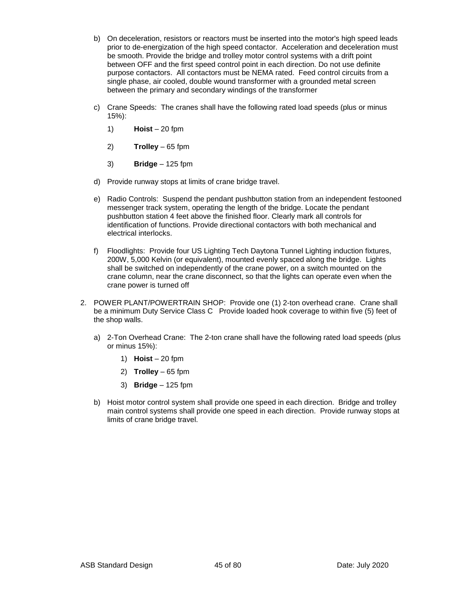- b) On deceleration, resistors or reactors must be inserted into the motor's high speed leads prior to de-energization of the high speed contactor. Acceleration and deceleration must be smooth. Provide the bridge and trolley motor control systems with a drift point between OFF and the first speed control point in each direction. Do not use definite purpose contactors. All contactors must be NEMA rated. Feed control circuits from a single phase, air cooled, double wound transformer with a grounded metal screen between the primary and secondary windings of the transformer
- c) Crane Speeds: The cranes shall have the following rated load speeds (plus or minus 15%):
	- 1) **Hoist** 20 fpm
	- $2)$  **Trolley**  $-65$  fpm
	- 3) **Bridge**  125 fpm
- d) Provide runway stops at limits of crane bridge travel.
- e) Radio Controls: Suspend the pendant pushbutton station from an independent festooned messenger track system, operating the length of the bridge. Locate the pendant pushbutton station 4 feet above the finished floor. Clearly mark all controls for identification of functions. Provide directional contactors with both mechanical and electrical interlocks.
- f) Floodlights: Provide four US Lighting Tech Daytona Tunnel Lighting induction fixtures, 200W, 5,000 Kelvin (or equivalent), mounted evenly spaced along the bridge. Lights shall be switched on independently of the crane power, on a switch mounted on the crane column, near the crane disconnect, so that the lights can operate even when the crane power is turned off
- 2. POWER PLANT/POWERTRAIN SHOP: Provide one (1) 2-ton overhead crane. Crane shall be a minimum Duty Service Class C Provide loaded hook coverage to within five (5) feet of the shop walls.
	- a) 2-Ton Overhead Crane: The 2-ton crane shall have the following rated load speeds (plus or minus 15%):
		- 1) **Hoist** 20 fpm
		- 2) **Trolley**  65 fpm
		- 3) **Bridge**  125 fpm
	- b) Hoist motor control system shall provide one speed in each direction. Bridge and trolley main control systems shall provide one speed in each direction. Provide runway stops at limits of crane bridge travel.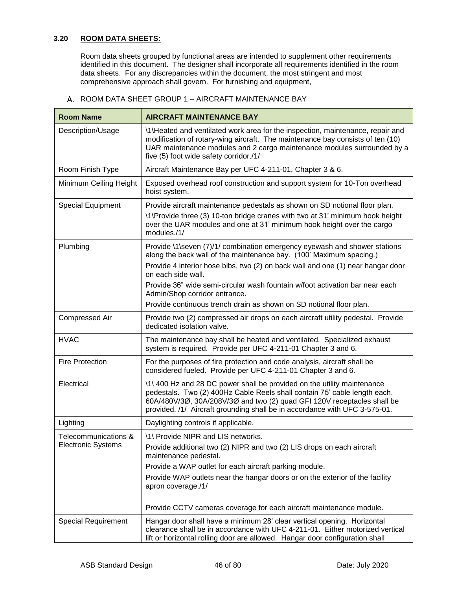## **3.20 ROOM DATA SHEETS:**

Room data sheets grouped by functional areas are intended to supplement other requirements identified in this document. The designer shall incorporate all requirements identified in the room data sheets. For any discrepancies within the document, the most stringent and most comprehensive approach shall govern. For furnishing and equipment,

| <b>Room Name</b>                                  | <b>AIRCRAFT MAINTENANCE BAY</b>                                                                                                                                                                                                                                                                                                                                                                                                                   |
|---------------------------------------------------|---------------------------------------------------------------------------------------------------------------------------------------------------------------------------------------------------------------------------------------------------------------------------------------------------------------------------------------------------------------------------------------------------------------------------------------------------|
| Description/Usage                                 | \1\Heated and ventilated work area for the inspection, maintenance, repair and<br>modification of rotary-wing aircraft. The maintenance bay consists of ten (10)<br>UAR maintenance modules and 2 cargo maintenance modules surrounded by a<br>five (5) foot wide safety corridor./1/                                                                                                                                                             |
| Room Finish Type                                  | Aircraft Maintenance Bay per UFC 4-211-01, Chapter 3 & 6.                                                                                                                                                                                                                                                                                                                                                                                         |
| Minimum Ceiling Height                            | Exposed overhead roof construction and support system for 10-Ton overhead<br>hoist system.                                                                                                                                                                                                                                                                                                                                                        |
| Special Equipment                                 | Provide aircraft maintenance pedestals as shown on SD notional floor plan.<br>\1\Provide three (3) 10-ton bridge cranes with two at 31' minimum hook height<br>over the UAR modules and one at 31' minimum hook height over the cargo<br>modules./1/                                                                                                                                                                                              |
| Plumbing                                          | Provide \1\seven (7)/1/ combination emergency eyewash and shower stations<br>along the back wall of the maintenance bay. (100' Maximum spacing.)<br>Provide 4 interior hose bibs, two (2) on back wall and one (1) near hangar door<br>on each side wall.<br>Provide 36" wide semi-circular wash fountain w/foot activation bar near each<br>Admin/Shop corridor entrance.<br>Provide continuous trench drain as shown on SD notional floor plan. |
| Compressed Air                                    | Provide two (2) compressed air drops on each aircraft utility pedestal. Provide<br>dedicated isolation valve.                                                                                                                                                                                                                                                                                                                                     |
| <b>HVAC</b>                                       | The maintenance bay shall be heated and ventilated. Specialized exhaust<br>system is required. Provide per UFC 4-211-01 Chapter 3 and 6.                                                                                                                                                                                                                                                                                                          |
| <b>Fire Protection</b>                            | For the purposes of fire protection and code analysis, aircraft shall be<br>considered fueled. Provide per UFC 4-211-01 Chapter 3 and 6.                                                                                                                                                                                                                                                                                                          |
| Electrical                                        | \1\400 Hz and 28 DC power shall be provided on the utility maintenance<br>pedestals. Two (2) 400Hz Cable Reels shall contain 75' cable length each.<br>60A/480V/3Ø, 30A/208V/3Ø and two (2) quad GFI 120V receptacles shall be<br>provided. /1/ Aircraft grounding shall be in accordance with UFC 3-575-01.                                                                                                                                      |
| Lighting                                          | Daylighting controls if applicable.                                                                                                                                                                                                                                                                                                                                                                                                               |
| Telecommunications &<br><b>Electronic Systems</b> | \1\ Provide NIPR and LIS networks.<br>Provide additional two (2) NIPR and two (2) LIS drops on each aircraft<br>maintenance pedestal.<br>Provide a WAP outlet for each aircraft parking module.<br>Provide WAP outlets near the hangar doors or on the exterior of the facility<br>apron coverage./1/<br>Provide CCTV cameras coverage for each aircraft maintenance module.                                                                      |
| <b>Special Requirement</b>                        | Hangar door shall have a minimum 28' clear vertical opening. Horizontal<br>clearance shall be in accordance with UFC 4-211-01. Either motorized vertical<br>lift or horizontal rolling door are allowed. Hangar door configuration shall                                                                                                                                                                                                          |

A. ROOM DATA SHEET GROUP 1 - AIRCRAFT MAINTENANCE BAY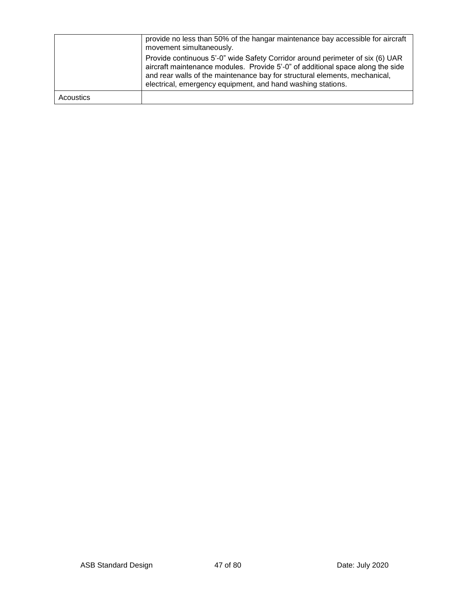|           | provide no less than 50% of the hangar maintenance bay accessible for aircraft<br>movement simultaneously.                                                                                                                                                                                                   |
|-----------|--------------------------------------------------------------------------------------------------------------------------------------------------------------------------------------------------------------------------------------------------------------------------------------------------------------|
|           | Provide continuous 5'-0" wide Safety Corridor around perimeter of six (6) UAR<br>aircraft maintenance modules. Provide 5'-0" of additional space along the side<br>and rear walls of the maintenance bay for structural elements, mechanical,<br>electrical, emergency equipment, and hand washing stations. |
| Acoustics |                                                                                                                                                                                                                                                                                                              |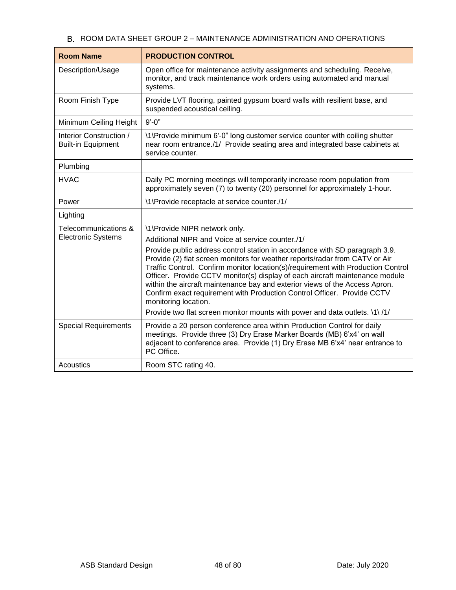# B. ROOM DATA SHEET GROUP 2 - MAINTENANCE ADMINISTRATION AND OPERATIONS

| <b>Room Name</b>                                     | <b>PRODUCTION CONTROL</b>                                                                                                                                                                                                                                                                                                                                                                                                                                                                                        |
|------------------------------------------------------|------------------------------------------------------------------------------------------------------------------------------------------------------------------------------------------------------------------------------------------------------------------------------------------------------------------------------------------------------------------------------------------------------------------------------------------------------------------------------------------------------------------|
| Description/Usage                                    | Open office for maintenance activity assignments and scheduling. Receive,<br>monitor, and track maintenance work orders using automated and manual<br>systems.                                                                                                                                                                                                                                                                                                                                                   |
| Room Finish Type                                     | Provide LVT flooring, painted gypsum board walls with resilient base, and<br>suspended acoustical ceiling.                                                                                                                                                                                                                                                                                                                                                                                                       |
| Minimum Ceiling Height                               | $9' - 0''$                                                                                                                                                                                                                                                                                                                                                                                                                                                                                                       |
| Interior Construction /<br><b>Built-in Equipment</b> | \1\Provide minimum 6'-0" long customer service counter with coiling shutter<br>near room entrance./1/ Provide seating area and integrated base cabinets at<br>service counter.                                                                                                                                                                                                                                                                                                                                   |
| Plumbing                                             |                                                                                                                                                                                                                                                                                                                                                                                                                                                                                                                  |
| <b>HVAC</b>                                          | Daily PC morning meetings will temporarily increase room population from<br>approximately seven (7) to twenty (20) personnel for approximately 1-hour.                                                                                                                                                                                                                                                                                                                                                           |
| Power                                                | \1\Provide receptacle at service counter./1/                                                                                                                                                                                                                                                                                                                                                                                                                                                                     |
| Lighting                                             |                                                                                                                                                                                                                                                                                                                                                                                                                                                                                                                  |
| Telecommunications &                                 | \1\Provide NIPR network only.                                                                                                                                                                                                                                                                                                                                                                                                                                                                                    |
| <b>Electronic Systems</b>                            | Additional NIPR and Voice at service counter./1/                                                                                                                                                                                                                                                                                                                                                                                                                                                                 |
|                                                      | Provide public address control station in accordance with SD paragraph 3.9.<br>Provide (2) flat screen monitors for weather reports/radar from CATV or Air<br>Traffic Control. Confirm monitor location(s)/requirement with Production Control<br>Officer. Provide CCTV monitor(s) display of each aircraft maintenance module<br>within the aircraft maintenance bay and exterior views of the Access Apron.<br>Confirm exact requirement with Production Control Officer. Provide CCTV<br>monitoring location. |
|                                                      | Provide two flat screen monitor mounts with power and data outlets. \1\ /1/                                                                                                                                                                                                                                                                                                                                                                                                                                      |
| <b>Special Requirements</b>                          | Provide a 20 person conference area within Production Control for daily<br>meetings. Provide three (3) Dry Erase Marker Boards (MB) 6'x4' on wall<br>adjacent to conference area. Provide (1) Dry Erase MB 6'x4' near entrance to<br>PC Office.                                                                                                                                                                                                                                                                  |
| Acoustics                                            | Room STC rating 40.                                                                                                                                                                                                                                                                                                                                                                                                                                                                                              |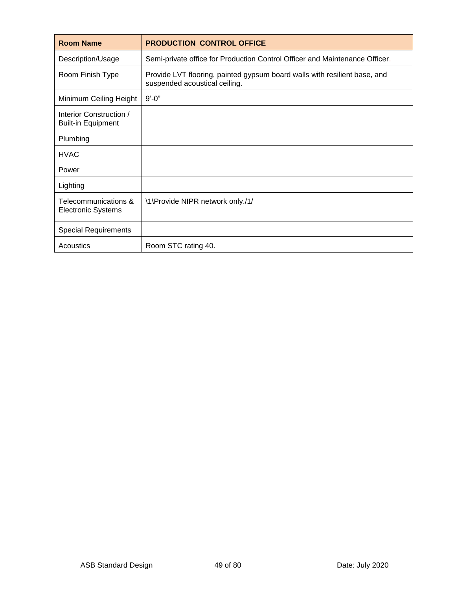| <b>Room Name</b>                                     | <b>PRODUCTION CONTROL OFFICE</b>                                                                           |
|------------------------------------------------------|------------------------------------------------------------------------------------------------------------|
| Description/Usage                                    | Semi-private office for Production Control Officer and Maintenance Officer.                                |
| Room Finish Type                                     | Provide LVT flooring, painted gypsum board walls with resilient base, and<br>suspended acoustical ceiling. |
| Minimum Ceiling Height                               | $9' - 0''$                                                                                                 |
| Interior Construction /<br><b>Built-in Equipment</b> |                                                                                                            |
| Plumbing                                             |                                                                                                            |
| <b>HVAC</b>                                          |                                                                                                            |
| Power                                                |                                                                                                            |
| Lighting                                             |                                                                                                            |
| Telecommunications &<br><b>Electronic Systems</b>    | \1\Provide NIPR network only./1/                                                                           |
| <b>Special Requirements</b>                          |                                                                                                            |
| <b>Acoustics</b>                                     | Room STC rating 40.                                                                                        |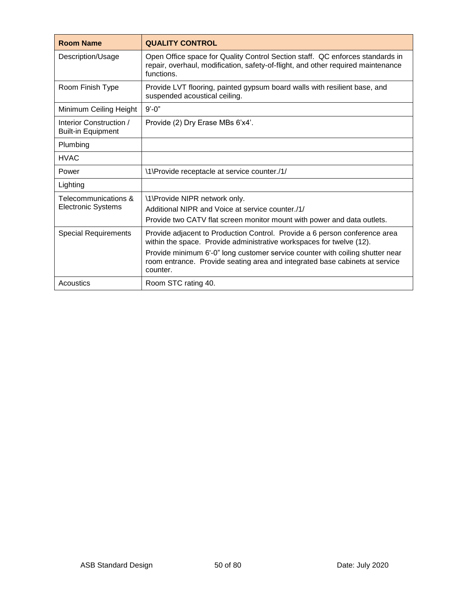| <b>Room Name</b>                                     | <b>QUALITY CONTROL</b>                                                                                                                                                                                                                                                                                                         |
|------------------------------------------------------|--------------------------------------------------------------------------------------------------------------------------------------------------------------------------------------------------------------------------------------------------------------------------------------------------------------------------------|
| Description/Usage                                    | Open Office space for Quality Control Section staff. QC enforces standards in<br>repair, overhaul, modification, safety-of-flight, and other required maintenance<br>functions.                                                                                                                                                |
| Room Finish Type                                     | Provide LVT flooring, painted gypsum board walls with resilient base, and<br>suspended acoustical ceiling.                                                                                                                                                                                                                     |
| Minimum Ceiling Height                               | $9' - 0''$                                                                                                                                                                                                                                                                                                                     |
| Interior Construction /<br><b>Built-in Equipment</b> | Provide (2) Dry Erase MBs 6'x4'.                                                                                                                                                                                                                                                                                               |
| Plumbing                                             |                                                                                                                                                                                                                                                                                                                                |
| <b>HVAC</b>                                          |                                                                                                                                                                                                                                                                                                                                |
| Power                                                | \1\Provide receptacle at service counter./1/                                                                                                                                                                                                                                                                                   |
| Lighting                                             |                                                                                                                                                                                                                                                                                                                                |
| Telecommunications &<br>Electronic Systems           | \1\Provide NIPR network only.<br>Additional NIPR and Voice at service counter./1/<br>Provide two CATV flat screen monitor mount with power and data outlets.                                                                                                                                                                   |
| <b>Special Requirements</b>                          | Provide adjacent to Production Control. Provide a 6 person conference area<br>within the space. Provide administrative workspaces for twelve (12).<br>Provide minimum 6'-0" long customer service counter with coiling shutter near<br>room entrance. Provide seating area and integrated base cabinets at service<br>counter. |
| Acoustics                                            | Room STC rating 40.                                                                                                                                                                                                                                                                                                            |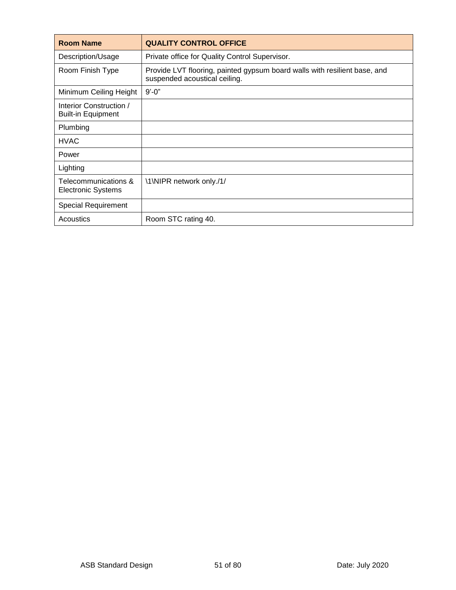| <b>Room Name</b>                                     | <b>QUALITY CONTROL OFFICE</b>                                                                              |
|------------------------------------------------------|------------------------------------------------------------------------------------------------------------|
| Description/Usage                                    | Private office for Quality Control Supervisor.                                                             |
| Room Finish Type                                     | Provide LVT flooring, painted gypsum board walls with resilient base, and<br>suspended acoustical ceiling. |
| Minimum Ceiling Height                               | $9' - 0''$                                                                                                 |
| Interior Construction /<br><b>Built-in Equipment</b> |                                                                                                            |
| Plumbing                                             |                                                                                                            |
| <b>HVAC</b>                                          |                                                                                                            |
| Power                                                |                                                                                                            |
| Lighting                                             |                                                                                                            |
| Telecommunications &<br><b>Electronic Systems</b>    | \1\NIPR network only./1/                                                                                   |
| <b>Special Requirement</b>                           |                                                                                                            |
| Acoustics                                            | Room STC rating 40.                                                                                        |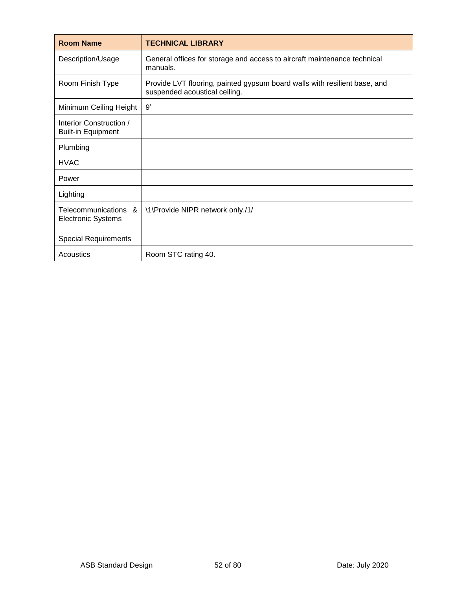| <b>Room Name</b>                                     | <b>TECHNICAL LIBRARY</b>                                                                                   |
|------------------------------------------------------|------------------------------------------------------------------------------------------------------------|
| Description/Usage                                    | General offices for storage and access to aircraft maintenance technical<br>manuals.                       |
| Room Finish Type                                     | Provide LVT flooring, painted gypsum board walls with resilient base, and<br>suspended acoustical ceiling. |
| Minimum Ceiling Height                               | 9'                                                                                                         |
| Interior Construction /<br><b>Built-in Equipment</b> |                                                                                                            |
| Plumbing                                             |                                                                                                            |
| <b>HVAC</b>                                          |                                                                                                            |
| Power                                                |                                                                                                            |
| Lighting                                             |                                                                                                            |
| Telecommunications &<br><b>Electronic Systems</b>    | \1\Provide NIPR network only./1/                                                                           |
| <b>Special Requirements</b>                          |                                                                                                            |
| Acoustics                                            | Room STC rating 40.                                                                                        |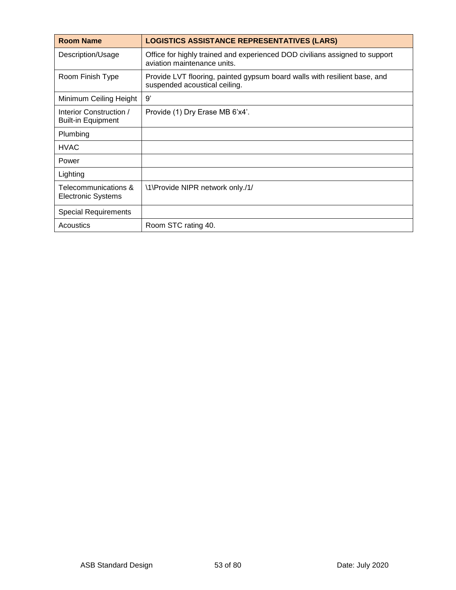| <b>Room Name</b>                                     | <b>LOGISTICS ASSISTANCE REPRESENTATIVES (LARS)</b>                                                         |
|------------------------------------------------------|------------------------------------------------------------------------------------------------------------|
| Description/Usage                                    | Office for highly trained and experienced DOD civilians assigned to support<br>aviation maintenance units. |
| Room Finish Type                                     | Provide LVT flooring, painted gypsum board walls with resilient base, and<br>suspended acoustical ceiling. |
| Minimum Ceiling Height                               | 9'                                                                                                         |
| Interior Construction /<br><b>Built-in Equipment</b> | Provide (1) Dry Erase MB 6'x4'.                                                                            |
| Plumbing                                             |                                                                                                            |
| <b>HVAC</b>                                          |                                                                                                            |
| Power                                                |                                                                                                            |
| Lighting                                             |                                                                                                            |
| Telecommunications &<br>Electronic Systems           | \1\Provide NIPR network only./1/                                                                           |
| <b>Special Requirements</b>                          |                                                                                                            |
| Acoustics                                            | Room STC rating 40.                                                                                        |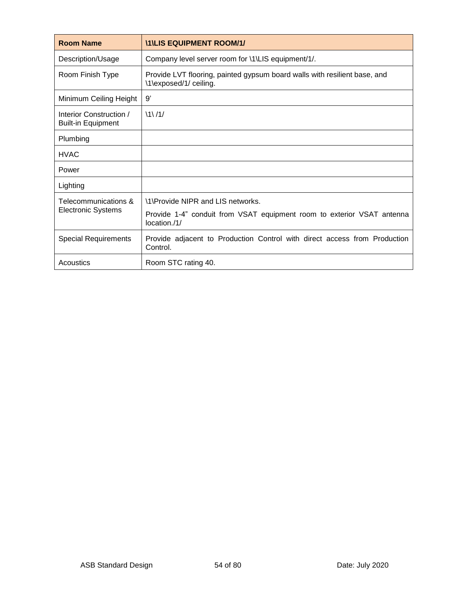| <b>Room Name</b>                                     | <b>\1\LIS EQUIPMENT ROOM/1/</b>                                                                     |
|------------------------------------------------------|-----------------------------------------------------------------------------------------------------|
| Description/Usage                                    | Company level server room for \1\LIS equipment/1/.                                                  |
| Room Finish Type                                     | Provide LVT flooring, painted gypsum board walls with resilient base, and<br>\1\exposed/1/ ceiling. |
| Minimum Ceiling Height                               | 9'                                                                                                  |
| Interior Construction /<br><b>Built-in Equipment</b> | $\1\right/1$                                                                                        |
| Plumbing                                             |                                                                                                     |
| <b>HVAC</b>                                          |                                                                                                     |
| Power                                                |                                                                                                     |
| Lighting                                             |                                                                                                     |
| Telecommunications &<br><b>Electronic Systems</b>    | \1\Provide NIPR and LIS networks.                                                                   |
|                                                      | Provide 1-4" conduit from VSAT equipment room to exterior VSAT antenna<br>location./1/              |
| <b>Special Requirements</b>                          | Provide adjacent to Production Control with direct access from Production<br>Control.               |
| Acoustics                                            | Room STC rating 40.                                                                                 |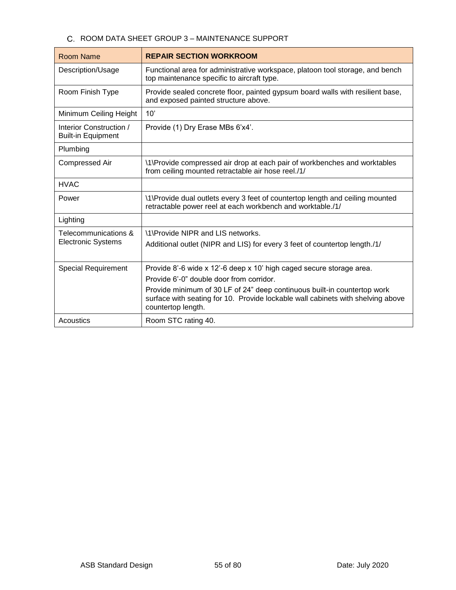# C. ROOM DATA SHEET GROUP 3 - MAINTENANCE SUPPORT

| Room Name                                            | <b>REPAIR SECTION WORKROOM</b>                                                                                                                                                                                                                                                                        |
|------------------------------------------------------|-------------------------------------------------------------------------------------------------------------------------------------------------------------------------------------------------------------------------------------------------------------------------------------------------------|
| Description/Usage                                    | Functional area for administrative workspace, platoon tool storage, and bench<br>top maintenance specific to aircraft type.                                                                                                                                                                           |
| Room Finish Type                                     | Provide sealed concrete floor, painted gypsum board walls with resilient base,<br>and exposed painted structure above.                                                                                                                                                                                |
| Minimum Ceiling Height                               | 10'                                                                                                                                                                                                                                                                                                   |
| Interior Construction /<br><b>Built-in Equipment</b> | Provide (1) Dry Erase MBs 6'x4'.                                                                                                                                                                                                                                                                      |
| Plumbing                                             |                                                                                                                                                                                                                                                                                                       |
| <b>Compressed Air</b>                                | \1\Provide compressed air drop at each pair of workbenches and worktables<br>from ceiling mounted retractable air hose reel./1/                                                                                                                                                                       |
| <b>HVAC</b>                                          |                                                                                                                                                                                                                                                                                                       |
| Power                                                | \1\Provide dual outlets every 3 feet of countertop length and ceiling mounted<br>retractable power reel at each workbench and worktable./1/                                                                                                                                                           |
| Lighting                                             |                                                                                                                                                                                                                                                                                                       |
| Telecommunications &<br><b>Electronic Systems</b>    | \1\Provide NIPR and LIS networks.<br>Additional outlet (NIPR and LIS) for every 3 feet of countertop length./1/                                                                                                                                                                                       |
| <b>Special Requirement</b>                           | Provide 8'-6 wide x 12'-6 deep x 10' high caged secure storage area.<br>Provide 6'-0" double door from corridor.<br>Provide minimum of 30 LF of 24" deep continuous built-in countertop work<br>surface with seating for 10. Provide lockable wall cabinets with shelving above<br>countertop length. |
| Acoustics                                            | Room STC rating 40.                                                                                                                                                                                                                                                                                   |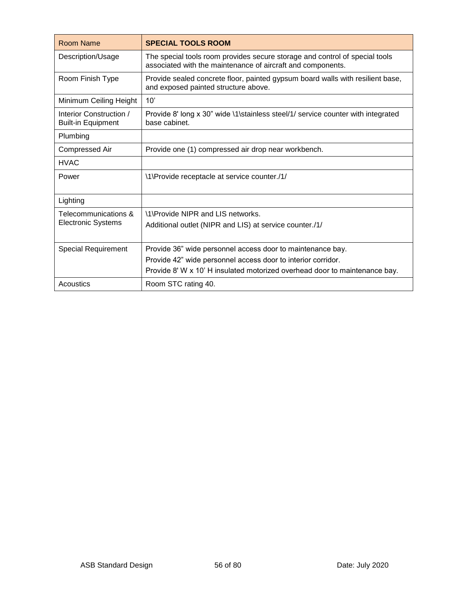| Room Name                                            | <b>SPECIAL TOOLS ROOM</b>                                                                                                                  |
|------------------------------------------------------|--------------------------------------------------------------------------------------------------------------------------------------------|
| Description/Usage                                    | The special tools room provides secure storage and control of special tools<br>associated with the maintenance of aircraft and components. |
| Room Finish Type                                     | Provide sealed concrete floor, painted gypsum board walls with resilient base,<br>and exposed painted structure above.                     |
| Minimum Ceiling Height                               | 10'                                                                                                                                        |
| Interior Construction /<br><b>Built-in Equipment</b> | Provide 8' long x 30" wide \1\stainless steel/1/ service counter with integrated<br>base cabinet.                                          |
| Plumbing                                             |                                                                                                                                            |
| <b>Compressed Air</b>                                | Provide one (1) compressed air drop near workbench.                                                                                        |
| <b>HVAC</b>                                          |                                                                                                                                            |
| Power                                                | \1\Provide receptacle at service counter./1/                                                                                               |
| Lighting                                             |                                                                                                                                            |
| Telecommunications &                                 | \1\Provide NIPR and LIS networks.                                                                                                          |
| <b>Electronic Systems</b>                            | Additional outlet (NIPR and LIS) at service counter./1/                                                                                    |
| <b>Special Requirement</b>                           | Provide 36" wide personnel access door to maintenance bay.                                                                                 |
|                                                      | Provide 42" wide personnel access door to interior corridor.                                                                               |
|                                                      | Provide 8' W x 10' H insulated motorized overhead door to maintenance bay.                                                                 |
| Acoustics                                            | Room STC rating 40.                                                                                                                        |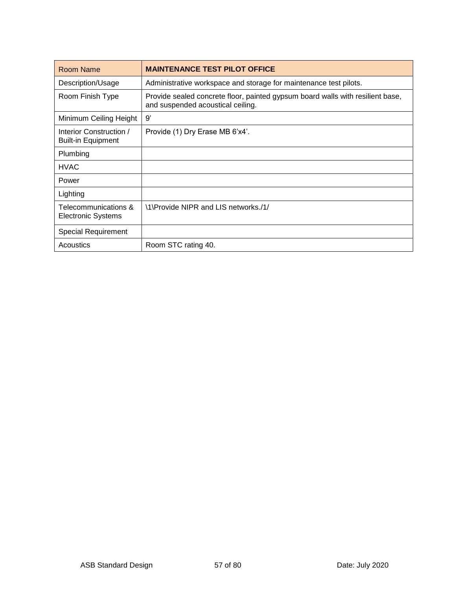| Room Name                                            | <b>MAINTENANCE TEST PILOT OFFICE</b>                                                                                |
|------------------------------------------------------|---------------------------------------------------------------------------------------------------------------------|
| Description/Usage                                    | Administrative workspace and storage for maintenance test pilots.                                                   |
| Room Finish Type                                     | Provide sealed concrete floor, painted gypsum board walls with resilient base,<br>and suspended acoustical ceiling. |
| Minimum Ceiling Height                               | 9'                                                                                                                  |
| Interior Construction /<br><b>Built-in Equipment</b> | Provide (1) Dry Erase MB 6'x4'.                                                                                     |
| Plumbing                                             |                                                                                                                     |
| <b>HVAC</b>                                          |                                                                                                                     |
| Power                                                |                                                                                                                     |
| Lighting                                             |                                                                                                                     |
| Telecommunications &<br><b>Electronic Systems</b>    | \1\Provide NIPR and LIS networks./1/                                                                                |
| <b>Special Requirement</b>                           |                                                                                                                     |
| Acoustics                                            | Room STC rating 40.                                                                                                 |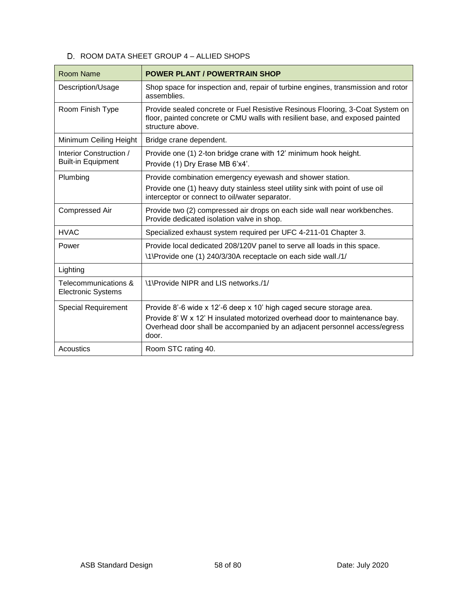# D. ROOM DATA SHEET GROUP 4 - ALLIED SHOPS

| <b>Room Name</b>                                     | <b>POWER PLANT / POWERTRAIN SHOP</b>                                                                                                                                                         |
|------------------------------------------------------|----------------------------------------------------------------------------------------------------------------------------------------------------------------------------------------------|
| Description/Usage                                    | Shop space for inspection and, repair of turbine engines, transmission and rotor<br>assemblies.                                                                                              |
| Room Finish Type                                     | Provide sealed concrete or Fuel Resistive Resinous Flooring, 3-Coat System on<br>floor, painted concrete or CMU walls with resilient base, and exposed painted<br>structure above.           |
| Minimum Ceiling Height                               | Bridge crane dependent.                                                                                                                                                                      |
| Interior Construction /<br><b>Built-in Equipment</b> | Provide one (1) 2-ton bridge crane with 12' minimum hook height.<br>Provide (1) Dry Erase MB 6'x4'.                                                                                          |
| Plumbing                                             | Provide combination emergency eyewash and shower station.<br>Provide one (1) heavy duty stainless steel utility sink with point of use oil<br>interceptor or connect to oil/water separator. |
| Compressed Air                                       | Provide two (2) compressed air drops on each side wall near workbenches.<br>Provide dedicated isolation valve in shop.                                                                       |
| <b>HVAC</b>                                          | Specialized exhaust system required per UFC 4-211-01 Chapter 3.                                                                                                                              |
| Power                                                | Provide local dedicated 208/120V panel to serve all loads in this space.<br>\1\Provide one (1) 240/3/30A receptacle on each side wall./1/                                                    |
| Lighting                                             |                                                                                                                                                                                              |
| Telecommunications &<br><b>Electronic Systems</b>    | \1\Provide NIPR and LIS networks./1/                                                                                                                                                         |
| <b>Special Requirement</b>                           | Provide 8'-6 wide x 12'-6 deep x 10' high caged secure storage area.                                                                                                                         |
|                                                      | Provide 8' W x 12' H insulated motorized overhead door to maintenance bay.<br>Overhead door shall be accompanied by an adjacent personnel access/egress<br>door.                             |
| Acoustics                                            | Room STC rating 40.                                                                                                                                                                          |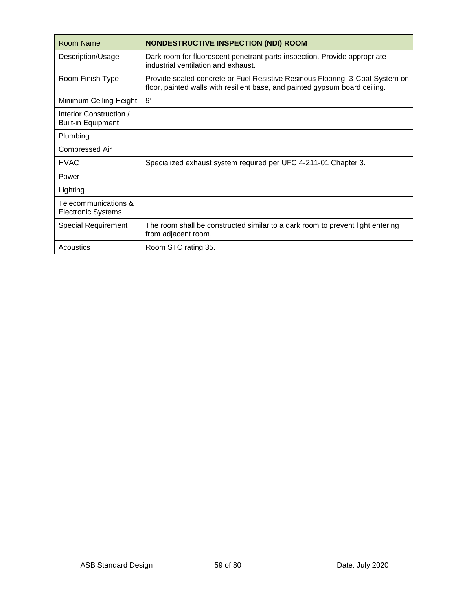| <b>Room Name</b>                                     | <b>NONDESTRUCTIVE INSPECTION (NDI) ROOM</b>                                                                                                                  |
|------------------------------------------------------|--------------------------------------------------------------------------------------------------------------------------------------------------------------|
| Description/Usage                                    | Dark room for fluorescent penetrant parts inspection. Provide appropriate<br>industrial ventilation and exhaust.                                             |
| Room Finish Type                                     | Provide sealed concrete or Fuel Resistive Resinous Flooring, 3-Coat System on<br>floor, painted walls with resilient base, and painted gypsum board ceiling. |
| Minimum Ceiling Height                               | 9'                                                                                                                                                           |
| Interior Construction /<br><b>Built-in Equipment</b> |                                                                                                                                                              |
| Plumbing                                             |                                                                                                                                                              |
| <b>Compressed Air</b>                                |                                                                                                                                                              |
| <b>HVAC</b>                                          | Specialized exhaust system required per UFC 4-211-01 Chapter 3.                                                                                              |
| Power                                                |                                                                                                                                                              |
| Lighting                                             |                                                                                                                                                              |
| Telecommunications &<br><b>Electronic Systems</b>    |                                                                                                                                                              |
| <b>Special Requirement</b>                           | The room shall be constructed similar to a dark room to prevent light entering<br>from adjacent room.                                                        |
| Acoustics                                            | Room STC rating 35.                                                                                                                                          |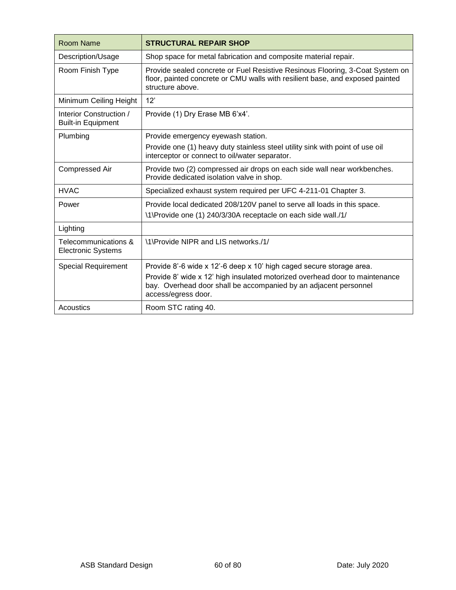| Room Name                                            | <b>STRUCTURAL REPAIR SHOP</b>                                                                                                                                                      |
|------------------------------------------------------|------------------------------------------------------------------------------------------------------------------------------------------------------------------------------------|
| Description/Usage                                    | Shop space for metal fabrication and composite material repair.                                                                                                                    |
| Room Finish Type                                     | Provide sealed concrete or Fuel Resistive Resinous Flooring, 3-Coat System on<br>floor, painted concrete or CMU walls with resilient base, and exposed painted<br>structure above. |
| Minimum Ceiling Height                               | 12'                                                                                                                                                                                |
| Interior Construction /<br><b>Built-in Equipment</b> | Provide (1) Dry Erase MB 6'x4'.                                                                                                                                                    |
| Plumbing                                             | Provide emergency eyewash station.                                                                                                                                                 |
|                                                      | Provide one (1) heavy duty stainless steel utility sink with point of use oil<br>interceptor or connect to oil/water separator.                                                    |
| <b>Compressed Air</b>                                | Provide two (2) compressed air drops on each side wall near workbenches.<br>Provide dedicated isolation valve in shop.                                                             |
| <b>HVAC</b>                                          | Specialized exhaust system required per UFC 4-211-01 Chapter 3.                                                                                                                    |
| Power                                                | Provide local dedicated 208/120V panel to serve all loads in this space.<br>\1\Provide one (1) 240/3/30A receptacle on each side wall./1/                                          |
| Lighting                                             |                                                                                                                                                                                    |
| Telecommunications &<br><b>Electronic Systems</b>    | \1\Provide NIPR and LIS networks./1/                                                                                                                                               |
| <b>Special Requirement</b>                           | Provide 8'-6 wide x 12'-6 deep x 10' high caged secure storage area.                                                                                                               |
|                                                      | Provide 8' wide x 12' high insulated motorized overhead door to maintenance<br>bay. Overhead door shall be accompanied by an adjacent personnel<br>access/egress door.             |
| Acoustics                                            | Room STC rating 40.                                                                                                                                                                |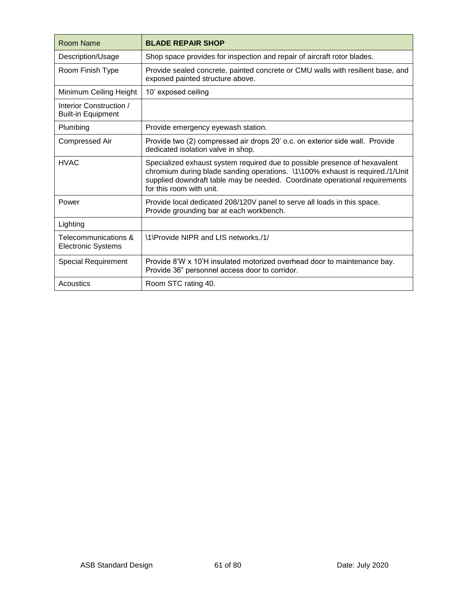| Room Name                                            | <b>BLADE REPAIR SHOP</b>                                                                                                                                                                                                                                               |
|------------------------------------------------------|------------------------------------------------------------------------------------------------------------------------------------------------------------------------------------------------------------------------------------------------------------------------|
| Description/Usage                                    | Shop space provides for inspection and repair of aircraft rotor blades.                                                                                                                                                                                                |
| Room Finish Type                                     | Provide sealed concrete, painted concrete or CMU walls with resilient base, and<br>exposed painted structure above.                                                                                                                                                    |
| Minimum Ceiling Height                               | 10' exposed ceiling                                                                                                                                                                                                                                                    |
| Interior Construction /<br><b>Built-in Equipment</b> |                                                                                                                                                                                                                                                                        |
| Plumbing                                             | Provide emergency eyewash station.                                                                                                                                                                                                                                     |
| <b>Compressed Air</b>                                | Provide two (2) compressed air drops 20' o.c. on exterior side wall. Provide<br>dedicated isolation valve in shop.                                                                                                                                                     |
| <b>HVAC</b>                                          | Specialized exhaust system required due to possible presence of hexavalent<br>chromium during blade sanding operations. \1\100% exhaust is required./1/Unit<br>supplied downdraft table may be needed. Coordinate operational requirements<br>for this room with unit. |
| Power                                                | Provide local dedicated 208/120V panel to serve all loads in this space.<br>Provide grounding bar at each workbench.                                                                                                                                                   |
| Lighting                                             |                                                                                                                                                                                                                                                                        |
| Telecommunications &<br><b>Electronic Systems</b>    | \1\Provide NIPR and LIS networks./1/                                                                                                                                                                                                                                   |
| <b>Special Requirement</b>                           | Provide 8'W x 10'H insulated motorized overhead door to maintenance bay.<br>Provide 36" personnel access door to corridor.                                                                                                                                             |
| Acoustics                                            | Room STC rating 40.                                                                                                                                                                                                                                                    |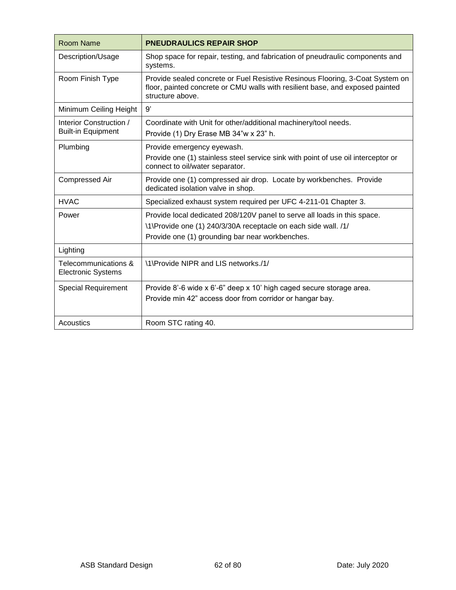| Room Name                                            | <b>PNEUDRAULICS REPAIR SHOP</b>                                                                                                                                                               |
|------------------------------------------------------|-----------------------------------------------------------------------------------------------------------------------------------------------------------------------------------------------|
| Description/Usage                                    | Shop space for repair, testing, and fabrication of pneudraulic components and<br>systems.                                                                                                     |
| Room Finish Type                                     | Provide sealed concrete or Fuel Resistive Resinous Flooring, 3-Coat System on<br>floor, painted concrete or CMU walls with resilient base, and exposed painted<br>structure above.            |
| Minimum Ceiling Height                               | 9'                                                                                                                                                                                            |
| Interior Construction /<br><b>Built-in Equipment</b> | Coordinate with Unit for other/additional machinery/tool needs.<br>Provide (1) Dry Erase MB 34"w x 23" h.                                                                                     |
| Plumbing                                             | Provide emergency eyewash.<br>Provide one (1) stainless steel service sink with point of use oil interceptor or<br>connect to oil/water separator.                                            |
| <b>Compressed Air</b>                                | Provide one (1) compressed air drop. Locate by workbenches. Provide<br>dedicated isolation valve in shop.                                                                                     |
| <b>HVAC</b>                                          | Specialized exhaust system required per UFC 4-211-01 Chapter 3.                                                                                                                               |
| Power                                                | Provide local dedicated 208/120V panel to serve all loads in this space.<br>\1\Provide one (1) 240/3/30A receptacle on each side wall. /1/<br>Provide one (1) grounding bar near workbenches. |
| Lighting                                             |                                                                                                                                                                                               |
| Telecommunications &<br><b>Electronic Systems</b>    | \1\Provide NIPR and LIS networks./1/                                                                                                                                                          |
| <b>Special Requirement</b>                           | Provide 8'-6 wide x 6'-6" deep x 10' high caged secure storage area.<br>Provide min 42" access door from corridor or hangar bay.                                                              |
| Acoustics                                            | Room STC rating 40.                                                                                                                                                                           |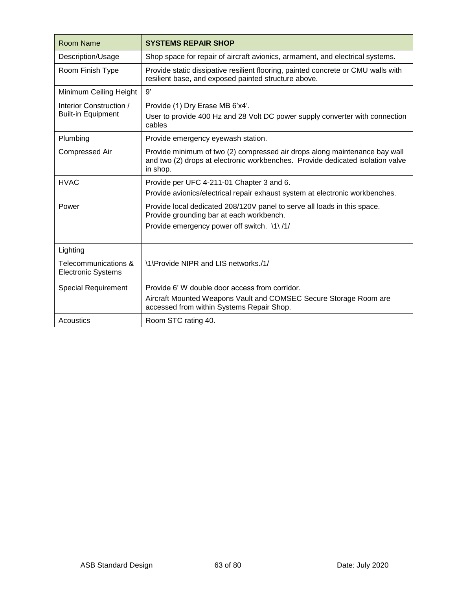| <b>Room Name</b>                                     | <b>SYSTEMS REPAIR SHOP</b>                                                                                                                                               |
|------------------------------------------------------|--------------------------------------------------------------------------------------------------------------------------------------------------------------------------|
| Description/Usage                                    | Shop space for repair of aircraft avionics, armament, and electrical systems.                                                                                            |
| Room Finish Type                                     | Provide static dissipative resilient flooring, painted concrete or CMU walls with<br>resilient base, and exposed painted structure above.                                |
| Minimum Ceiling Height                               | 9'                                                                                                                                                                       |
| Interior Construction /<br><b>Built-in Equipment</b> | Provide (1) Dry Erase MB 6'x4'.<br>User to provide 400 Hz and 28 Volt DC power supply converter with connection<br>cables                                                |
| Plumbing                                             | Provide emergency eyewash station.                                                                                                                                       |
| <b>Compressed Air</b>                                | Provide minimum of two (2) compressed air drops along maintenance bay wall<br>and two (2) drops at electronic workbenches. Provide dedicated isolation valve<br>in shop. |
| <b>HVAC</b>                                          | Provide per UFC 4-211-01 Chapter 3 and 6.                                                                                                                                |
|                                                      | Provide avionics/electrical repair exhaust system at electronic workbenches.                                                                                             |
| Power                                                | Provide local dedicated 208/120V panel to serve all loads in this space.<br>Provide grounding bar at each workbench.                                                     |
|                                                      | Provide emergency power off switch. \1\/1/                                                                                                                               |
| Lighting                                             |                                                                                                                                                                          |
| Telecommunications &<br><b>Electronic Systems</b>    | \1\Provide NIPR and LIS networks./1/                                                                                                                                     |
| <b>Special Requirement</b>                           | Provide 6' W double door access from corridor.                                                                                                                           |
|                                                      | Aircraft Mounted Weapons Vault and COMSEC Secure Storage Room are<br>accessed from within Systems Repair Shop.                                                           |
| Acoustics                                            | Room STC rating 40.                                                                                                                                                      |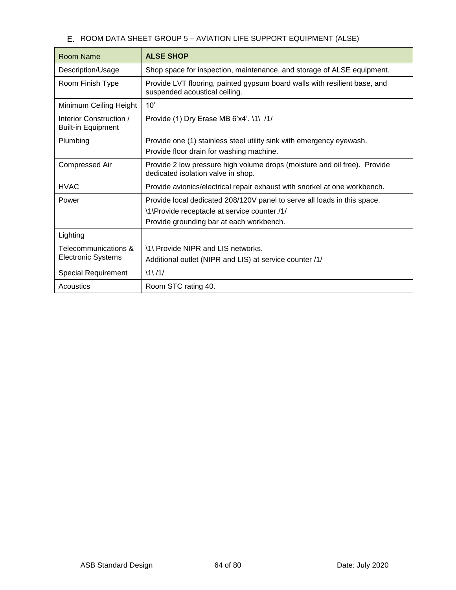# E. ROOM DATA SHEET GROUP 5 - AVIATION LIFE SUPPORT EQUIPMENT (ALSE)

| Room Name                                            | <b>ALSE SHOP</b>                                                                                                                                                     |
|------------------------------------------------------|----------------------------------------------------------------------------------------------------------------------------------------------------------------------|
| Description/Usage                                    | Shop space for inspection, maintenance, and storage of ALSE equipment.                                                                                               |
| Room Finish Type                                     | Provide LVT flooring, painted gypsum board walls with resilient base, and<br>suspended acoustical ceiling.                                                           |
| Minimum Ceiling Height                               | 10'                                                                                                                                                                  |
| Interior Construction /<br><b>Built-in Equipment</b> | Provide (1) Dry Erase MB 6'x4'. \1\ /1/                                                                                                                              |
| Plumbing                                             | Provide one (1) stainless steel utility sink with emergency eyewash.<br>Provide floor drain for washing machine.                                                     |
| Compressed Air                                       | Provide 2 low pressure high volume drops (moisture and oil free). Provide<br>dedicated isolation valve in shop.                                                      |
| <b>HVAC</b>                                          | Provide avionics/electrical repair exhaust with snorkel at one workbench.                                                                                            |
| Power                                                | Provide local dedicated 208/120V panel to serve all loads in this space.<br>\1\Provide receptacle at service counter./1/<br>Provide grounding bar at each workbench. |
| Lighting                                             |                                                                                                                                                                      |
| Telecommunications &<br><b>Electronic Systems</b>    | 11 Provide NIPR and LIS networks.<br>Additional outlet (NIPR and LIS) at service counter /1/                                                                         |
| <b>Special Requirement</b>                           | 11/1/                                                                                                                                                                |
| Acoustics                                            | Room STC rating 40.                                                                                                                                                  |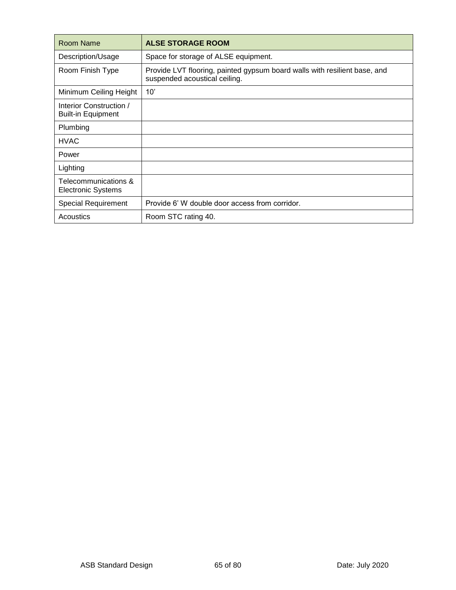| Room Name                                            | <b>ALSE STORAGE ROOM</b>                                                                                   |
|------------------------------------------------------|------------------------------------------------------------------------------------------------------------|
| Description/Usage                                    | Space for storage of ALSE equipment.                                                                       |
| Room Finish Type                                     | Provide LVT flooring, painted gypsum board walls with resilient base, and<br>suspended acoustical ceiling. |
| Minimum Ceiling Height                               | 10'                                                                                                        |
| Interior Construction /<br><b>Built-in Equipment</b> |                                                                                                            |
| Plumbing                                             |                                                                                                            |
| <b>HVAC</b>                                          |                                                                                                            |
| Power                                                |                                                                                                            |
| Lighting                                             |                                                                                                            |
| Telecommunications &<br><b>Electronic Systems</b>    |                                                                                                            |
| <b>Special Requirement</b>                           | Provide 6' W double door access from corridor.                                                             |
| Acoustics                                            | Room STC rating 40.                                                                                        |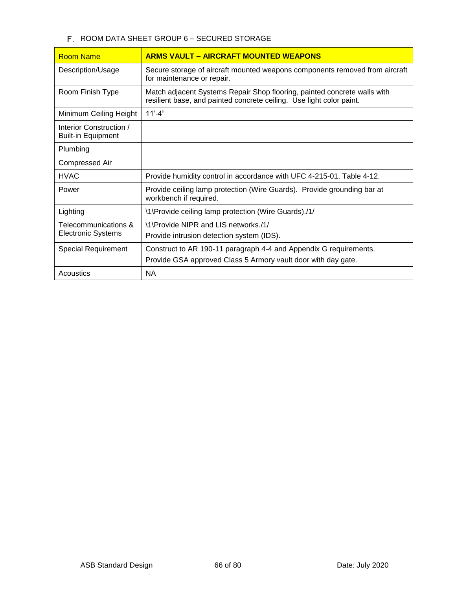# F. ROOM DATA SHEET GROUP 6 - SECURED STORAGE

| <b>Room Name</b>                                     | <b>ARMS VAULT – AIRCRAFT MOUNTED WEAPONS</b>                                                                                                     |
|------------------------------------------------------|--------------------------------------------------------------------------------------------------------------------------------------------------|
| Description/Usage                                    | Secure storage of aircraft mounted weapons components removed from aircraft<br>for maintenance or repair.                                        |
| Room Finish Type                                     | Match adjacent Systems Repair Shop flooring, painted concrete walls with<br>resilient base, and painted concrete ceiling. Use light color paint. |
| Minimum Ceiling Height                               | $11' - 4"$                                                                                                                                       |
| Interior Construction /<br><b>Built-in Equipment</b> |                                                                                                                                                  |
| Plumbing                                             |                                                                                                                                                  |
| <b>Compressed Air</b>                                |                                                                                                                                                  |
| <b>HVAC</b>                                          | Provide humidity control in accordance with UFC 4-215-01, Table 4-12.                                                                            |
| Power                                                | Provide ceiling lamp protection (Wire Guards). Provide grounding bar at<br>workbench if required.                                                |
| Lighting                                             | \1\Provide ceiling lamp protection (Wire Guards)./1/                                                                                             |
| Telecommunications &<br><b>Electronic Systems</b>    | \1\Provide NIPR and LIS networks./1/                                                                                                             |
|                                                      | Provide intrusion detection system (IDS).                                                                                                        |
| <b>Special Requirement</b>                           | Construct to AR 190-11 paragraph 4-4 and Appendix G requirements.                                                                                |
|                                                      | Provide GSA approved Class 5 Armory vault door with day gate.                                                                                    |
| Acoustics                                            | <b>NA</b>                                                                                                                                        |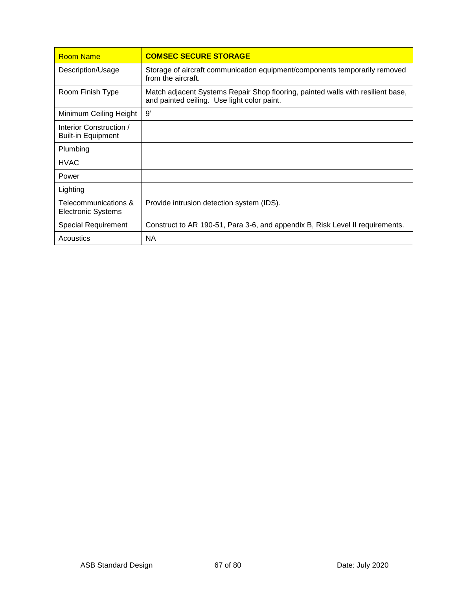| Room Name                                            | <b>COMSEC SECURE STORAGE</b>                                                                                                   |
|------------------------------------------------------|--------------------------------------------------------------------------------------------------------------------------------|
| Description/Usage                                    | Storage of aircraft communication equipment/components temporarily removed<br>from the aircraft.                               |
| Room Finish Type                                     | Match adjacent Systems Repair Shop flooring, painted walls with resilient base,<br>and painted ceiling. Use light color paint. |
| Minimum Ceiling Height                               | 9'                                                                                                                             |
| Interior Construction /<br><b>Built-in Equipment</b> |                                                                                                                                |
| Plumbing                                             |                                                                                                                                |
| <b>HVAC</b>                                          |                                                                                                                                |
| Power                                                |                                                                                                                                |
| Lighting                                             |                                                                                                                                |
| Telecommunications &<br><b>Electronic Systems</b>    | Provide intrusion detection system (IDS).                                                                                      |
| Special Requirement                                  | Construct to AR 190-51, Para 3-6, and appendix B, Risk Level II requirements.                                                  |
| Acoustics                                            | NА                                                                                                                             |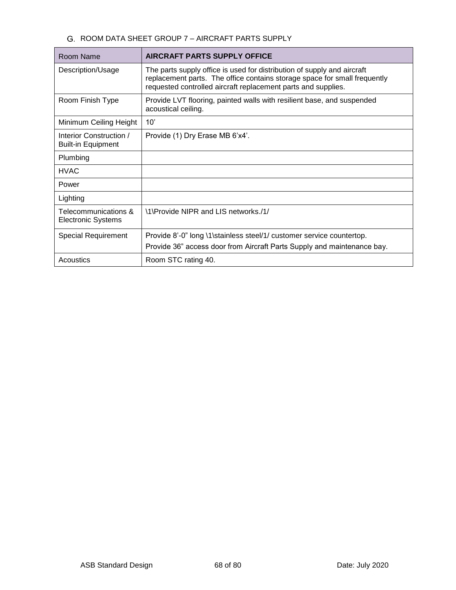# G. ROOM DATA SHEET GROUP 7 - AIRCRAFT PARTS SUPPLY

| Room Name                                            | <b>AIRCRAFT PARTS SUPPLY OFFICE</b>                                                                                                                                                                                   |
|------------------------------------------------------|-----------------------------------------------------------------------------------------------------------------------------------------------------------------------------------------------------------------------|
| Description/Usage                                    | The parts supply office is used for distribution of supply and aircraft<br>replacement parts. The office contains storage space for small frequently<br>requested controlled aircraft replacement parts and supplies. |
| Room Finish Type                                     | Provide LVT flooring, painted walls with resilient base, and suspended<br>acoustical ceiling.                                                                                                                         |
| Minimum Ceiling Height                               | 10'                                                                                                                                                                                                                   |
| Interior Construction /<br><b>Built-in Equipment</b> | Provide (1) Dry Erase MB 6'x4'.                                                                                                                                                                                       |
| Plumbing                                             |                                                                                                                                                                                                                       |
| <b>HVAC</b>                                          |                                                                                                                                                                                                                       |
| Power                                                |                                                                                                                                                                                                                       |
| Lighting                                             |                                                                                                                                                                                                                       |
| Telecommunications &<br><b>Electronic Systems</b>    | \1\Provide NIPR and LIS networks./1/                                                                                                                                                                                  |
| Special Requirement                                  | Provide 8'-0" long \1\stainless steel/1/ customer service countertop.<br>Provide 36" access door from Aircraft Parts Supply and maintenance bay.                                                                      |
| Acoustics                                            | Room STC rating 40.                                                                                                                                                                                                   |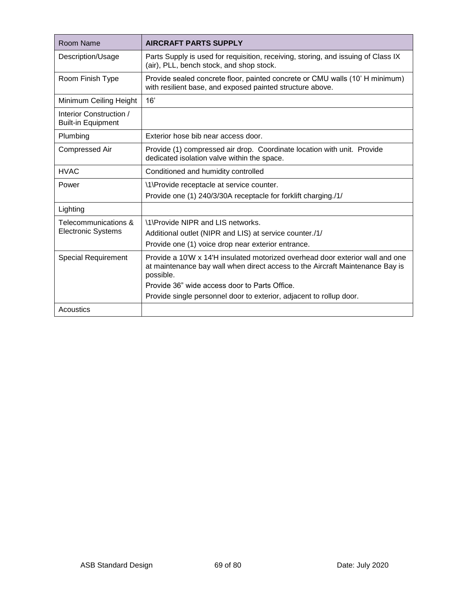| Room Name                                            | <b>AIRCRAFT PARTS SUPPLY</b>                                                                                                                                                |
|------------------------------------------------------|-----------------------------------------------------------------------------------------------------------------------------------------------------------------------------|
| Description/Usage                                    | Parts Supply is used for requisition, receiving, storing, and issuing of Class IX<br>(air), PLL, bench stock, and shop stock.                                               |
| Room Finish Type                                     | Provide sealed concrete floor, painted concrete or CMU walls (10' H minimum)<br>with resilient base, and exposed painted structure above.                                   |
| Minimum Ceiling Height                               | 16'                                                                                                                                                                         |
| Interior Construction /<br><b>Built-in Equipment</b> |                                                                                                                                                                             |
| Plumbing                                             | Exterior hose bib near access door.                                                                                                                                         |
| <b>Compressed Air</b>                                | Provide (1) compressed air drop. Coordinate location with unit. Provide<br>dedicated isolation valve within the space.                                                      |
| <b>HVAC</b>                                          | Conditioned and humidity controlled                                                                                                                                         |
| Power                                                | \1\Provide receptacle at service counter.                                                                                                                                   |
|                                                      | Provide one (1) 240/3/30A receptacle for forklift charging./1/                                                                                                              |
| Lighting                                             |                                                                                                                                                                             |
| Telecommunications &<br><b>Electronic Systems</b>    | \1\Provide NIPR and LIS networks.                                                                                                                                           |
|                                                      | Additional outlet (NIPR and LIS) at service counter./1/                                                                                                                     |
|                                                      | Provide one (1) voice drop near exterior entrance.                                                                                                                          |
| <b>Special Requirement</b>                           | Provide a 10'W x 14'H insulated motorized overhead door exterior wall and one<br>at maintenance bay wall when direct access to the Aircraft Maintenance Bay is<br>possible. |
|                                                      | Provide 36" wide access door to Parts Office.                                                                                                                               |
|                                                      | Provide single personnel door to exterior, adjacent to rollup door.                                                                                                         |
| Acoustics                                            |                                                                                                                                                                             |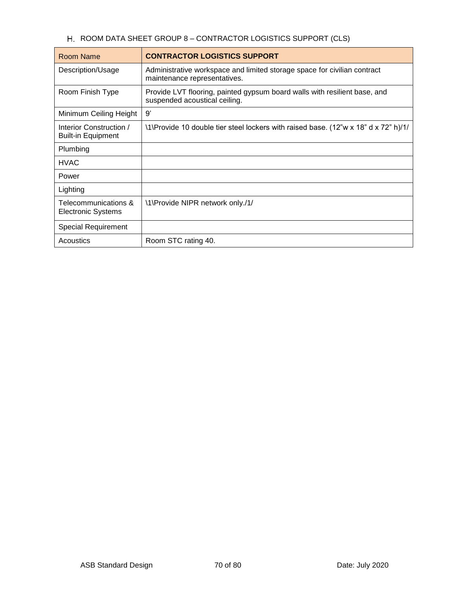# H. ROOM DATA SHEET GROUP 8 - CONTRACTOR LOGISTICS SUPPORT (CLS)

| Room Name                                            | <b>CONTRACTOR LOGISTICS SUPPORT</b>                                                                        |
|------------------------------------------------------|------------------------------------------------------------------------------------------------------------|
| Description/Usage                                    | Administrative workspace and limited storage space for civilian contract<br>maintenance representatives.   |
| Room Finish Type                                     | Provide LVT flooring, painted gypsum board walls with resilient base, and<br>suspended acoustical ceiling. |
| Minimum Ceiling Height                               | 9'                                                                                                         |
| Interior Construction /<br><b>Built-in Equipment</b> | \1\Provide 10 double tier steel lockers with raised base. (12"w x 18" d x 72" h)/1/                        |
| Plumbing                                             |                                                                                                            |
| <b>HVAC</b>                                          |                                                                                                            |
| Power                                                |                                                                                                            |
| Lighting                                             |                                                                                                            |
| Telecommunications &<br><b>Electronic Systems</b>    | \1\Provide NIPR network only./1/                                                                           |
| <b>Special Requirement</b>                           |                                                                                                            |
| Acoustics                                            | Room STC rating 40.                                                                                        |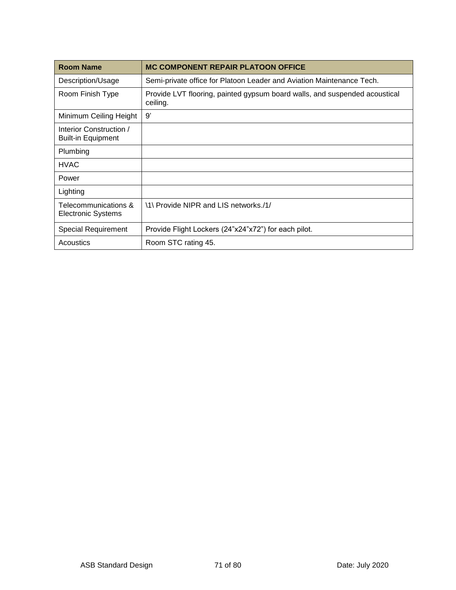| <b>Room Name</b>                                     | <b>MC COMPONENT REPAIR PLATOON OFFICE</b>                                              |
|------------------------------------------------------|----------------------------------------------------------------------------------------|
| Description/Usage                                    | Semi-private office for Platoon Leader and Aviation Maintenance Tech.                  |
| Room Finish Type                                     | Provide LVT flooring, painted gypsum board walls, and suspended acoustical<br>ceiling. |
| Minimum Ceiling Height                               | 9'                                                                                     |
| Interior Construction /<br><b>Built-in Equipment</b> |                                                                                        |
| Plumbing                                             |                                                                                        |
| <b>HVAC</b>                                          |                                                                                        |
| Power                                                |                                                                                        |
| Lighting                                             |                                                                                        |
| Telecommunications &<br><b>Electronic Systems</b>    | \1\ Provide NIPR and LIS networks./1/                                                  |
| <b>Special Requirement</b>                           | Provide Flight Lockers (24"x24"x72") for each pilot.                                   |
| Acoustics                                            | Room STC rating 45.                                                                    |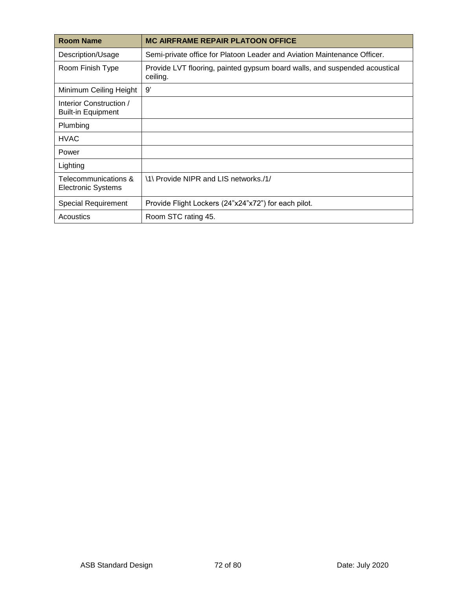| <b>Room Name</b>                                     | <b>MC AIRFRAME REPAIR PLATOON OFFICE</b>                                               |
|------------------------------------------------------|----------------------------------------------------------------------------------------|
| Description/Usage                                    | Semi-private office for Platoon Leader and Aviation Maintenance Officer.               |
| Room Finish Type                                     | Provide LVT flooring, painted gypsum board walls, and suspended acoustical<br>ceiling. |
| Minimum Ceiling Height                               | 9'                                                                                     |
| Interior Construction /<br><b>Built-in Equipment</b> |                                                                                        |
| Plumbing                                             |                                                                                        |
| <b>HVAC</b>                                          |                                                                                        |
| Power                                                |                                                                                        |
| Lighting                                             |                                                                                        |
| Telecommunications &<br><b>Electronic Systems</b>    | \1\ Provide NIPR and LIS networks./1/                                                  |
| <b>Special Requirement</b>                           | Provide Flight Lockers (24"x24"x72") for each pilot.                                   |
| Acoustics                                            | Room STC rating 45.                                                                    |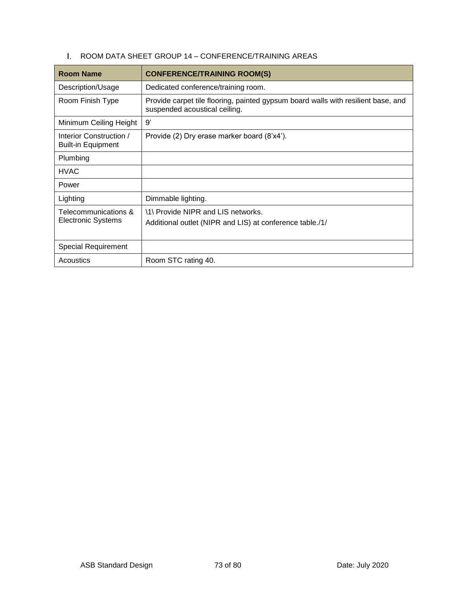|  | ROOM DATA SHEET GROUP 14 - CONFERENCE/TRAINING AREAS |
|--|------------------------------------------------------|
|  |                                                      |

| <b>Room Name</b>                                     | <b>CONFERENCE/TRAINING ROOM(S)</b>                                                                                 |
|------------------------------------------------------|--------------------------------------------------------------------------------------------------------------------|
| Description/Usage                                    | Dedicated conference/training room.                                                                                |
| Room Finish Type                                     | Provide carpet tile flooring, painted gypsum board walls with resilient base, and<br>suspended acoustical ceiling. |
| Minimum Ceiling Height                               | 9'                                                                                                                 |
| Interior Construction /<br><b>Built-in Equipment</b> | Provide (2) Dry erase marker board (8'x4').                                                                        |
| Plumbing                                             |                                                                                                                    |
| <b>HVAC</b>                                          |                                                                                                                    |
| Power                                                |                                                                                                                    |
| Lighting                                             | Dimmable lighting.                                                                                                 |
| Telecommunications &<br><b>Electronic Systems</b>    | \1\ Provide NIPR and LIS networks.<br>Additional outlet (NIPR and LIS) at conference table./1/                     |
|                                                      |                                                                                                                    |
| <b>Special Requirement</b>                           |                                                                                                                    |
| Acoustics                                            | Room STC rating 40.                                                                                                |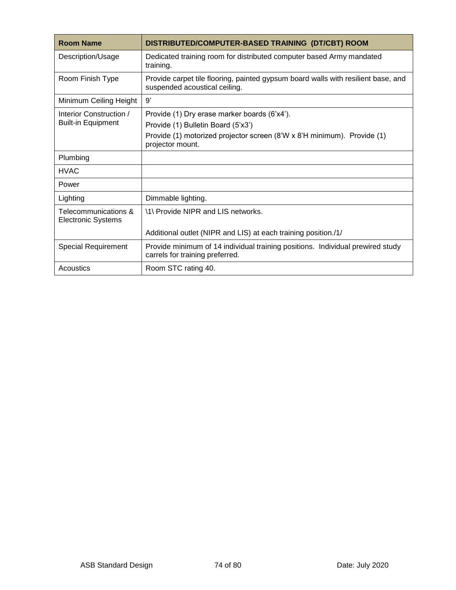| <b>Room Name</b>                                     | DISTRIBUTED/COMPUTER-BASED TRAINING (DT/CBT) ROOM                                                                  |
|------------------------------------------------------|--------------------------------------------------------------------------------------------------------------------|
| Description/Usage                                    | Dedicated training room for distributed computer based Army mandated<br>training.                                  |
| Room Finish Type                                     | Provide carpet tile flooring, painted gypsum board walls with resilient base, and<br>suspended acoustical ceiling. |
| Minimum Ceiling Height                               | 9'                                                                                                                 |
| Interior Construction /<br><b>Built-in Equipment</b> | Provide (1) Dry erase marker boards (6'x4').                                                                       |
|                                                      | Provide (1) Bulletin Board (5'x3')                                                                                 |
|                                                      | Provide (1) motorized projector screen (8'W x 8'H minimum). Provide (1)<br>projector mount.                        |
| Plumbing                                             |                                                                                                                    |
| <b>HVAC</b>                                          |                                                                                                                    |
| Power                                                |                                                                                                                    |
| Lighting                                             | Dimmable lighting.                                                                                                 |
| Telecommunications &<br><b>Electronic Systems</b>    | \1\ Provide NIPR and LIS networks.                                                                                 |
|                                                      | Additional outlet (NIPR and LIS) at each training position./1/                                                     |
| <b>Special Requirement</b>                           | Provide minimum of 14 individual training positions. Individual prewired study<br>carrels for training preferred.  |
| Acoustics                                            | Room STC rating 40.                                                                                                |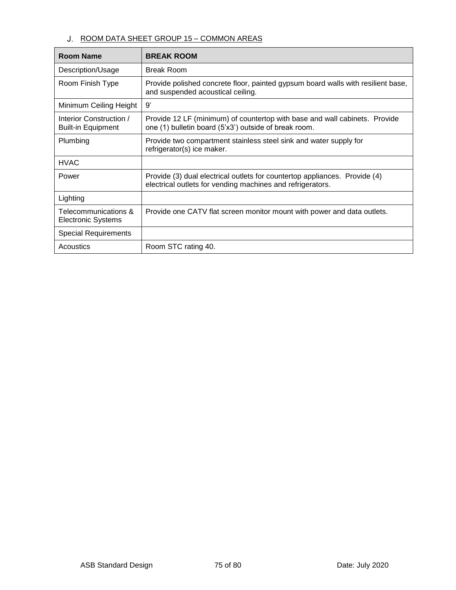## J. ROOM DATA SHEET GROUP 15 - COMMON AREAS

| <b>Room Name</b>                                     | <b>BREAK ROOM</b>                                                                                                                        |
|------------------------------------------------------|------------------------------------------------------------------------------------------------------------------------------------------|
| Description/Usage                                    | <b>Break Room</b>                                                                                                                        |
| Room Finish Type                                     | Provide polished concrete floor, painted gypsum board walls with resilient base,<br>and suspended acoustical ceiling.                    |
| Minimum Ceiling Height                               | 9'                                                                                                                                       |
| Interior Construction /<br><b>Built-in Equipment</b> | Provide 12 LF (minimum) of countertop with base and wall cabinets. Provide<br>one (1) bulletin board (5'x3') outside of break room.      |
| Plumbing                                             | Provide two compartment stainless steel sink and water supply for<br>refrigerator(s) ice maker.                                          |
| <b>HVAC</b>                                          |                                                                                                                                          |
| Power                                                | Provide (3) dual electrical outlets for countertop appliances. Provide (4)<br>electrical outlets for vending machines and refrigerators. |
| Lighting                                             |                                                                                                                                          |
| Telecommunications &<br><b>Electronic Systems</b>    | Provide one CATV flat screen monitor mount with power and data outlets.                                                                  |
| <b>Special Requirements</b>                          |                                                                                                                                          |
| Acoustics                                            | Room STC rating 40.                                                                                                                      |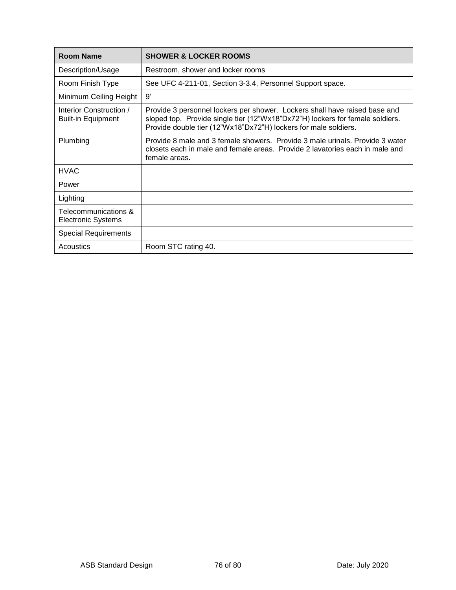| <b>Room Name</b>                                     | <b>SHOWER &amp; LOCKER ROOMS</b>                                                                                                                                                                                               |
|------------------------------------------------------|--------------------------------------------------------------------------------------------------------------------------------------------------------------------------------------------------------------------------------|
| Description/Usage                                    | Restroom, shower and locker rooms                                                                                                                                                                                              |
| Room Finish Type                                     | See UFC 4-211-01, Section 3-3.4, Personnel Support space.                                                                                                                                                                      |
| Minimum Ceiling Height                               | 9'                                                                                                                                                                                                                             |
| Interior Construction /<br><b>Built-in Equipment</b> | Provide 3 personnel lockers per shower. Lockers shall have raised base and<br>sloped top. Provide single tier (12"Wx18"Dx72"H) lockers for female soldiers.<br>Provide double tier (12"Wx18"Dx72"H) lockers for male soldiers. |
| Plumbing                                             | Provide 8 male and 3 female showers. Provide 3 male urinals. Provide 3 water<br>closets each in male and female areas. Provide 2 lavatories each in male and<br>female areas.                                                  |
| <b>HVAC</b>                                          |                                                                                                                                                                                                                                |
| Power                                                |                                                                                                                                                                                                                                |
| Lighting                                             |                                                                                                                                                                                                                                |
| Telecommunications &<br><b>Electronic Systems</b>    |                                                                                                                                                                                                                                |
| <b>Special Requirements</b>                          |                                                                                                                                                                                                                                |
| Acoustics                                            | Room STC rating 40.                                                                                                                                                                                                            |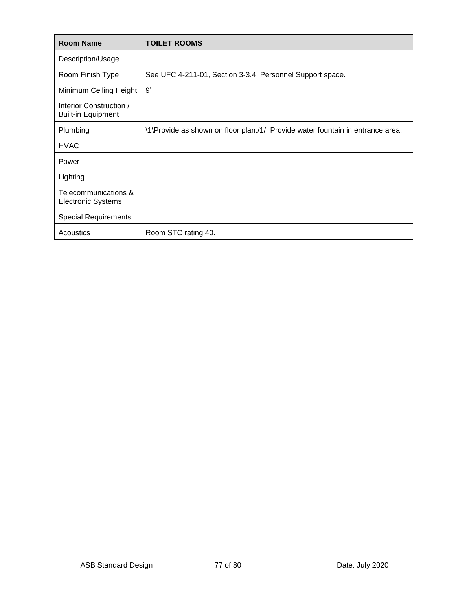| <b>Room Name</b>                                     | <b>TOILET ROOMS</b>                                                            |
|------------------------------------------------------|--------------------------------------------------------------------------------|
| Description/Usage                                    |                                                                                |
| Room Finish Type                                     | See UFC 4-211-01, Section 3-3.4, Personnel Support space.                      |
| Minimum Ceiling Height                               | 9'                                                                             |
| Interior Construction /<br><b>Built-in Equipment</b> |                                                                                |
| Plumbing                                             | \1\Provide as shown on floor plan./1/ Provide water fountain in entrance area. |
| <b>HVAC</b>                                          |                                                                                |
| Power                                                |                                                                                |
| Lighting                                             |                                                                                |
| Telecommunications &<br><b>Electronic Systems</b>    |                                                                                |
| <b>Special Requirements</b>                          |                                                                                |
| Acoustics                                            | Room STC rating 40.                                                            |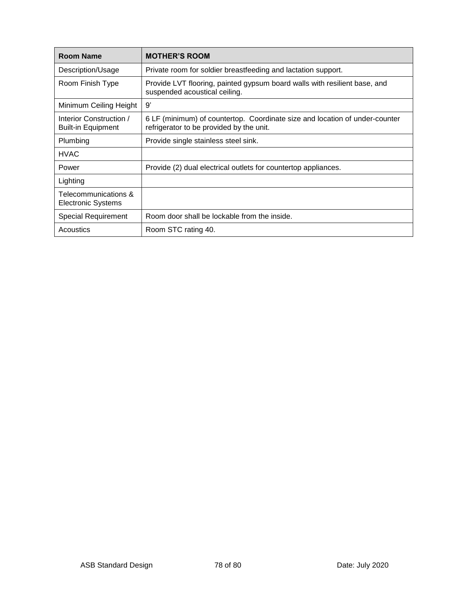| <b>Room Name</b>                                     | <b>MOTHER'S ROOM</b>                                                                                                    |
|------------------------------------------------------|-------------------------------------------------------------------------------------------------------------------------|
| Description/Usage                                    | Private room for soldier breastfeeding and lactation support.                                                           |
| Room Finish Type                                     | Provide LVT flooring, painted gypsum board walls with resilient base, and<br>suspended acoustical ceiling.              |
| Minimum Ceiling Height                               | 9'                                                                                                                      |
| Interior Construction /<br><b>Built-in Equipment</b> | 6 LF (minimum) of countertop. Coordinate size and location of under-counter<br>refrigerator to be provided by the unit. |
| Plumbing                                             | Provide single stainless steel sink.                                                                                    |
| <b>HVAC</b>                                          |                                                                                                                         |
| Power                                                | Provide (2) dual electrical outlets for countertop appliances.                                                          |
| Lighting                                             |                                                                                                                         |
| Telecommunications &<br><b>Electronic Systems</b>    |                                                                                                                         |
| <b>Special Requirement</b>                           | Room door shall be lockable from the inside.                                                                            |
| Acoustics                                            | Room STC rating 40.                                                                                                     |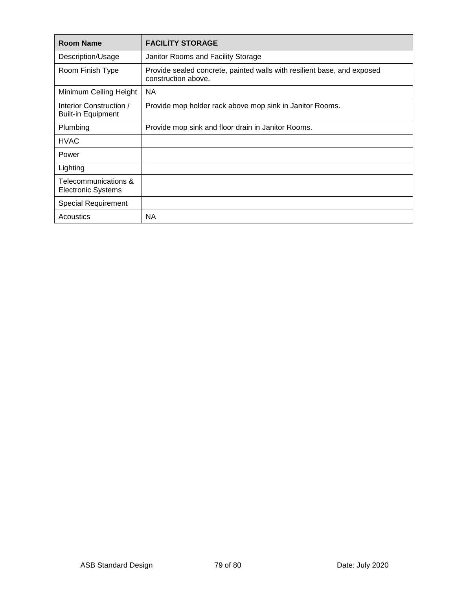| <b>Room Name</b>                                     | <b>FACILITY STORAGE</b>                                                                        |
|------------------------------------------------------|------------------------------------------------------------------------------------------------|
| Description/Usage                                    | Janitor Rooms and Facility Storage                                                             |
| Room Finish Type                                     | Provide sealed concrete, painted walls with resilient base, and exposed<br>construction above. |
| Minimum Ceiling Height                               | <b>NA</b>                                                                                      |
| Interior Construction /<br><b>Built-in Equipment</b> | Provide mop holder rack above mop sink in Janitor Rooms.                                       |
| Plumbing                                             | Provide mop sink and floor drain in Janitor Rooms.                                             |
| <b>HVAC</b>                                          |                                                                                                |
| Power                                                |                                                                                                |
| Lighting                                             |                                                                                                |
| Telecommunications &<br><b>Electronic Systems</b>    |                                                                                                |
| <b>Special Requirement</b>                           |                                                                                                |
| Acoustics                                            | NА                                                                                             |